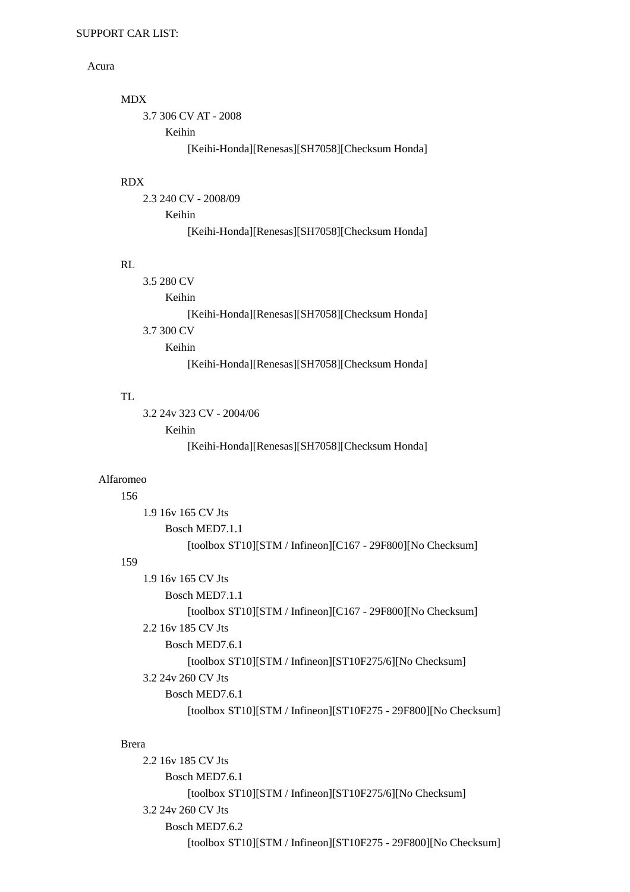## Acura

```
 MDX 
    3.7 306 CV AT - 2008 
         Keihin 
              [Keihi-Honda][Renesas][SH7058][Checksum Honda]
```
## RDX

```
 2.3 240 CV - 2008/09 
    Keihin 
         [Keihi-Honda][Renesas][SH7058][Checksum Honda]
```
## RL

| 3.5 280 CV                                     |  |
|------------------------------------------------|--|
| Keihin                                         |  |
| [Keihi-Honda][Renesas][SH7058][Checksum Honda] |  |
| 3.7 300 CV                                     |  |
| Keihin                                         |  |
| [Keihi-Honda][Renesas][SH7058][Checksum Honda] |  |

# TL

```
 3.2 24v 323 CV - 2004/06 
    Keihin 
         [Keihi-Honda][Renesas][SH7058][Checksum Honda]
```
## Alfaromeo

### 156

```
 1.9 16v 165 CV Jts 
         Bosch MED7.1.1 
              [toolbox ST10][STM / Infineon][C167 - 29F800][No Checksum] 
159 
    1.9 16v 165 CV Jts 
         Bosch MED7.1.1 
              [toolbox ST10][STM / Infineon][C167 - 29F800][No Checksum] 
    2.2 16v 185 CV Jts 
         Bosch MED7.6.1 
              [toolbox ST10][STM / Infineon][ST10F275/6][No Checksum] 
    3.2 24v 260 CV Jts 
         Bosch MED7.6.1 
              [toolbox ST10][STM / Infineon][ST10F275 - 29F800][No Checksum]
```
# Brera

```
 2.2 16v 185 CV Jts 
    Bosch MED7.6.1 
         [toolbox ST10][STM / Infineon][ST10F275/6][No Checksum] 
3.2 24v 260 CV Jts 
    Bosch MED7.6.2 
         [toolbox ST10][STM / Infineon][ST10F275 - 29F800][No Checksum]
```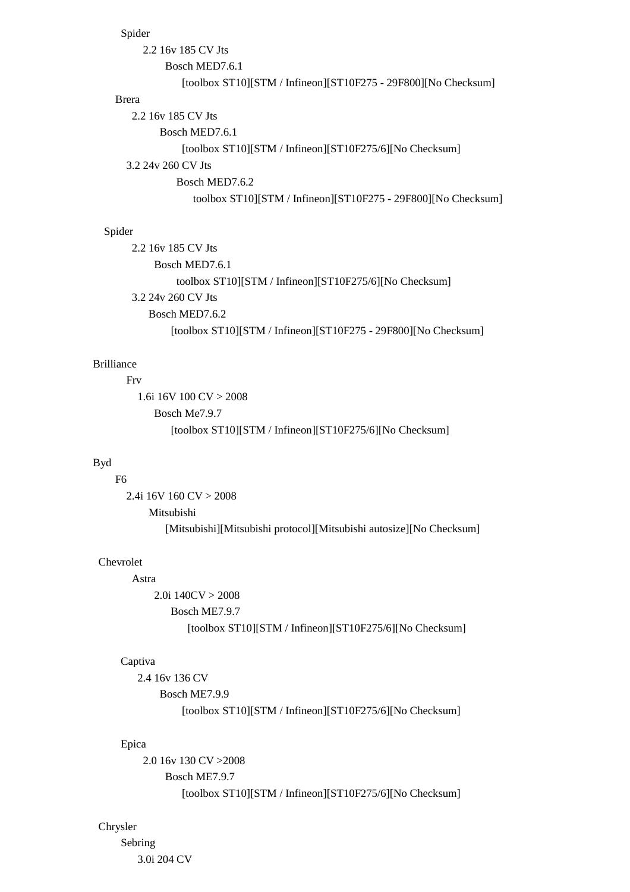### Spider

```
 2.2 16v 185 CV Jts 
          Bosch MED7.6.1 
              [toolbox ST10][STM / Infineon][ST10F275 - 29F800][No Checksum] 
Brera 
   2.2 16v 185 CV Jts 
         Bosch MED7.6.1 
              [toolbox ST10][STM / Infineon][ST10F275/6][No Checksum] 
  3.2 24v 260 CV Jts 
             Bosch MED7.6.2 
                toolbox ST10][STM / Infineon][ST10F275 - 29F800][No Checksum]
```
# Spider

 2.2 16v 185 CV Jts Bosch MED7.6.1 toolbox ST10][STM / Infineon][ST10F275/6][No Checksum] 3.2 24v 260 CV Jts Bosch MED7.6.2 [toolbox ST10][STM / Infineon][ST10F275 - 29F800][No Checksum]

# Brilliance

#### Frv

```
 1.6i 16V 100 CV > 2008 
   Bosch Me7.9.7 
      [toolbox ST10][STM / Infineon][ST10F275/6][No Checksum]
```
#### Byd

# F6

 2.4i 16V 160 CV > 2008 Mitsubishi [Mitsubishi][Mitsubishi protocol][Mitsubishi autosize][No Checksum]

# Chevrolet

# Astra

 $2.0i$  140CV  $> 2008$  Bosch ME7.9.7 [toolbox ST10][STM / Infineon][ST10F275/6][No Checksum]

#### Captiva

```
 2.4 16v 136 CV 
    Bosch ME7.9.9 
         [toolbox ST10][STM / Infineon][ST10F275/6][No Checksum]
```
# Epica

 2.0 16v 130 CV >2008 Bosch ME7.9.7 [toolbox ST10][STM / Infineon][ST10F275/6][No Checksum]

#### Chrysler

 Sebring 3.0i 204 CV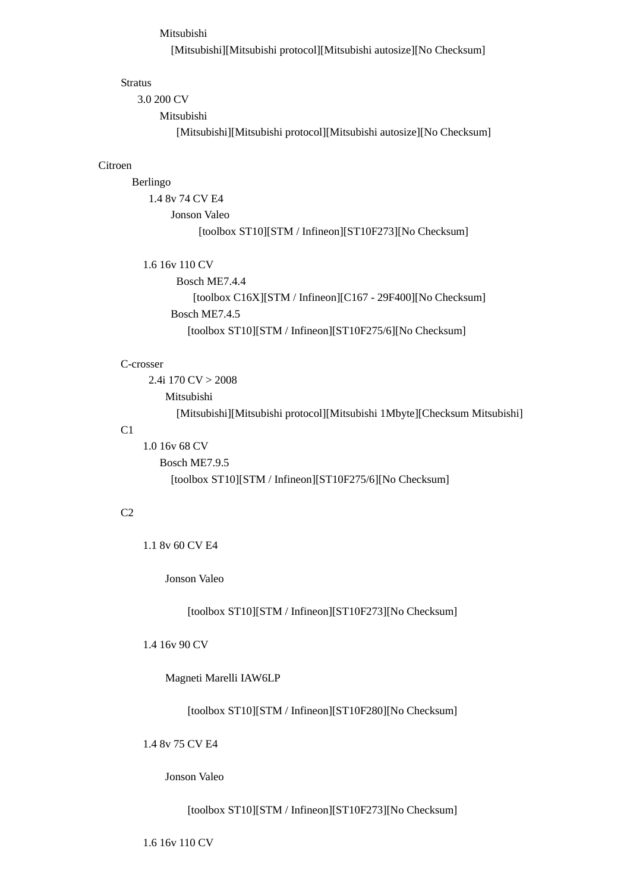### Mitsubishi

[Mitsubishi][Mitsubishi protocol][Mitsubishi autosize][No Checksum]

#### Stratus

3.0 200 CV

Mitsubishi

[Mitsubishi][Mitsubishi protocol][Mitsubishi autosize][No Checksum]

#### Citroen

### Berlingo

 1.4 8v 74 CV E4 Jonson Valeo [toolbox ST10][STM / Infineon][ST10F273][No Checksum]

### 1.6 16v 110 CV

 Bosch ME7.4.4 [toolbox C16X][STM / Infineon][C167 - 29F400][No Checksum] Bosch ME7.4.5 [toolbox ST10][STM / Infineon][ST10F275/6][No Checksum]

#### C-crosser

 2.4i 170 CV > 2008 Mitsubishi [Mitsubishi][Mitsubishi protocol][Mitsubishi 1Mbyte][Checksum Mitsubishi]

# C1

 1.0 16v 68 CV Bosch ME7.9.5 [toolbox ST10][STM / Infineon][ST10F275/6][No Checksum]

# $C<sub>2</sub>$

1.1 8v 60 CV E4

Jonson Valeo

[toolbox ST10][STM / Infineon][ST10F273][No Checksum]

# 1.4 16v 90 CV

Magneti Marelli IAW6LP

[toolbox ST10][STM / Infineon][ST10F280][No Checksum]

### 1.4 8v 75 CV E4

Jonson Valeo

[toolbox ST10][STM / Infineon][ST10F273][No Checksum]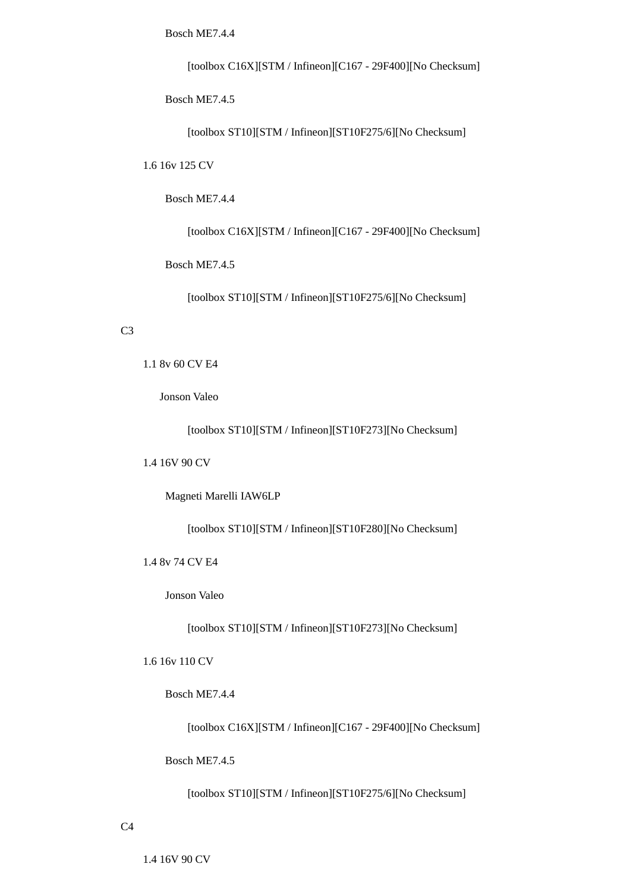Bosch ME7.4.4

[toolbox C16X][STM / Infineon][C167 - 29F400][No Checksum]

Bosch ME7.4.5

[toolbox ST10][STM / Infineon][ST10F275/6][No Checksum]

1.6 16v 125 CV

Bosch ME7.4.4

[toolbox C16X][STM / Infineon][C167 - 29F400][No Checksum]

Bosch ME7.4.5

[toolbox ST10][STM / Infineon][ST10F275/6][No Checksum]

### C3

1.1 8v 60 CV E4

Jonson Valeo

[toolbox ST10][STM / Infineon][ST10F273][No Checksum]

1.4 16V 90 CV

Magneti Marelli IAW6LP

[toolbox ST10][STM / Infineon][ST10F280][No Checksum]

1.4 8v 74 CV E4

Jonson Valeo

[toolbox ST10][STM / Infineon][ST10F273][No Checksum]

1.6 16v 110 CV

Bosch ME7.4.4

[toolbox C16X][STM / Infineon][C167 - 29F400][No Checksum]

Bosch ME7.4.5

[toolbox ST10][STM / Infineon][ST10F275/6][No Checksum]

1.4 16V 90 CV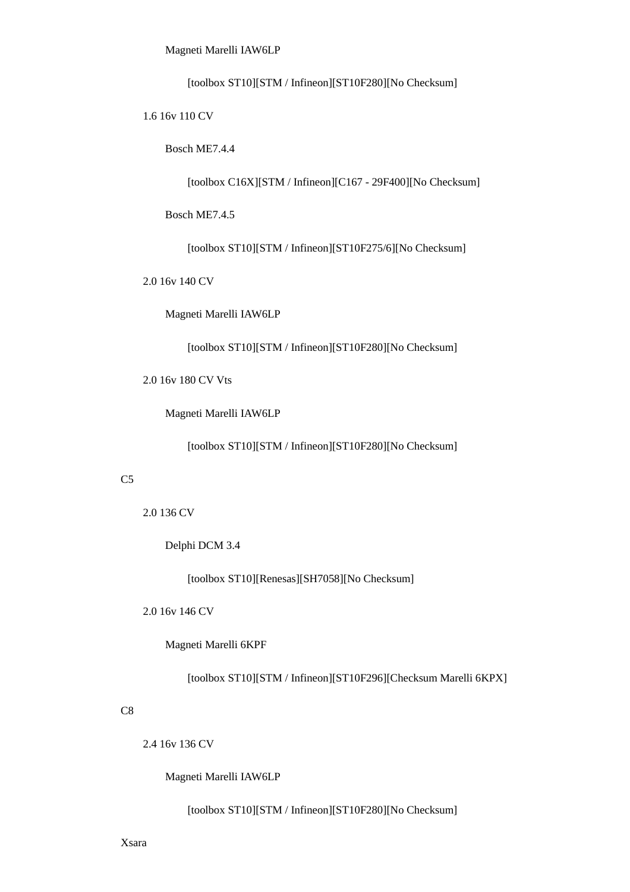Magneti Marelli IAW6LP

[toolbox ST10][STM / Infineon][ST10F280][No Checksum]

1.6 16v 110 CV

Bosch ME7.4.4

[toolbox C16X][STM / Infineon][C167 - 29F400][No Checksum]

Bosch ME7.4.5

[toolbox ST10][STM / Infineon][ST10F275/6][No Checksum]

2.0 16v 140 CV

Magneti Marelli IAW6LP

[toolbox ST10][STM / Infineon][ST10F280][No Checksum]

2.0 16v 180 CV Vts

Magneti Marelli IAW6LP

[toolbox ST10][STM / Infineon][ST10F280][No Checksum]

#### $C<sub>5</sub>$

2.0 136 CV

Delphi DCM 3.4

[toolbox ST10][Renesas][SH7058][No Checksum]

2.0 16v 146 CV

Magneti Marelli 6KPF

[toolbox ST10][STM / Infineon][ST10F296][Checksum Marelli 6KPX]

#### C8

2.4 16v 136 CV

Magneti Marelli IAW6LP

[toolbox ST10][STM / Infineon][ST10F280][No Checksum]

Xsara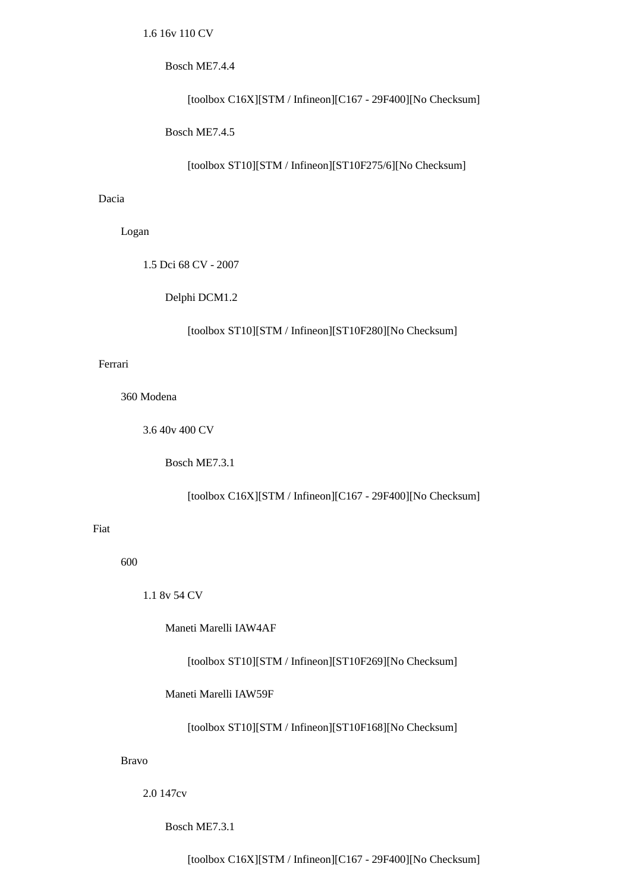### Bosch ME7.4.4

[toolbox C16X][STM / Infineon][C167 - 29F400][No Checksum]

Bosch ME7.4.5

[toolbox ST10][STM / Infineon][ST10F275/6][No Checksum]

### Dacia

Logan

1.5 Dci 68 CV - 2007

Delphi DCM1.2

[toolbox ST10][STM / Infineon][ST10F280][No Checksum]

# Ferrari

360 Modena

3.6 40v 400 CV

Bosch ME7.3.1

[toolbox C16X][STM / Infineon][C167 - 29F400][No Checksum]

# Fiat

600

1.1 8v 54 CV

Maneti Marelli IAW4AF

[toolbox ST10][STM / Infineon][ST10F269][No Checksum]

Maneti Marelli IAW59F

[toolbox ST10][STM / Infineon][ST10F168][No Checksum]

#### Bravo

2.0 147cv

Bosch ME7.3.1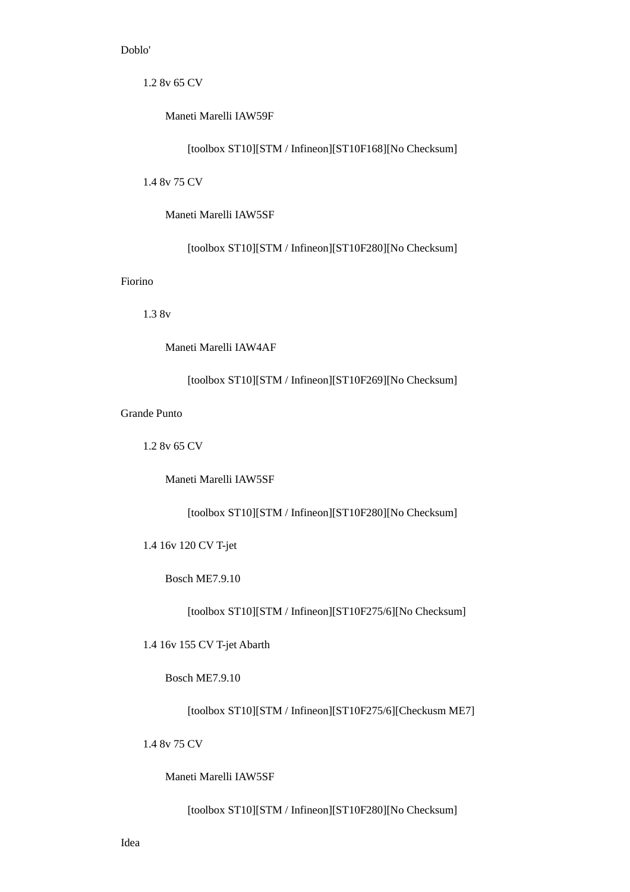# Doblo'

1.2 8v 65 CV

Maneti Marelli IAW59F

[toolbox ST10][STM / Infineon][ST10F168][No Checksum]

1.4 8v 75 CV

Maneti Marelli IAW5SF

[toolbox ST10][STM / Infineon][ST10F280][No Checksum]

# Fiorino

1.3 8v

Maneti Marelli IAW4AF

[toolbox ST10][STM / Infineon][ST10F269][No Checksum]

# Grande Punto

1.2 8v 65 CV

Maneti Marelli IAW5SF

[toolbox ST10][STM / Infineon][ST10F280][No Checksum]

1.4 16v 120 CV T-jet

Bosch ME7.9.10

[toolbox ST10][STM / Infineon][ST10F275/6][No Checksum]

1.4 16v 155 CV T-jet Abarth

Bosch ME7.9.10

[toolbox ST10][STM / Infineon][ST10F275/6][Checkusm ME7]

1.4 8v 75 CV

Maneti Marelli IAW5SF

[toolbox ST10][STM / Infineon][ST10F280][No Checksum]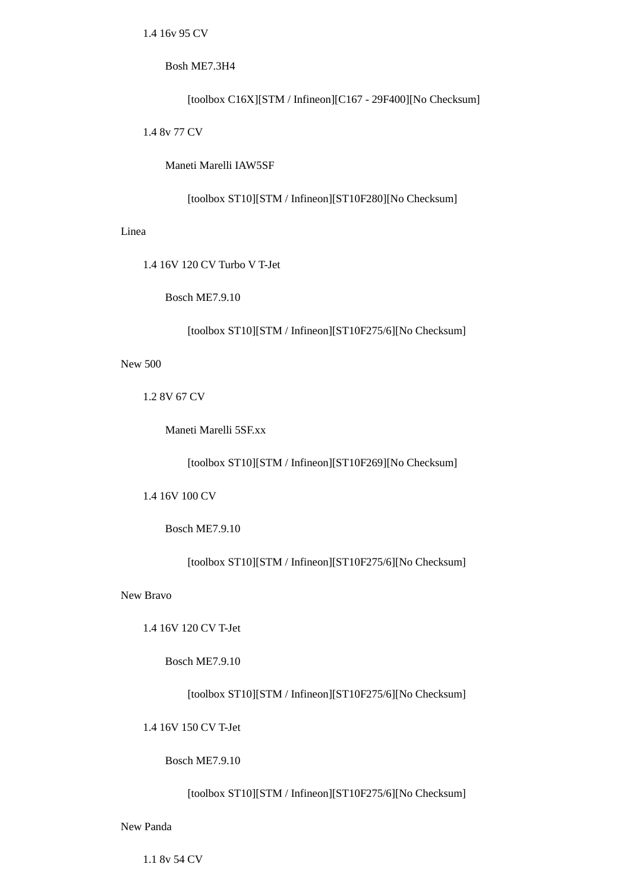1.4 16v 95 CV

### Bosh ME7.3H4

[toolbox C16X][STM / Infineon][C167 - 29F400][No Checksum]

1.4 8v 77 CV

Maneti Marelli IAW5SF

[toolbox ST10][STM / Infineon][ST10F280][No Checksum]

## Linea

1.4 16V 120 CV Turbo V T-Jet

Bosch ME7.9.10

[toolbox ST10][STM / Infineon][ST10F275/6][No Checksum]

New 500

1.2 8V 67 CV

Maneti Marelli 5SF.xx

[toolbox ST10][STM / Infineon][ST10F269][No Checksum]

1.4 16V 100 CV

# Bosch ME7.9.10

[toolbox ST10][STM / Infineon][ST10F275/6][No Checksum]

New Bravo

1.4 16V 120 CV T-Jet

Bosch ME7.9.10

[toolbox ST10][STM / Infineon][ST10F275/6][No Checksum]

1.4 16V 150 CV T-Jet

Bosch ME7.9.10

# [toolbox ST10][STM / Infineon][ST10F275/6][No Checksum]

New Panda

1.1 8v 54 CV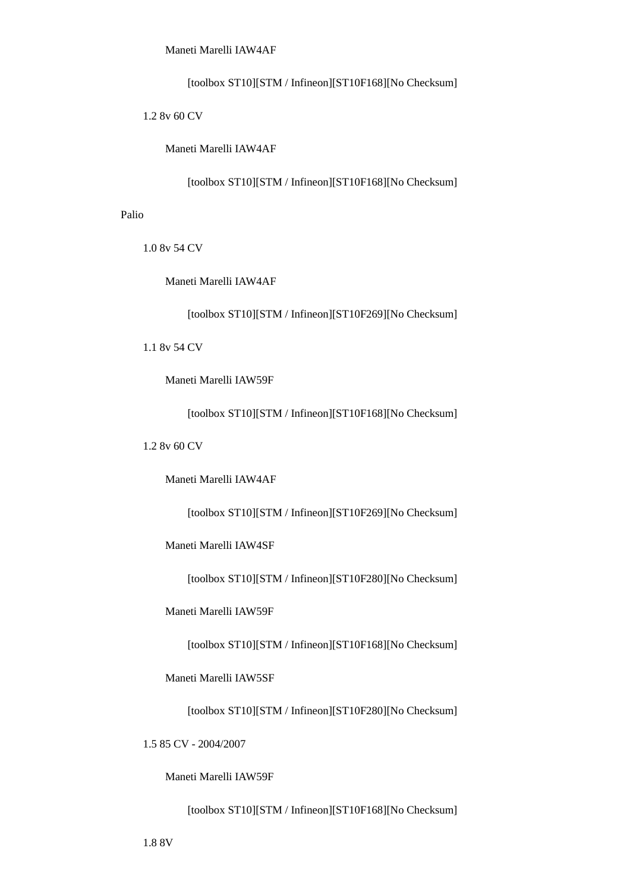Maneti Marelli IAW4AF

[toolbox ST10][STM / Infineon][ST10F168][No Checksum]

1.2 8v 60 CV

Maneti Marelli IAW4AF

[toolbox ST10][STM / Infineon][ST10F168][No Checksum]

### Palio

1.0 8v 54 CV

Maneti Marelli IAW4AF

[toolbox ST10][STM / Infineon][ST10F269][No Checksum]

1.1 8v 54 CV

Maneti Marelli IAW59F

[toolbox ST10][STM / Infineon][ST10F168][No Checksum]

### 1.2 8v 60 CV

Maneti Marelli IAW4AF

[toolbox ST10][STM / Infineon][ST10F269][No Checksum]

Maneti Marelli IAW4SF

[toolbox ST10][STM / Infineon][ST10F280][No Checksum]

Maneti Marelli IAW59F

[toolbox ST10][STM / Infineon][ST10F168][No Checksum]

Maneti Marelli IAW5SF

[toolbox ST10][STM / Infineon][ST10F280][No Checksum]

1.5 85 CV - 2004/2007

Maneti Marelli IAW59F

[toolbox ST10][STM / Infineon][ST10F168][No Checksum]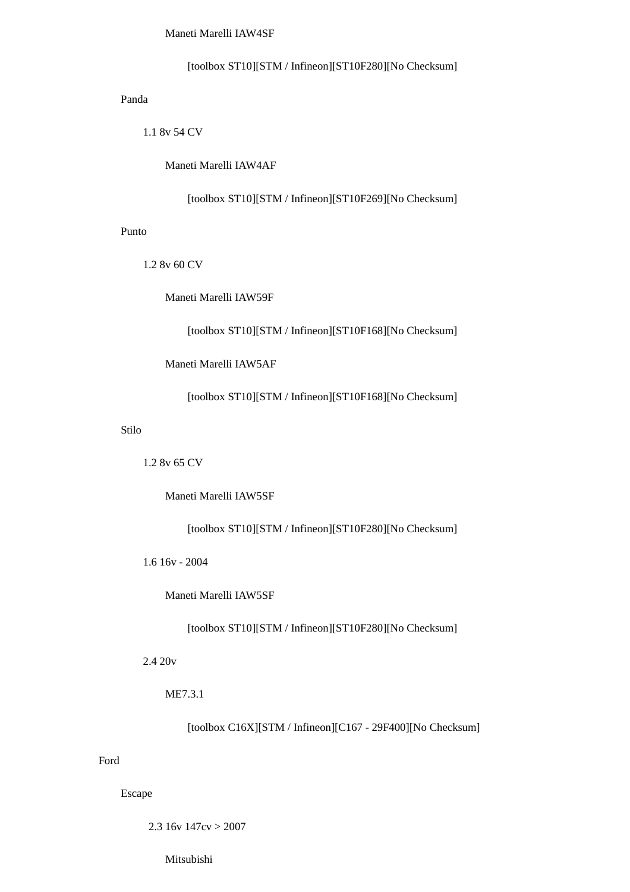Maneti Marelli IAW4SF

[toolbox ST10][STM / Infineon][ST10F280][No Checksum]

Panda

1.1 8v 54 CV

Maneti Marelli IAW4AF

[toolbox ST10][STM / Infineon][ST10F269][No Checksum]

Punto

1.2 8v 60 CV

Maneti Marelli IAW59F

[toolbox ST10][STM / Infineon][ST10F168][No Checksum]

Maneti Marelli IAW5AF

[toolbox ST10][STM / Infineon][ST10F168][No Checksum]

Stilo

1.2 8v 65 CV

Maneti Marelli IAW5SF

[toolbox ST10][STM / Infineon][ST10F280][No Checksum]

1.6 16v - 2004

Maneti Marelli IAW5SF

[toolbox ST10][STM / Infineon][ST10F280][No Checksum]

2.4 20v

ME7.3.1

[toolbox C16X][STM / Infineon][C167 - 29F400][No Checksum]

Ford

Escape

2.3 16y  $147cy > 2007$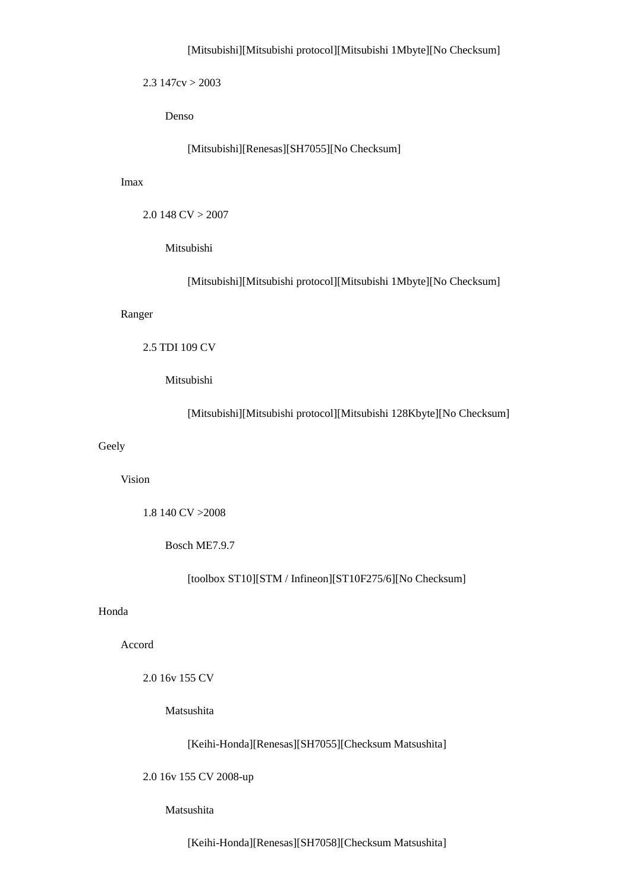### [Mitsubishi][Mitsubishi protocol][Mitsubishi 1Mbyte][No Checksum]

 $2.3$  147cv  $>$  2003

Denso

[Mitsubishi][Renesas][SH7055][No Checksum]

Imax

```
 2.0 148 CV > 2007
```
Mitsubishi

[Mitsubishi][Mitsubishi protocol][Mitsubishi 1Mbyte][No Checksum]

#### Ranger

### 2.5 TDI 109 CV

Mitsubishi

[Mitsubishi][Mitsubishi protocol][Mitsubishi 128Kbyte][No Checksum]

# Geely

Vision

1.8 140 CV >2008

Bosch ME7.9.7

[toolbox ST10][STM / Infineon][ST10F275/6][No Checksum]

#### Honda

Accord

2.0 16v 155 CV

Matsushita

[Keihi-Honda][Renesas][SH7055][Checksum Matsushita]

2.0 16v 155 CV 2008-up

## Matsushita

[Keihi-Honda][Renesas][SH7058][Checksum Matsushita]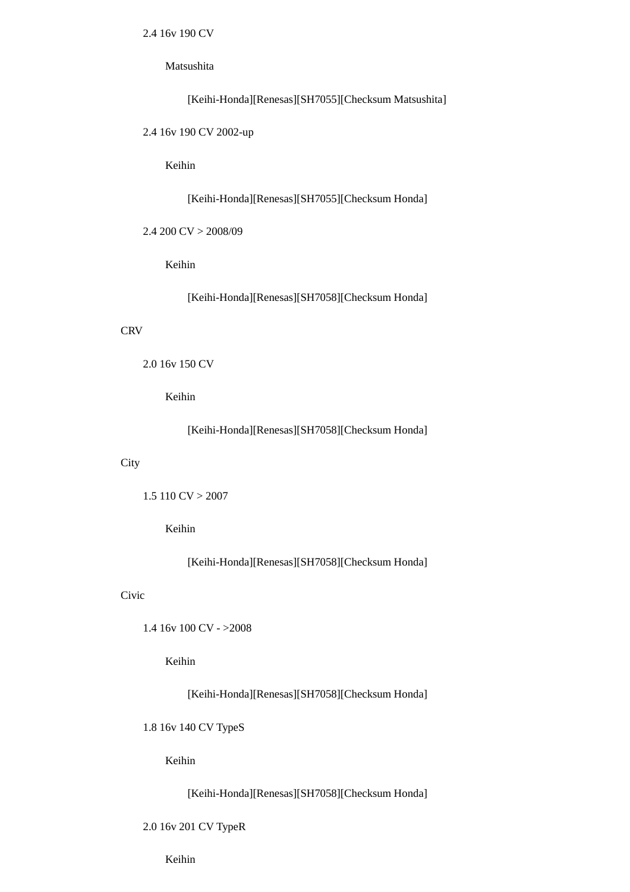2.4 16v 190 CV

Matsushita

```
 [Keihi-Honda][Renesas][SH7055][Checksum Matsushita]
```
2.4 16v 190 CV 2002-up

Keihin

[Keihi-Honda][Renesas][SH7055][Checksum Honda]

2.4 200 CV > 2008/09

Keihin

[Keihi-Honda][Renesas][SH7058][Checksum Honda]

### **CRV**

```
 2.0 16v 150 CV
```
Keihin

[Keihi-Honda][Renesas][SH7058][Checksum Honda]

#### **City**

```
1.5 110 CV > 2007
```
Keihin

[Keihi-Honda][Renesas][SH7058][Checksum Honda]

# Civic

```
 1.4 16v 100 CV - >2008
```
Keihin

[Keihi-Honda][Renesas][SH7058][Checksum Honda]

1.8 16v 140 CV TypeS

Keihin

[Keihi-Honda][Renesas][SH7058][Checksum Honda]

## 2.0 16v 201 CV TypeR

Keihin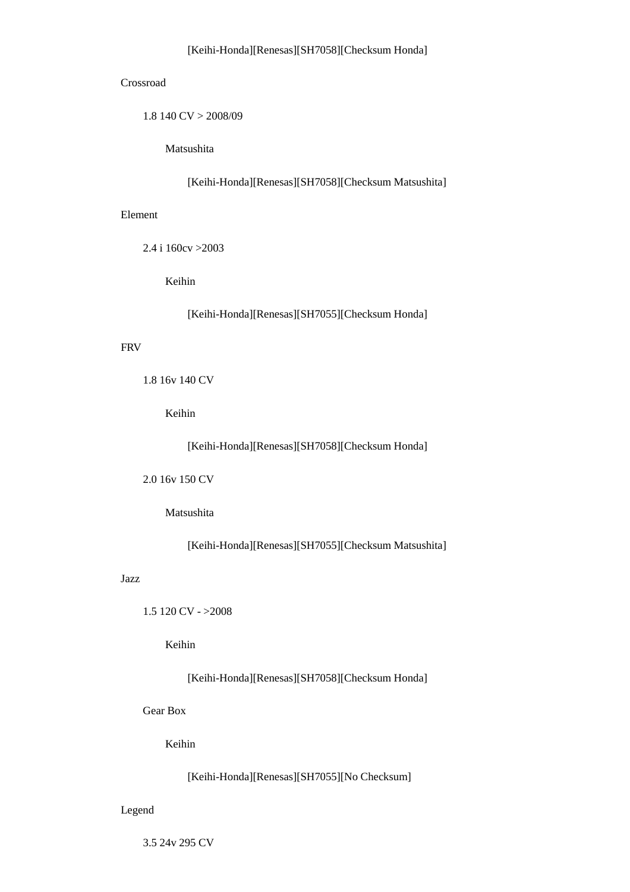### Crossroad

1.8 140 CV > 2008/09

Matsushita

[Keihi-Honda][Renesas][SH7058][Checksum Matsushita]

### Element

2.4 i 160cv >2003

Keihin

[Keihi-Honda][Renesas][SH7055][Checksum Honda]

# FRV

```
 1.8 16v 140 CV
```
Keihin

[Keihi-Honda][Renesas][SH7058][Checksum Honda]

2.0 16v 150 CV

Matsushita

[Keihi-Honda][Renesas][SH7055][Checksum Matsushita]

## Jazz

1.5 120 CV - >2008

Keihin

[Keihi-Honda][Renesas][SH7058][Checksum Honda]

Gear Box

Keihin

[Keihi-Honda][Renesas][SH7055][No Checksum]

Legend

3.5 24v 295 CV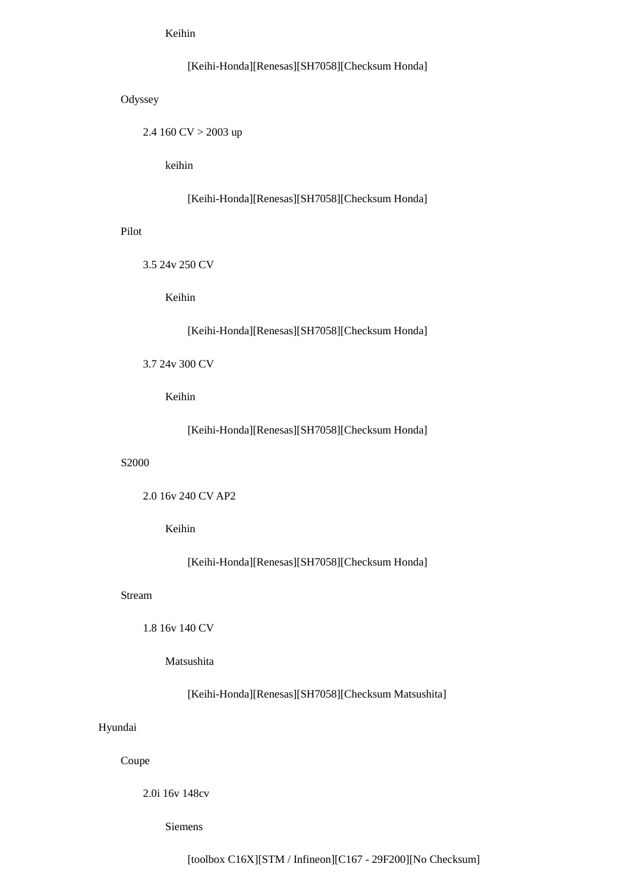Keihin

# [Keihi-Honda][Renesas][SH7058][Checksum Honda]

**Odyssey** 

2.4 160 CV > 2003 up

keihin

[Keihi-Honda][Renesas][SH7058][Checksum Honda]

Pilot

3.5 24v 250 CV

Keihin

[Keihi-Honda][Renesas][SH7058][Checksum Honda]

3.7 24v 300 CV

Keihin

[Keihi-Honda][Renesas][SH7058][Checksum Honda]

#### S2000

2.0 16v 240 CV AP2

# Keihin

[Keihi-Honda][Renesas][SH7058][Checksum Honda]

### Stream

1.8 16v 140 CV

Matsushita

[Keihi-Honda][Renesas][SH7058][Checksum Matsushita]

### Hyundai

Coupe

2.0i 16v 148cv

Siemens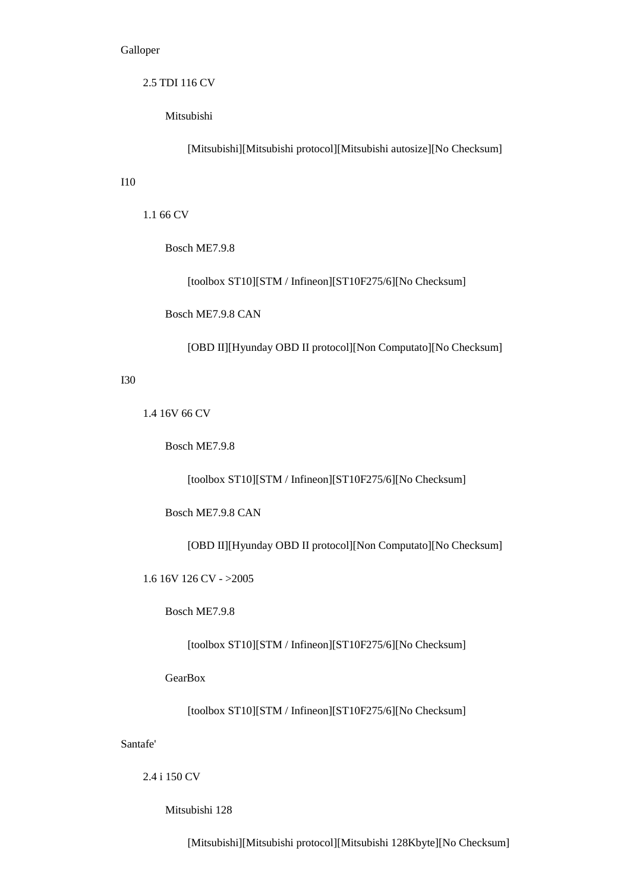## Galloper

2.5 TDI 116 CV

Mitsubishi

[Mitsubishi][Mitsubishi protocol][Mitsubishi autosize][No Checksum]

## I10

1.1 66 CV

Bosch ME7.9.8

[toolbox ST10][STM / Infineon][ST10F275/6][No Checksum]

Bosch ME7.9.8 CAN

[OBD II][Hyunday OBD II protocol][Non Computato][No Checksum]

### I30

1.4 16V 66 CV

Bosch ME7.9.8

[toolbox ST10][STM / Infineon][ST10F275/6][No Checksum]

Bosch ME7.9.8 CAN

[OBD II][Hyunday OBD II protocol][Non Computato][No Checksum]

1.6 16V 126 CV - >2005

Bosch ME7.9.8

[toolbox ST10][STM / Infineon][ST10F275/6][No Checksum]

**GearBox** 

[toolbox ST10][STM / Infineon][ST10F275/6][No Checksum]

Santafe'

2.4 i 150 CV

Mitsubishi 128

[Mitsubishi][Mitsubishi protocol][Mitsubishi 128Kbyte][No Checksum]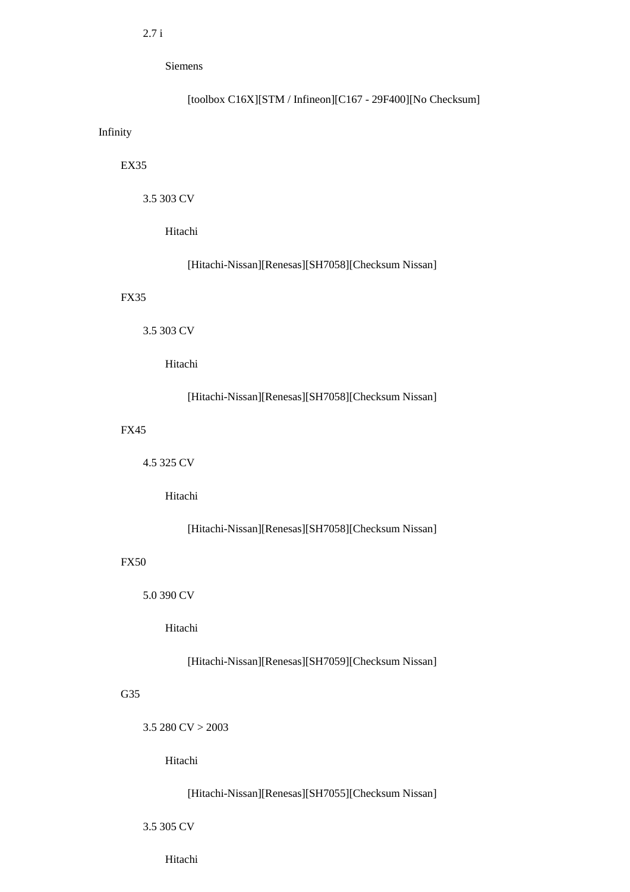Siemens

# [toolbox C16X][STM / Infineon][C167 - 29F400][No Checksum]

### Infinity

# EX35

3.5 303 CV

Hitachi

# [Hitachi-Nissan][Renesas][SH7058][Checksum Nissan]

## FX35

3.5 303 CV

Hitachi

# [Hitachi-Nissan][Renesas][SH7058][Checksum Nissan]

# FX45

4.5 325 CV

Hitachi

# [Hitachi-Nissan][Renesas][SH7058][Checksum Nissan]

#### FX50

5.0 390 CV

Hitachi

# [Hitachi-Nissan][Renesas][SH7059][Checksum Nissan]

# G35

 $3.5 280 CV > 2003$ 

Hitachi

# [Hitachi-Nissan][Renesas][SH7055][Checksum Nissan]

3.5 305 CV

Hitachi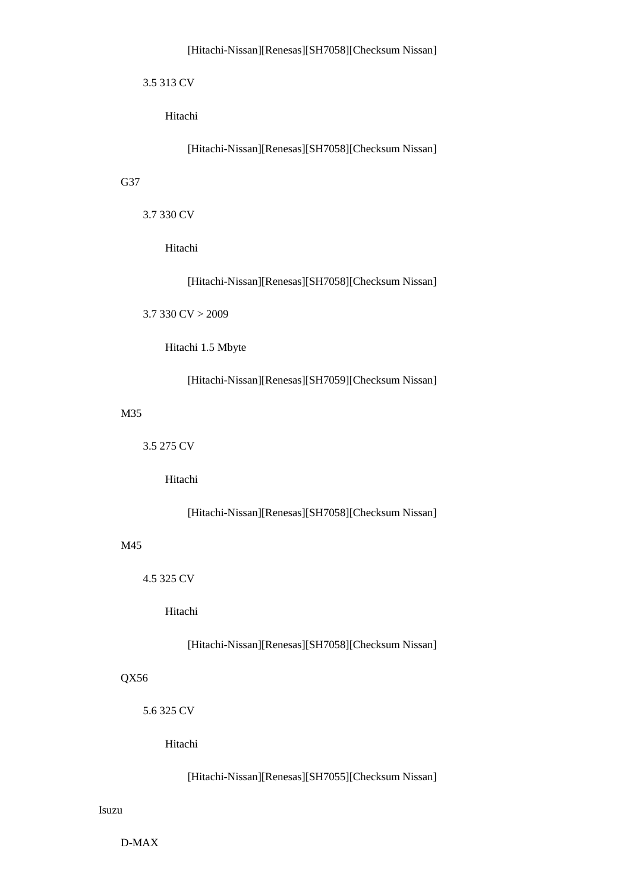```
 3.5 313 CV
```
Hitachi

[Hitachi-Nissan][Renesas][SH7058][Checksum Nissan]

## G37

3.7 330 CV

Hitachi

[Hitachi-Nissan][Renesas][SH7058][Checksum Nissan]

3.7 330 CV > 2009

Hitachi 1.5 Mbyte

[Hitachi-Nissan][Renesas][SH7059][Checksum Nissan]

### M35

3.5 275 CV

Hitachi

[Hitachi-Nissan][Renesas][SH7058][Checksum Nissan]

### M45

4.5 325 CV

Hitachi

[Hitachi-Nissan][Renesas][SH7058][Checksum Nissan]

# QX56

5.6 325 CV

Hitachi

[Hitachi-Nissan][Renesas][SH7055][Checksum Nissan]

# Isuzu

D-MAX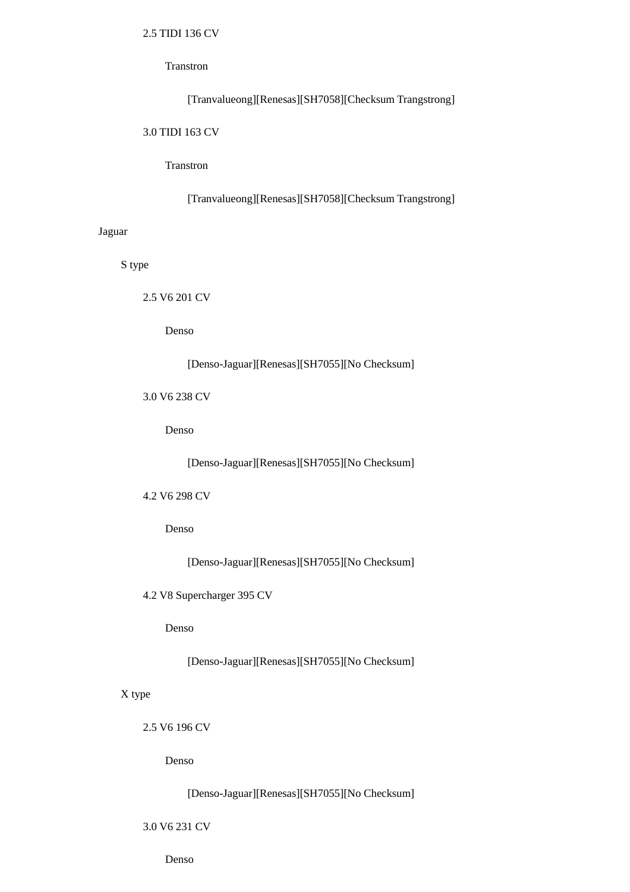# 2.5 TIDI 136 CV

### Transtron

# [Tranvalueong][Renesas][SH7058][Checksum Trangstrong]

### 3.0 TIDI 163 CV

# Transtron

[Tranvalueong][Renesas][SH7058][Checksum Trangstrong]

# Jaguar

S type

2.5 V6 201 CV

Denso

# [Denso-Jaguar][Renesas][SH7055][No Checksum]

3.0 V6 238 CV

Denso

[Denso-Jaguar][Renesas][SH7055][No Checksum]

# 4.2 V6 298 CV

Denso

[Denso-Jaguar][Renesas][SH7055][No Checksum]

4.2 V8 Supercharger 395 CV

Denso

[Denso-Jaguar][Renesas][SH7055][No Checksum]

# X type

2.5 V6 196 CV

Denso

[Denso-Jaguar][Renesas][SH7055][No Checksum]

## 3.0 V6 231 CV

Denso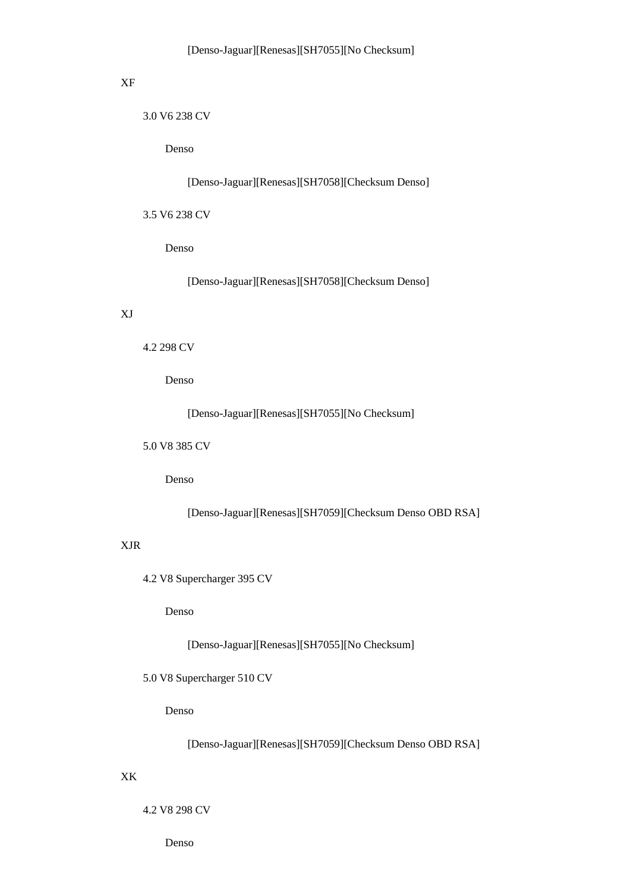# XF

3.0 V6 238 CV

Denso

[Denso-Jaguar][Renesas][SH7058][Checksum Denso]

3.5 V6 238 CV

Denso

[Denso-Jaguar][Renesas][SH7058][Checksum Denso]

# XJ

```
 4.2 298 CV
```
Denso

[Denso-Jaguar][Renesas][SH7055][No Checksum]

5.0 V8 385 CV

Denso

[Denso-Jaguar][Renesas][SH7059][Checksum Denso OBD RSA]

# XJR

4.2 V8 Supercharger 395 CV

Denso

[Denso-Jaguar][Renesas][SH7055][No Checksum]

5.0 V8 Supercharger 510 CV

Denso

[Denso-Jaguar][Renesas][SH7059][Checksum Denso OBD RSA]

## XK

4.2 V8 298 CV

Denso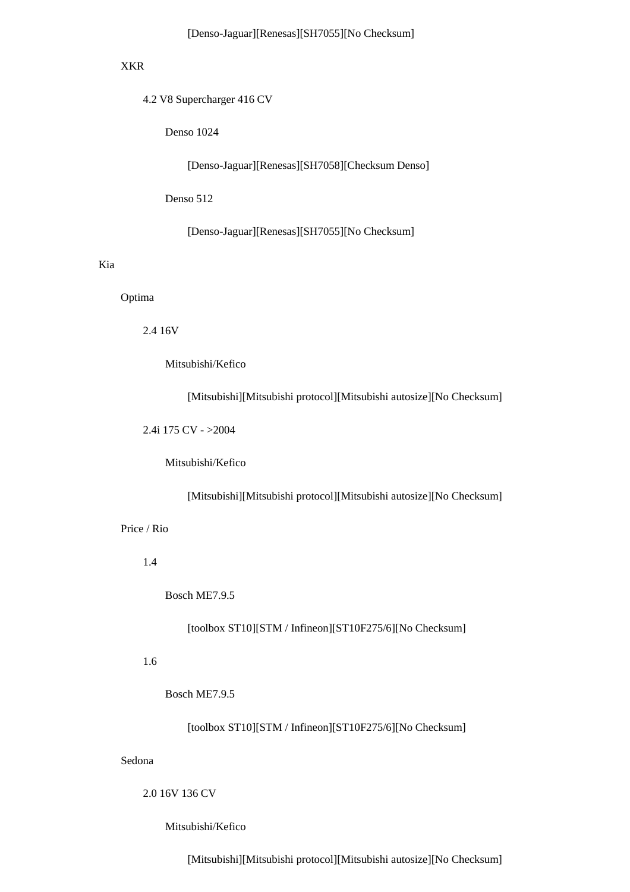### XKR

4.2 V8 Supercharger 416 CV

Denso 1024

[Denso-Jaguar][Renesas][SH7058][Checksum Denso]

Denso 512

[Denso-Jaguar][Renesas][SH7055][No Checksum]

## Kia

#### Optima

2.4 16V

Mitsubishi/Kefico

[Mitsubishi][Mitsubishi protocol][Mitsubishi autosize][No Checksum]

2.4i 175 CV - >2004

Mitsubishi/Kefico

[Mitsubishi][Mitsubishi protocol][Mitsubishi autosize][No Checksum]

Price / Rio

1.4

Bosch ME7.9.5

[toolbox ST10][STM / Infineon][ST10F275/6][No Checksum]

# 1.6

Bosch ME7.9.5

[toolbox ST10][STM / Infineon][ST10F275/6][No Checksum]

#### Sedona

2.0 16V 136 CV

Mitsubishi/Kefico

[Mitsubishi][Mitsubishi protocol][Mitsubishi autosize][No Checksum]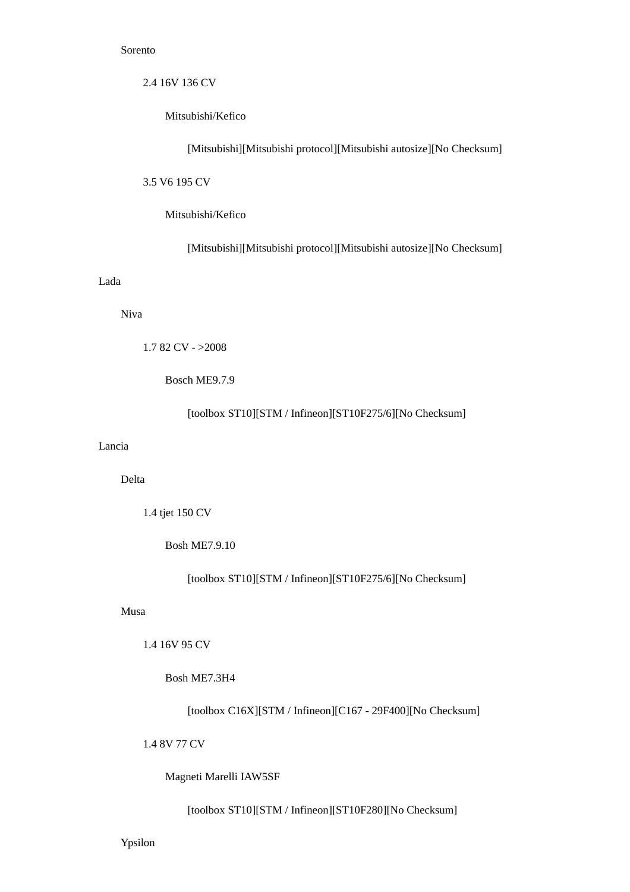#### Sorento

2.4 16V 136 CV

Mitsubishi/Kefico

[Mitsubishi][Mitsubishi protocol][Mitsubishi autosize][No Checksum]

3.5 V6 195 CV

Mitsubishi/Kefico

[Mitsubishi][Mitsubishi protocol][Mitsubishi autosize][No Checksum]

### Lada

Niva

```
 1.7 82 CV - >2008
```
Bosch ME9.7.9

[toolbox ST10][STM / Infineon][ST10F275/6][No Checksum]

### Lancia

Delta

1.4 tjet 150 CV

Bosh ME7.9.10

[toolbox ST10][STM / Infineon][ST10F275/6][No Checksum]

#### Musa

1.4 16V 95 CV

Bosh ME7.3H4

[toolbox C16X][STM / Infineon][C167 - 29F400][No Checksum]

1.4 8V 77 CV

Magneti Marelli IAW5SF

[toolbox ST10][STM / Infineon][ST10F280][No Checksum]

Ypsilon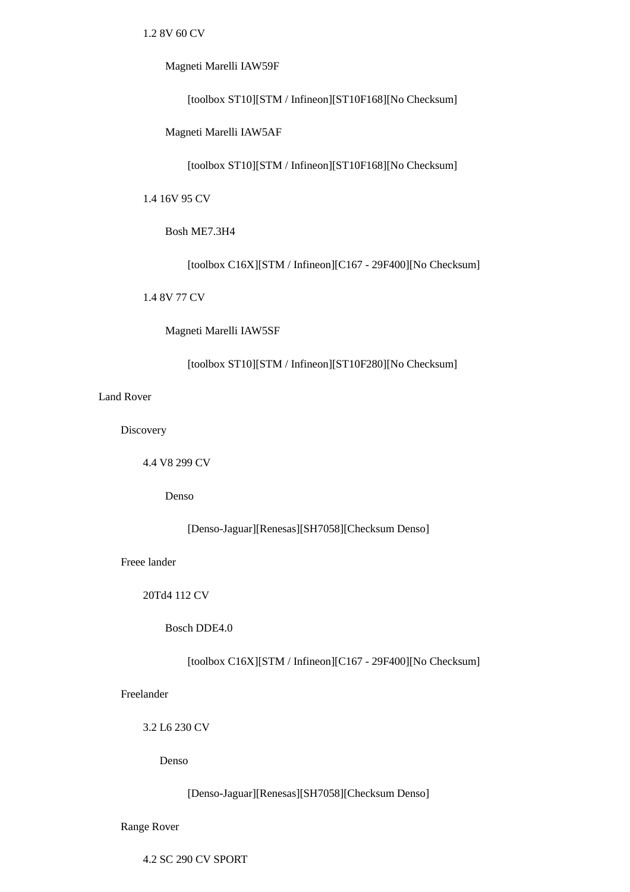1.2 8V 60 CV

Magneti Marelli IAW59F

[toolbox ST10][STM / Infineon][ST10F168][No Checksum]

Magneti Marelli IAW5AF

[toolbox ST10][STM / Infineon][ST10F168][No Checksum]

1.4 16V 95 CV

Bosh ME7.3H4

[toolbox C16X][STM / Infineon][C167 - 29F400][No Checksum]

1.4 8V 77 CV

Magneti Marelli IAW5SF

[toolbox ST10][STM / Infineon][ST10F280][No Checksum]

Land Rover

**Discovery** 

4.4 V8 299 CV

Denso

[Denso-Jaguar][Renesas][SH7058][Checksum Denso]

Freee lander

20Td4 112 CV

Bosch DDE4.0

[toolbox C16X][STM / Infineon][C167 - 29F400][No Checksum]

Freelander

3.2 L6 230 CV

Denso

[Denso-Jaguar][Renesas][SH7058][Checksum Denso]

Range Rover

4.2 SC 290 CV SPORT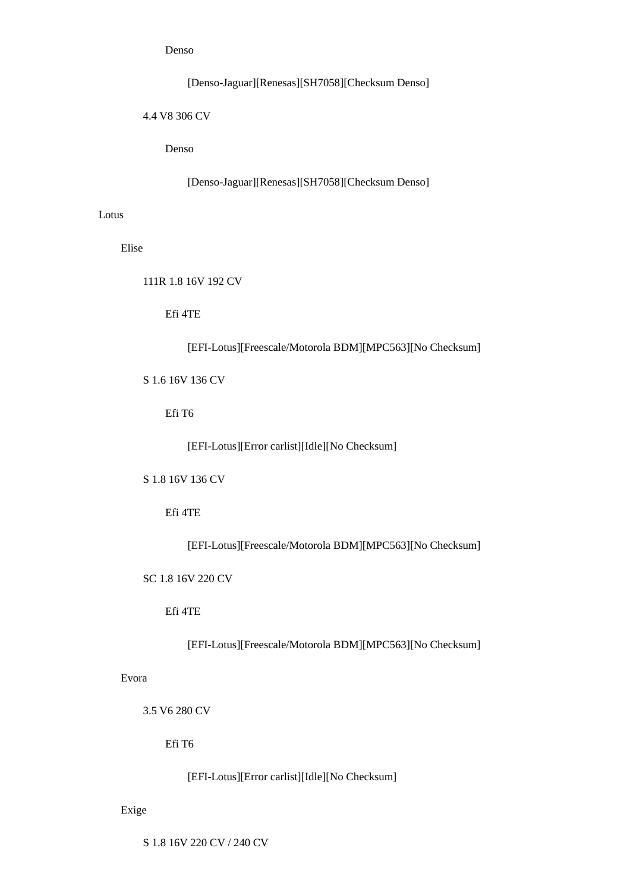[Denso-Jaguar][Renesas][SH7058][Checksum Denso]

4.4 V8 306 CV

Denso

[Denso-Jaguar][Renesas][SH7058][Checksum Denso]

Lotus

Elise

111R 1.8 16V 192 CV

Efi 4TE

[EFI-Lotus][Freescale/Motorola BDM][MPC563][No Checksum]

S 1.6 16V 136 CV

Efi T6

[EFI-Lotus][Error carlist][Idle][No Checksum]

S 1.8 16V 136 CV

Efi 4TE

[EFI-Lotus][Freescale/Motorola BDM][MPC563][No Checksum]

SC 1.8 16V 220 CV

Efi 4TE

[EFI-Lotus][Freescale/Motorola BDM][MPC563][No Checksum]

Evora

3.5 V6 280 CV

Efi T6

[EFI-Lotus][Error carlist][Idle][No Checksum]

Exige

S 1.8 16V 220 CV / 240 CV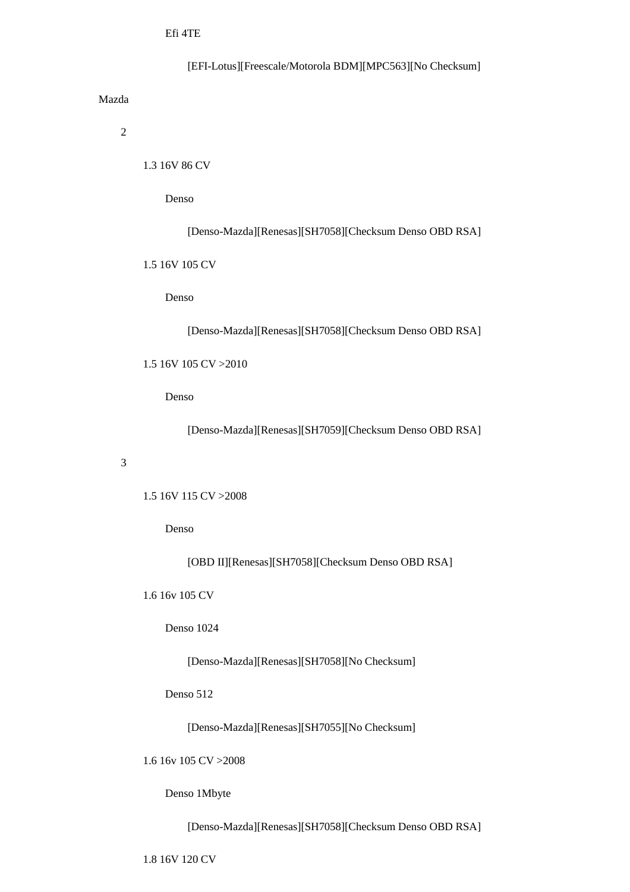[EFI-Lotus][Freescale/Motorola BDM][MPC563][No Checksum]

Mazda

2

1.3 16V 86 CV

Denso

[Denso-Mazda][Renesas][SH7058][Checksum Denso OBD RSA]

1.5 16V 105 CV

Denso

[Denso-Mazda][Renesas][SH7058][Checksum Denso OBD RSA]

1.5 16V 105 CV >2010

Denso

[Denso-Mazda][Renesas][SH7059][Checksum Denso OBD RSA]

3

1.5 16V 115 CV >2008

Denso

[OBD II][Renesas][SH7058][Checksum Denso OBD RSA]

1.6 16v 105 CV

Denso 1024

[Denso-Mazda][Renesas][SH7058][No Checksum]

Denso 512

[Denso-Mazda][Renesas][SH7055][No Checksum]

1.6 16v 105 CV >2008

Denso 1Mbyte

[Denso-Mazda][Renesas][SH7058][Checksum Denso OBD RSA]

1.8 16V 120 CV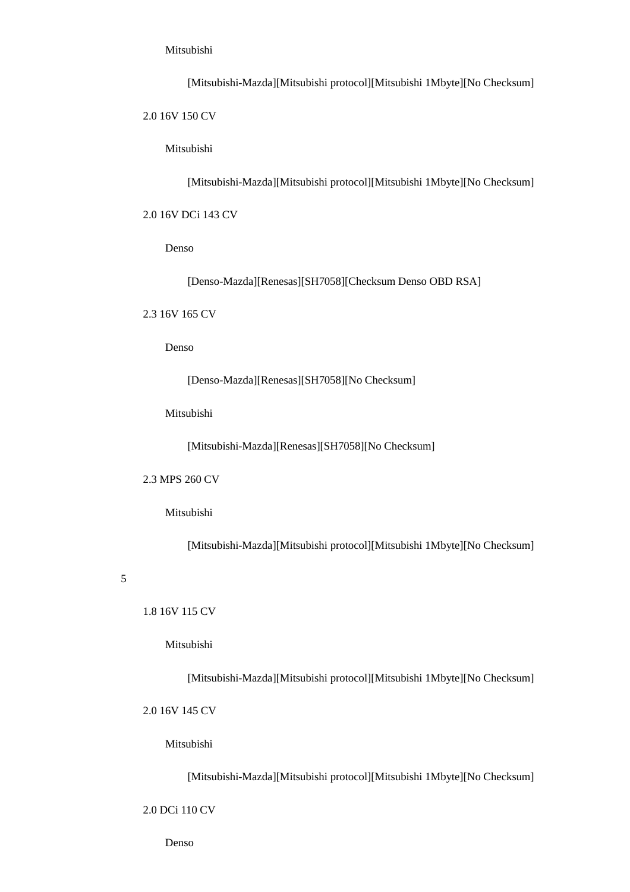### Mitsubishi

[Mitsubishi-Mazda][Mitsubishi protocol][Mitsubishi 1Mbyte][No Checksum]

2.0 16V 150 CV

Mitsubishi

[Mitsubishi-Mazda][Mitsubishi protocol][Mitsubishi 1Mbyte][No Checksum]

# 2.0 16V DCi 143 CV

Denso

[Denso-Mazda][Renesas][SH7058][Checksum Denso OBD RSA]

2.3 16V 165 CV

Denso

[Denso-Mazda][Renesas][SH7058][No Checksum]

Mitsubishi

[Mitsubishi-Mazda][Renesas][SH7058][No Checksum]

#### 2.3 MPS 260 CV

Mitsubishi

[Mitsubishi-Mazda][Mitsubishi protocol][Mitsubishi 1Mbyte][No Checksum]

#### 5

1.8 16V 115 CV

Mitsubishi

[Mitsubishi-Mazda][Mitsubishi protocol][Mitsubishi 1Mbyte][No Checksum]

2.0 16V 145 CV

Mitsubishi

[Mitsubishi-Mazda][Mitsubishi protocol][Mitsubishi 1Mbyte][No Checksum]

2.0 DCi 110 CV

Denso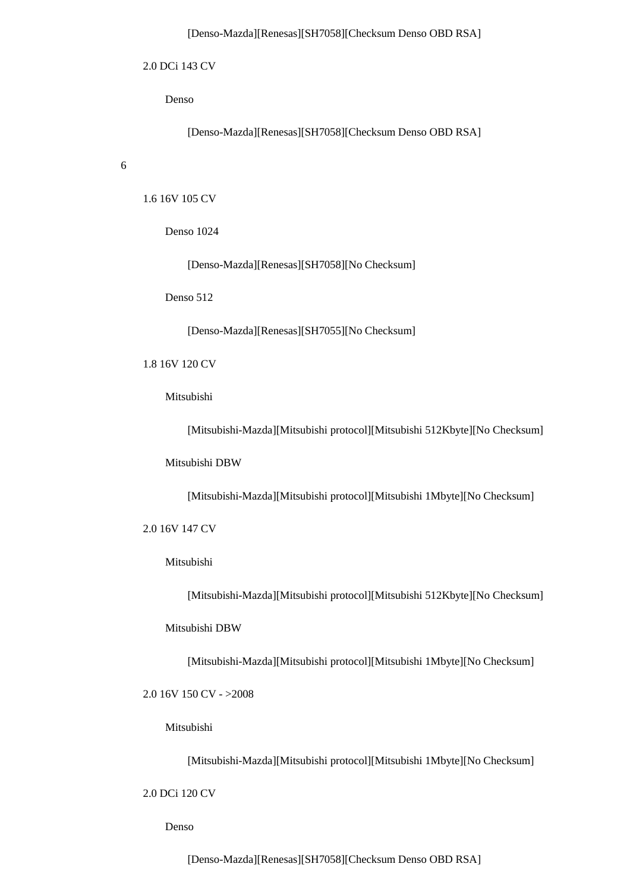#### [Denso-Mazda][Renesas][SH7058][Checksum Denso OBD RSA]

#### 2.0 DCi 143 CV

Denso

[Denso-Mazda][Renesas][SH7058][Checksum Denso OBD RSA]

6

1.6 16V 105 CV

Denso 1024

[Denso-Mazda][Renesas][SH7058][No Checksum]

Denso 512

[Denso-Mazda][Renesas][SH7055][No Checksum]

### 1.8 16V 120 CV

Mitsubishi

[Mitsubishi-Mazda][Mitsubishi protocol][Mitsubishi 512Kbyte][No Checksum]

Mitsubishi DBW

[Mitsubishi-Mazda][Mitsubishi protocol][Mitsubishi 1Mbyte][No Checksum]

2.0 16V 147 CV

#### Mitsubishi

[Mitsubishi-Mazda][Mitsubishi protocol][Mitsubishi 512Kbyte][No Checksum]

Mitsubishi DBW

[Mitsubishi-Mazda][Mitsubishi protocol][Mitsubishi 1Mbyte][No Checksum]

2.0 16V 150 CV - >2008

Mitsubishi

[Mitsubishi-Mazda][Mitsubishi protocol][Mitsubishi 1Mbyte][No Checksum]

2.0 DCi 120 CV

Denso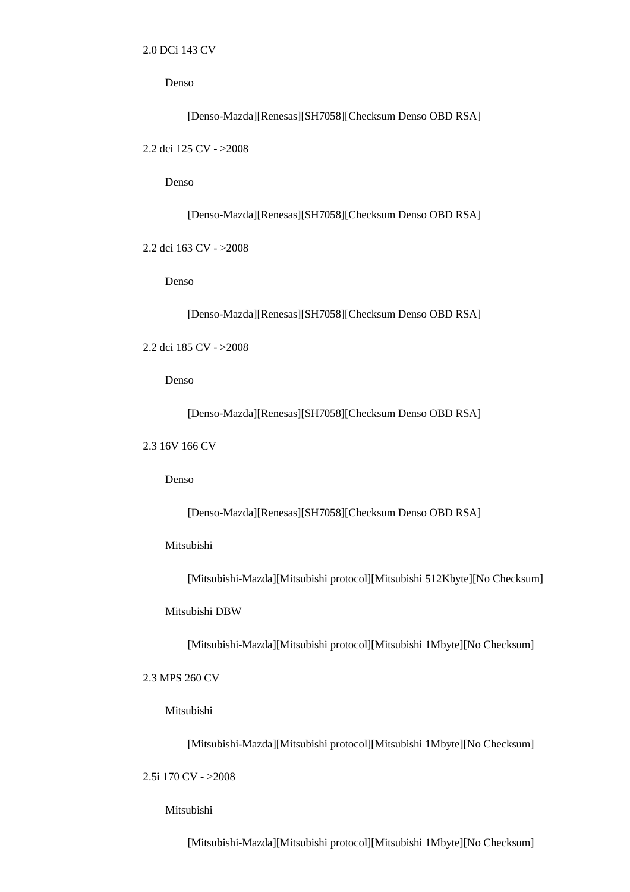[Denso-Mazda][Renesas][SH7058][Checksum Denso OBD RSA]

2.2 dci 125 CV - >2008

Denso

[Denso-Mazda][Renesas][SH7058][Checksum Denso OBD RSA]

2.2 dci 163 CV - >2008

Denso

[Denso-Mazda][Renesas][SH7058][Checksum Denso OBD RSA]

2.2 dci 185 CV - >2008

Denso

[Denso-Mazda][Renesas][SH7058][Checksum Denso OBD RSA]

2.3 16V 166 CV

Denso

[Denso-Mazda][Renesas][SH7058][Checksum Denso OBD RSA]

### Mitsubishi

[Mitsubishi-Mazda][Mitsubishi protocol][Mitsubishi 512Kbyte][No Checksum]

### Mitsubishi DBW

[Mitsubishi-Mazda][Mitsubishi protocol][Mitsubishi 1Mbyte][No Checksum]

### 2.3 MPS 260 CV

Mitsubishi

[Mitsubishi-Mazda][Mitsubishi protocol][Mitsubishi 1Mbyte][No Checksum]

2.5i 170 CV - >2008

Mitsubishi

[Mitsubishi-Mazda][Mitsubishi protocol][Mitsubishi 1Mbyte][No Checksum]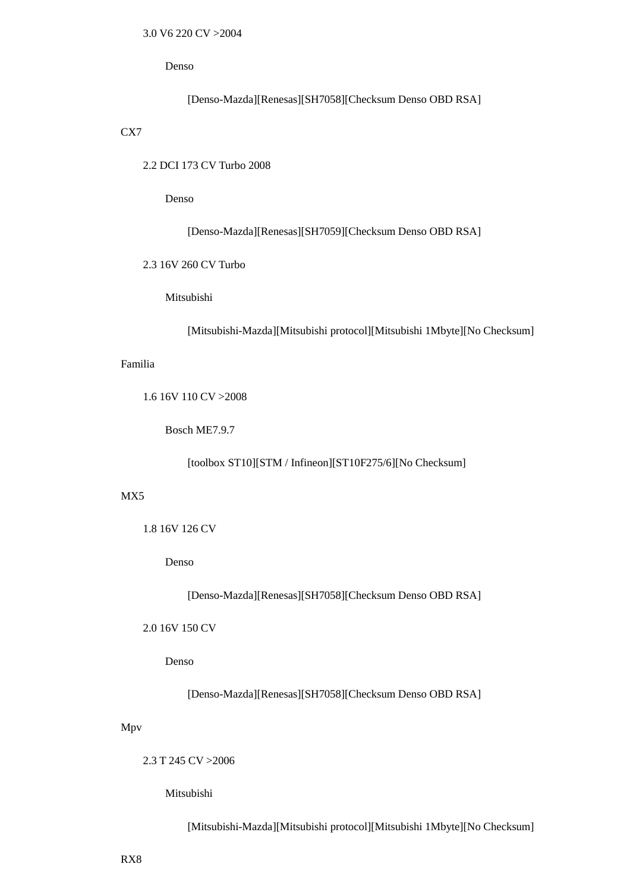[Denso-Mazda][Renesas][SH7058][Checksum Denso OBD RSA]

CX7

2.2 DCI 173 CV Turbo 2008

Denso

[Denso-Mazda][Renesas][SH7059][Checksum Denso OBD RSA]

2.3 16V 260 CV Turbo

Mitsubishi

[Mitsubishi-Mazda][Mitsubishi protocol][Mitsubishi 1Mbyte][No Checksum]

## Familia

1.6 16V 110 CV >2008

Bosch ME7.9.7

[toolbox ST10][STM / Infineon][ST10F275/6][No Checksum]

# MX5

```
 1.8 16V 126 CV
```
Denso

[Denso-Mazda][Renesas][SH7058][Checksum Denso OBD RSA]

# 2.0 16V 150 CV

Denso

[Denso-Mazda][Renesas][SH7058][Checksum Denso OBD RSA]

# Mpv

2.3 T 245 CV >2006

Mitsubishi

[Mitsubishi-Mazda][Mitsubishi protocol][Mitsubishi 1Mbyte][No Checksum]

RX8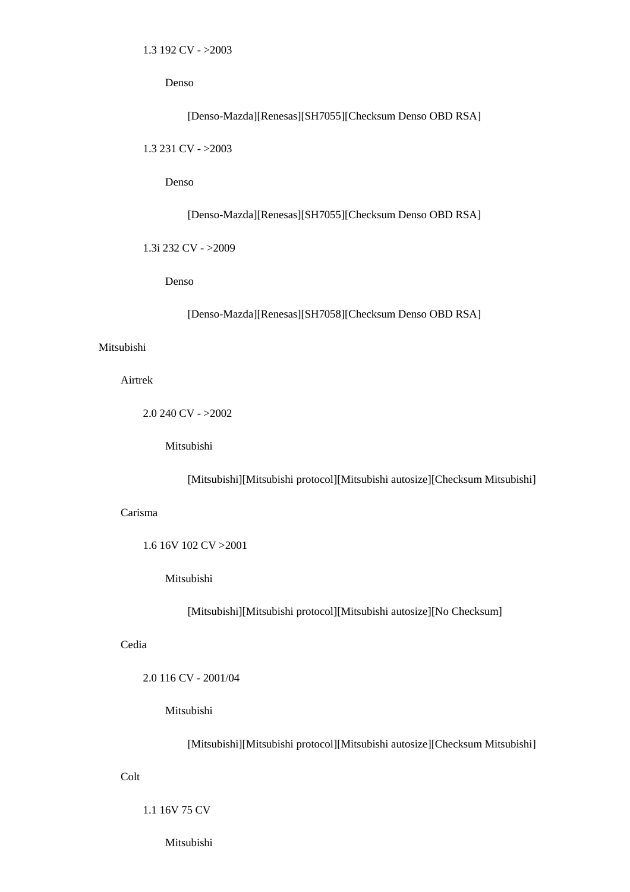[Denso-Mazda][Renesas][SH7055][Checksum Denso OBD RSA]

1.3 231 CV - >2003

Denso

[Denso-Mazda][Renesas][SH7055][Checksum Denso OBD RSA]

1.3i 232 CV - >2009

Denso

[Denso-Mazda][Renesas][SH7058][Checksum Denso OBD RSA]

#### Mitsubishi

Airtrek

 $2.0$  240 CV -  $>2002$ 

Mitsubishi

[Mitsubishi][Mitsubishi protocol][Mitsubishi autosize][Checksum Mitsubishi]

## Carisma

1.6 16V 102 CV >2001

Mitsubishi

[Mitsubishi][Mitsubishi protocol][Mitsubishi autosize][No Checksum]

# Cedia

2.0 116 CV - 2001/04

#### Mitsubishi

[Mitsubishi][Mitsubishi protocol][Mitsubishi autosize][Checksum Mitsubishi]

# Colt

1.1 16V 75 CV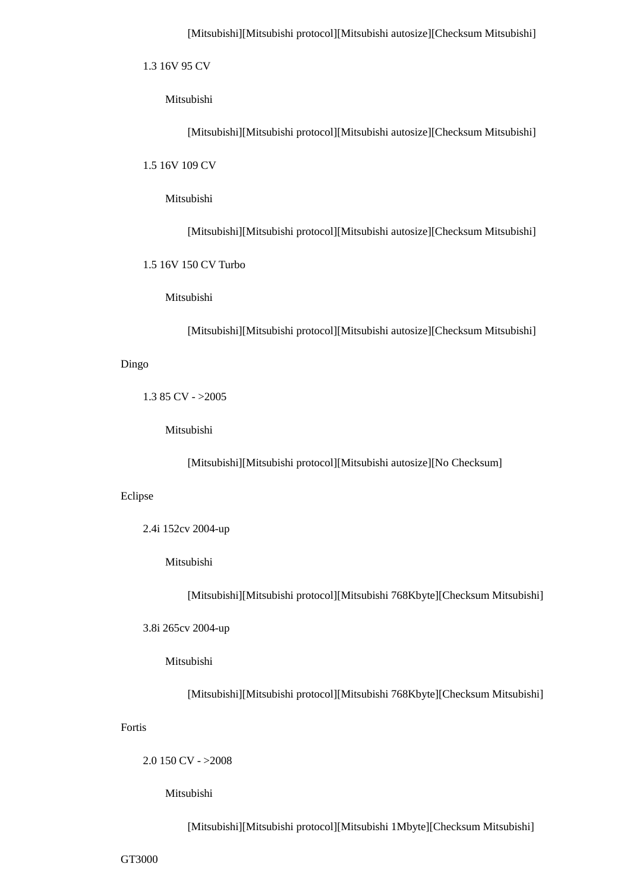## [Mitsubishi][Mitsubishi protocol][Mitsubishi autosize][Checksum Mitsubishi]

1.3 16V 95 CV

Mitsubishi

[Mitsubishi][Mitsubishi protocol][Mitsubishi autosize][Checksum Mitsubishi]

1.5 16V 109 CV

Mitsubishi

[Mitsubishi][Mitsubishi protocol][Mitsubishi autosize][Checksum Mitsubishi]

1.5 16V 150 CV Turbo

Mitsubishi

[Mitsubishi][Mitsubishi protocol][Mitsubishi autosize][Checksum Mitsubishi]

Dingo

1.3 85 CV - >2005

Mitsubishi

[Mitsubishi][Mitsubishi protocol][Mitsubishi autosize][No Checksum]

#### Eclipse

2.4i 152cv 2004-up

Mitsubishi

[Mitsubishi][Mitsubishi protocol][Mitsubishi 768Kbyte][Checksum Mitsubishi]

3.8i 265cv 2004-up

Mitsubishi

[Mitsubishi][Mitsubishi protocol][Mitsubishi 768Kbyte][Checksum Mitsubishi]

# Fortis

2.0 150 CV - >2008

Mitsubishi

[Mitsubishi][Mitsubishi protocol][Mitsubishi 1Mbyte][Checksum Mitsubishi]

GT3000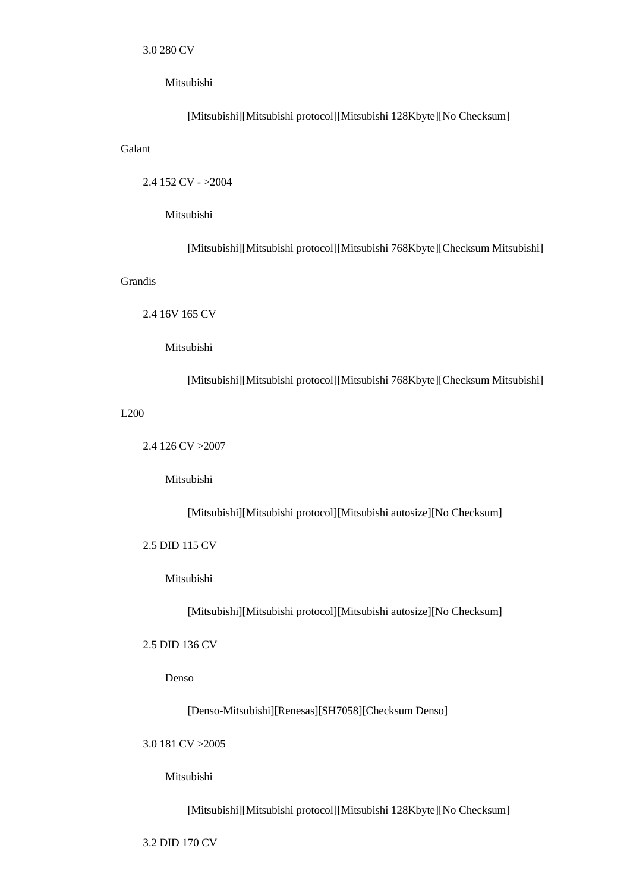### Mitsubishi

[Mitsubishi][Mitsubishi protocol][Mitsubishi 128Kbyte][No Checksum]

2.4 152 CV - >2004

### Mitsubishi

[Mitsubishi][Mitsubishi protocol][Mitsubishi 768Kbyte][Checksum Mitsubishi]

# Grandis

Galant

2.4 16V 165 CV

Mitsubishi

[Mitsubishi][Mitsubishi protocol][Mitsubishi 768Kbyte][Checksum Mitsubishi]

### L200

2.4 126 CV >2007

Mitsubishi

[Mitsubishi][Mitsubishi protocol][Mitsubishi autosize][No Checksum]

# 2.5 DID 115 CV

Mitsubishi

[Mitsubishi][Mitsubishi protocol][Mitsubishi autosize][No Checksum]

# 2.5 DID 136 CV

Denso

[Denso-Mitsubishi][Renesas][SH7058][Checksum Denso]

3.0 181 CV >2005

Mitsubishi

[Mitsubishi][Mitsubishi protocol][Mitsubishi 128Kbyte][No Checksum]

3.2 DID 170 CV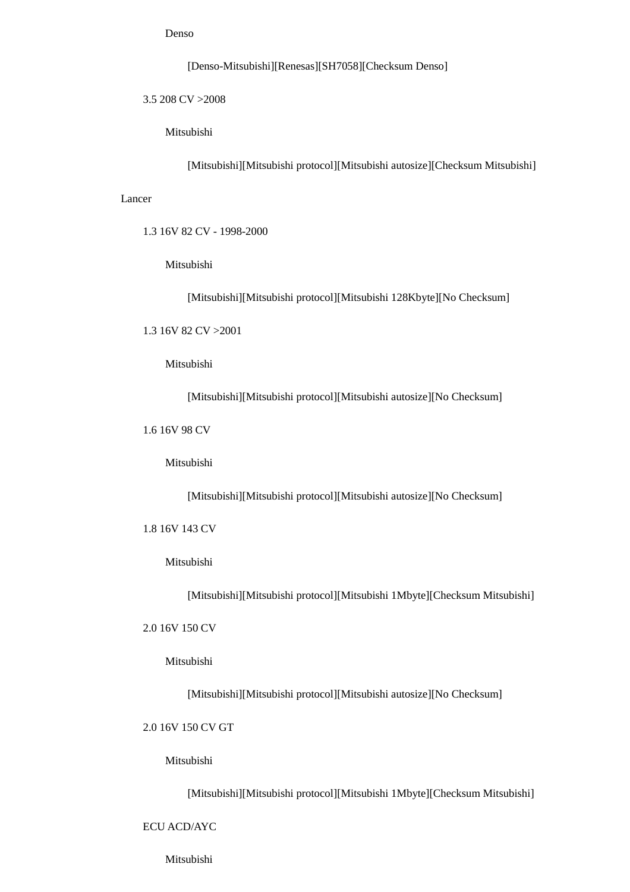[Denso-Mitsubishi][Renesas][SH7058][Checksum Denso]

3.5 208 CV >2008

Mitsubishi

[Mitsubishi][Mitsubishi protocol][Mitsubishi autosize][Checksum Mitsubishi]

Lancer

1.3 16V 82 CV - 1998-2000

Mitsubishi

[Mitsubishi][Mitsubishi protocol][Mitsubishi 128Kbyte][No Checksum]

1.3 16V 82 CV >2001

Mitsubishi

[Mitsubishi][Mitsubishi protocol][Mitsubishi autosize][No Checksum]

1.6 16V 98 CV

Mitsubishi

[Mitsubishi][Mitsubishi protocol][Mitsubishi autosize][No Checksum]

1.8 16V 143 CV

Mitsubishi

[Mitsubishi][Mitsubishi protocol][Mitsubishi 1Mbyte][Checksum Mitsubishi]

2.0 16V 150 CV

Mitsubishi

[Mitsubishi][Mitsubishi protocol][Mitsubishi autosize][No Checksum]

2.0 16V 150 CV GT

Mitsubishi

[Mitsubishi][Mitsubishi protocol][Mitsubishi 1Mbyte][Checksum Mitsubishi]

ECU ACD/AYC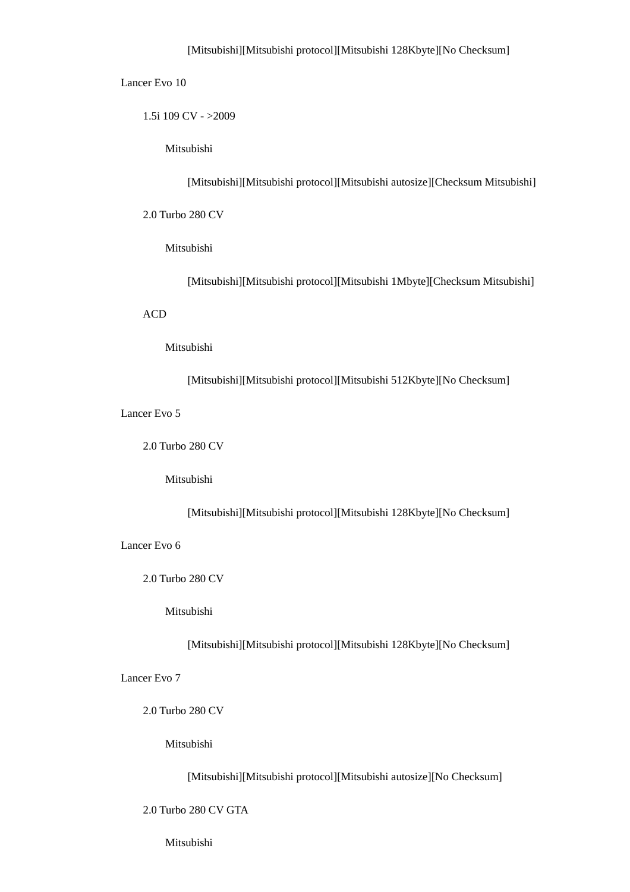### [Mitsubishi][Mitsubishi protocol][Mitsubishi 128Kbyte][No Checksum]

#### Lancer Evo 10

1.5i 109 CV - >2009

Mitsubishi

[Mitsubishi][Mitsubishi protocol][Mitsubishi autosize][Checksum Mitsubishi]

2.0 Turbo 280 CV

Mitsubishi

[Mitsubishi][Mitsubishi protocol][Mitsubishi 1Mbyte][Checksum Mitsubishi]

## ACD

#### Mitsubishi

[Mitsubishi][Mitsubishi protocol][Mitsubishi 512Kbyte][No Checksum]

Lancer Evo 5

2.0 Turbo 280 CV

Mitsubishi

[Mitsubishi][Mitsubishi protocol][Mitsubishi 128Kbyte][No Checksum]

Lancer Evo 6

2.0 Turbo 280 CV

Mitsubishi

[Mitsubishi][Mitsubishi protocol][Mitsubishi 128Kbyte][No Checksum]

Lancer Evo 7

2.0 Turbo 280 CV

Mitsubishi

[Mitsubishi][Mitsubishi protocol][Mitsubishi autosize][No Checksum]

2.0 Turbo 280 CV GTA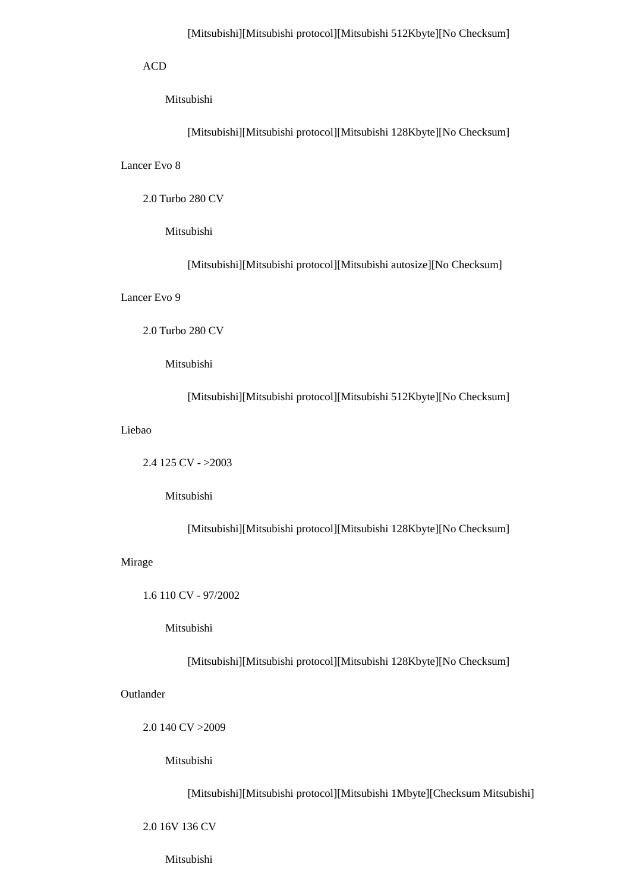### ACD

# Mitsubishi

[Mitsubishi][Mitsubishi protocol][Mitsubishi 128Kbyte][No Checksum]

Lancer Evo 8

2.0 Turbo 280 CV

Mitsubishi

[Mitsubishi][Mitsubishi protocol][Mitsubishi autosize][No Checksum]

Lancer Evo 9

2.0 Turbo 280 CV

Mitsubishi

[Mitsubishi][Mitsubishi protocol][Mitsubishi 512Kbyte][No Checksum]

Liebao

2.4 125 CV - >2003

Mitsubishi

[Mitsubishi][Mitsubishi protocol][Mitsubishi 128Kbyte][No Checksum]

#### Mirage

1.6 110 CV - 97/2002

Mitsubishi

[Mitsubishi][Mitsubishi protocol][Mitsubishi 128Kbyte][No Checksum]

Outlander

2.0 140 CV >2009

Mitsubishi

[Mitsubishi][Mitsubishi protocol][Mitsubishi 1Mbyte][Checksum Mitsubishi]

2.0 16V 136 CV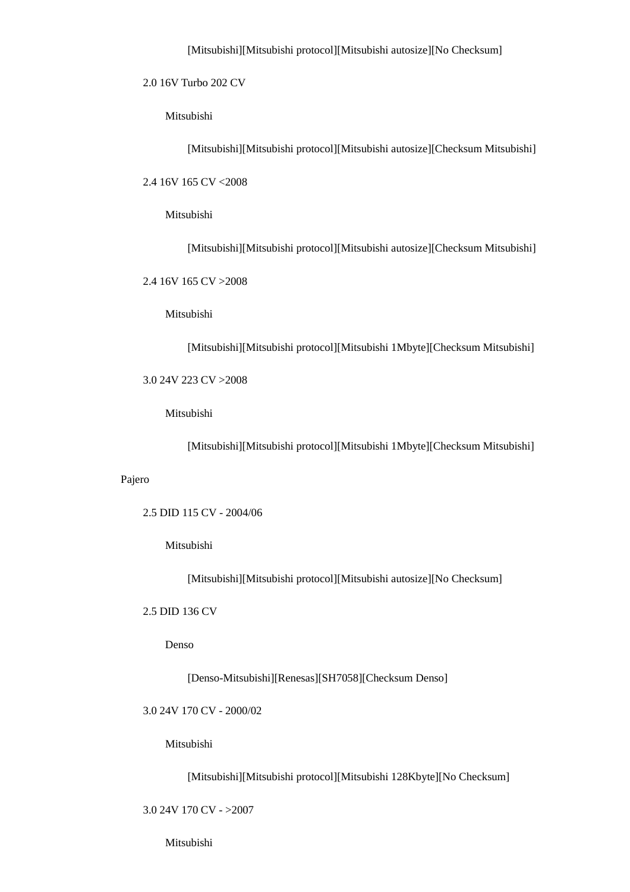2.0 16V Turbo 202 CV

Mitsubishi

[Mitsubishi][Mitsubishi protocol][Mitsubishi autosize][Checksum Mitsubishi]

2.4 16V 165 CV <2008

Mitsubishi

[Mitsubishi][Mitsubishi protocol][Mitsubishi autosize][Checksum Mitsubishi]

2.4 16V 165 CV >2008

Mitsubishi

[Mitsubishi][Mitsubishi protocol][Mitsubishi 1Mbyte][Checksum Mitsubishi]

3.0 24V 223 CV >2008

Mitsubishi

[Mitsubishi][Mitsubishi protocol][Mitsubishi 1Mbyte][Checksum Mitsubishi]

Pajero

2.5 DID 115 CV - 2004/06

Mitsubishi

[Mitsubishi][Mitsubishi protocol][Mitsubishi autosize][No Checksum]

2.5 DID 136 CV

Denso

[Denso-Mitsubishi][Renesas][SH7058][Checksum Denso]

3.0 24V 170 CV - 2000/02

Mitsubishi

[Mitsubishi][Mitsubishi protocol][Mitsubishi 128Kbyte][No Checksum]

3.0 24V 170 CV - >2007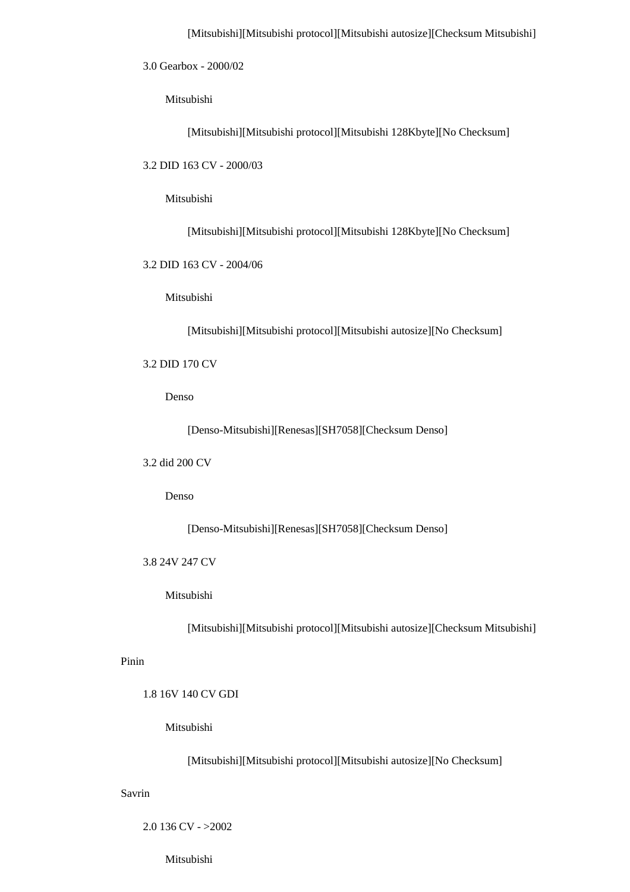3.0 Gearbox - 2000/02

Mitsubishi

[Mitsubishi][Mitsubishi protocol][Mitsubishi 128Kbyte][No Checksum]

3.2 DID 163 CV - 2000/03

Mitsubishi

[Mitsubishi][Mitsubishi protocol][Mitsubishi 128Kbyte][No Checksum]

3.2 DID 163 CV - 2004/06

Mitsubishi

[Mitsubishi][Mitsubishi protocol][Mitsubishi autosize][No Checksum]

3.2 DID 170 CV

Denso

[Denso-Mitsubishi][Renesas][SH7058][Checksum Denso]

3.2 did 200 CV

Denso

[Denso-Mitsubishi][Renesas][SH7058][Checksum Denso]

3.8 24V 247 CV

Mitsubishi

[Mitsubishi][Mitsubishi protocol][Mitsubishi autosize][Checksum Mitsubishi]

Pinin

1.8 16V 140 CV GDI

Mitsubishi

[Mitsubishi][Mitsubishi protocol][Mitsubishi autosize][No Checksum]

Savrin

2.0 136 CV - >2002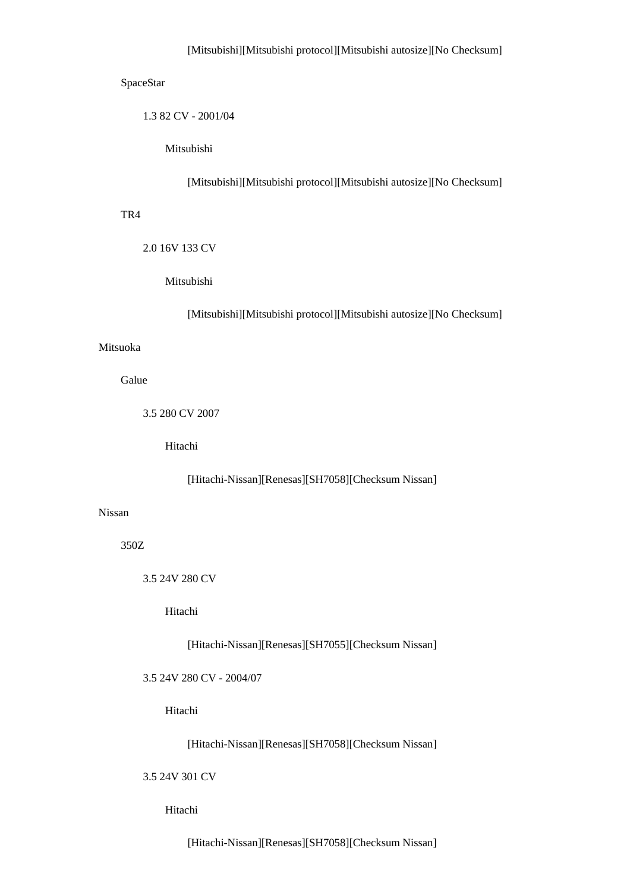## SpaceStar

1.3 82 CV - 2001/04

Mitsubishi

[Mitsubishi][Mitsubishi protocol][Mitsubishi autosize][No Checksum]

## TR4

2.0 16V 133 CV

Mitsubishi

[Mitsubishi][Mitsubishi protocol][Mitsubishi autosize][No Checksum]

## Mitsuoka

Galue

3.5 280 CV 2007

Hitachi

[Hitachi-Nissan][Renesas][SH7058][Checksum Nissan]

## Nissan

350Z

3.5 24V 280 CV

Hitachi

[Hitachi-Nissan][Renesas][SH7055][Checksum Nissan]

3.5 24V 280 CV - 2004/07

Hitachi

[Hitachi-Nissan][Renesas][SH7058][Checksum Nissan]

3.5 24V 301 CV

Hitachi

[Hitachi-Nissan][Renesas][SH7058][Checksum Nissan]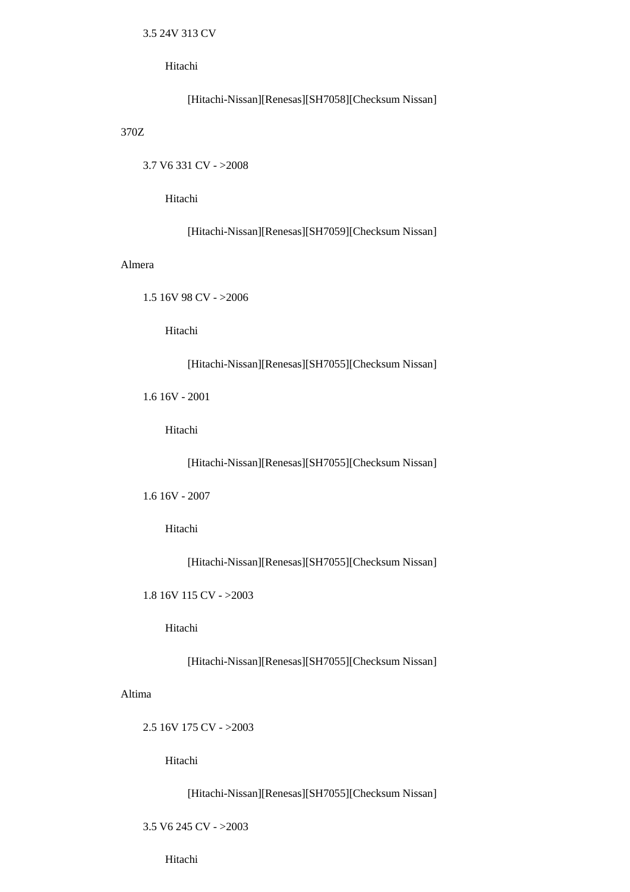Hitachi

[Hitachi-Nissan][Renesas][SH7058][Checksum Nissan]

370Z

3.7 V6 331 CV - >2008

Hitachi

[Hitachi-Nissan][Renesas][SH7059][Checksum Nissan]

#### Almera

1.5 16V 98 CV - >2006

Hitachi

[Hitachi-Nissan][Renesas][SH7055][Checksum Nissan]

1.6 16V - 2001

Hitachi

[Hitachi-Nissan][Renesas][SH7055][Checksum Nissan]

1.6 16V - 2007

Hitachi

[Hitachi-Nissan][Renesas][SH7055][Checksum Nissan]

1.8 16V 115 CV - >2003

Hitachi

[Hitachi-Nissan][Renesas][SH7055][Checksum Nissan]

Altima

2.5 16V 175 CV - >2003

Hitachi

[Hitachi-Nissan][Renesas][SH7055][Checksum Nissan]

3.5 V6 245 CV - >2003

Hitachi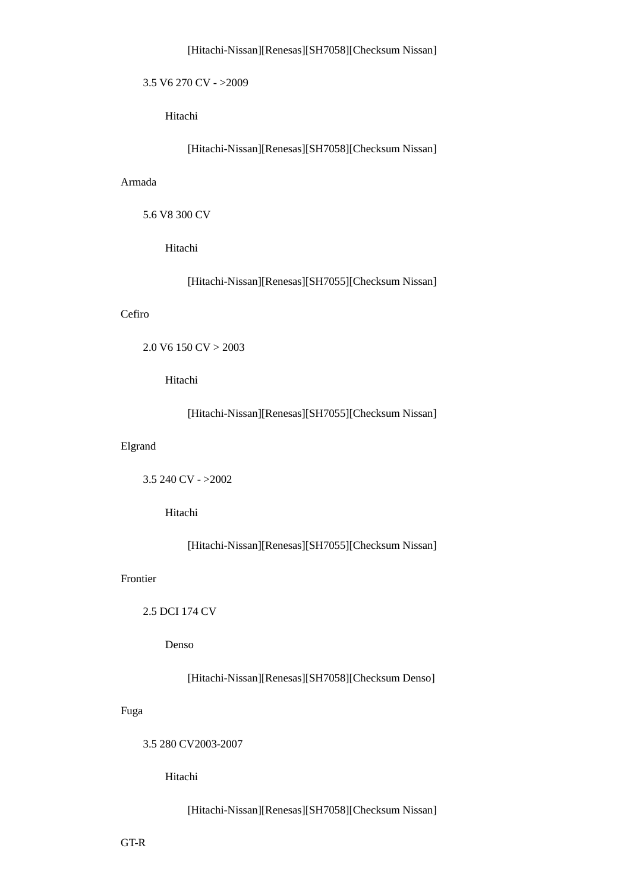## [Hitachi-Nissan][Renesas][SH7058][Checksum Nissan]

# 3.5 V6 270 CV - >2009

Hitachi

[Hitachi-Nissan][Renesas][SH7058][Checksum Nissan]

## Armada

5.6 V8 300 CV

Hitachi

[Hitachi-Nissan][Renesas][SH7055][Checksum Nissan]

# Cefiro

```
 2.0 V6 150 CV > 2003
```
Hitachi

[Hitachi-Nissan][Renesas][SH7055][Checksum Nissan]

# Elgrand

```
 3.5 240 CV - >2002
```
Hitachi

[Hitachi-Nissan][Renesas][SH7055][Checksum Nissan]

# Frontier

2.5 DCI 174 CV

Denso

[Hitachi-Nissan][Renesas][SH7058][Checksum Denso]

# Fuga

3.5 280 CV2003-2007

Hitachi

[Hitachi-Nissan][Renesas][SH7058][Checksum Nissan]

GT-R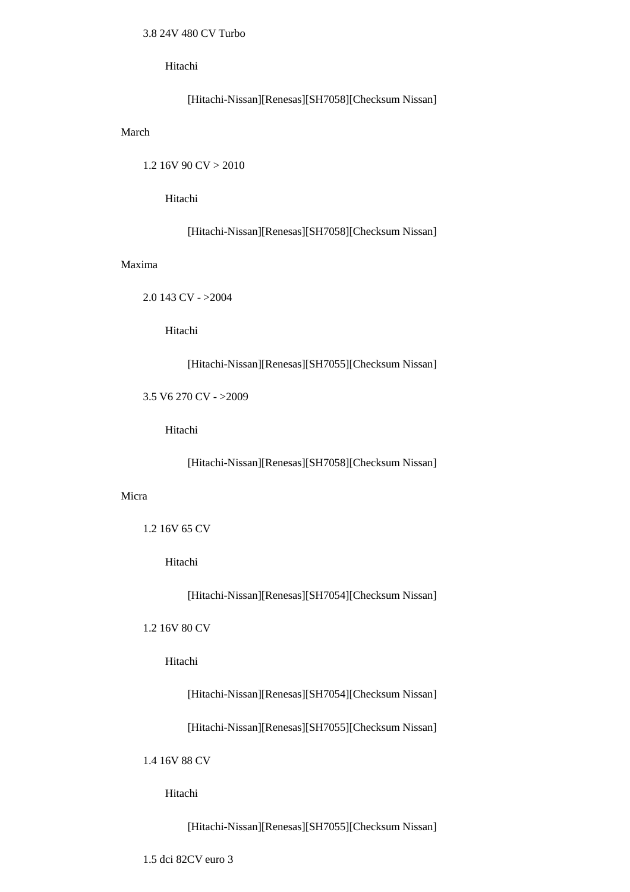# 3.8 24V 480 CV Turbo

Hitachi

```
 [Hitachi-Nissan][Renesas][SH7058][Checksum Nissan]
```
# March

1.2 16V 90 CV > 2010

Hitachi

[Hitachi-Nissan][Renesas][SH7058][Checksum Nissan]

# Maxima

2.0 143 CV - >2004

Hitachi

## [Hitachi-Nissan][Renesas][SH7055][Checksum Nissan]

3.5 V6 270 CV - >2009

Hitachi

[Hitachi-Nissan][Renesas][SH7058][Checksum Nissan]

## Micra

```
 1.2 16V 65 CV
```
Hitachi

[Hitachi-Nissan][Renesas][SH7054][Checksum Nissan]

# 1.2 16V 80 CV

Hitachi

[Hitachi-Nissan][Renesas][SH7054][Checksum Nissan]

[Hitachi-Nissan][Renesas][SH7055][Checksum Nissan]

1.4 16V 88 CV

Hitachi

[Hitachi-Nissan][Renesas][SH7055][Checksum Nissan]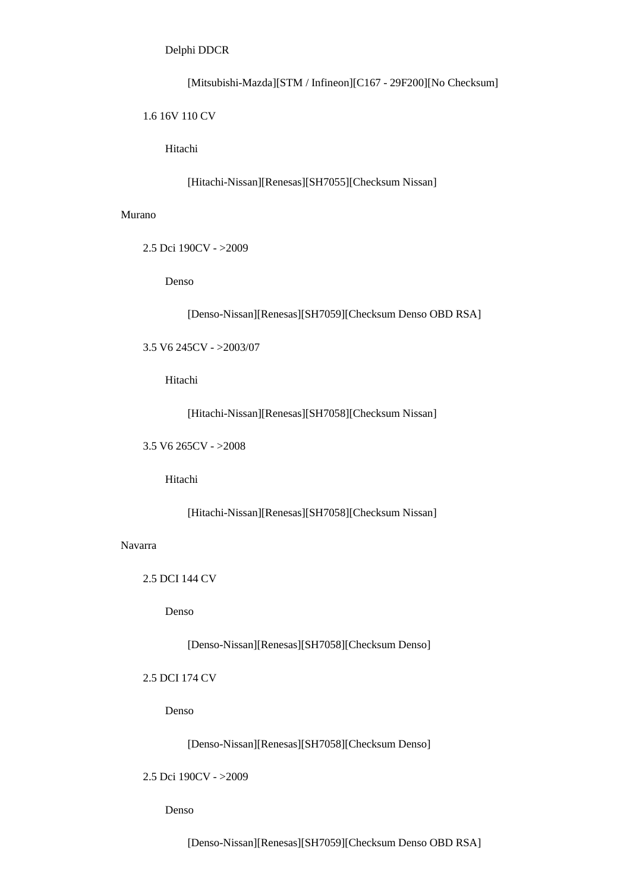[Mitsubishi-Mazda][STM / Infineon][C167 - 29F200][No Checksum]

### 1.6 16V 110 CV

Hitachi

[Hitachi-Nissan][Renesas][SH7055][Checksum Nissan]

# Murano

2.5 Dci 190CV - >2009

Denso

[Denso-Nissan][Renesas][SH7059][Checksum Denso OBD RSA]

3.5 V6 245CV - >2003/07

Hitachi

[Hitachi-Nissan][Renesas][SH7058][Checksum Nissan]

3.5 V6 265CV - >2008

Hitachi

[Hitachi-Nissan][Renesas][SH7058][Checksum Nissan]

Navarra

2.5 DCI 144 CV

Denso

[Denso-Nissan][Renesas][SH7058][Checksum Denso]

# 2.5 DCI 174 CV

Denso

[Denso-Nissan][Renesas][SH7058][Checksum Denso]

2.5 Dci 190CV - >2009

Denso

[Denso-Nissan][Renesas][SH7059][Checksum Denso OBD RSA]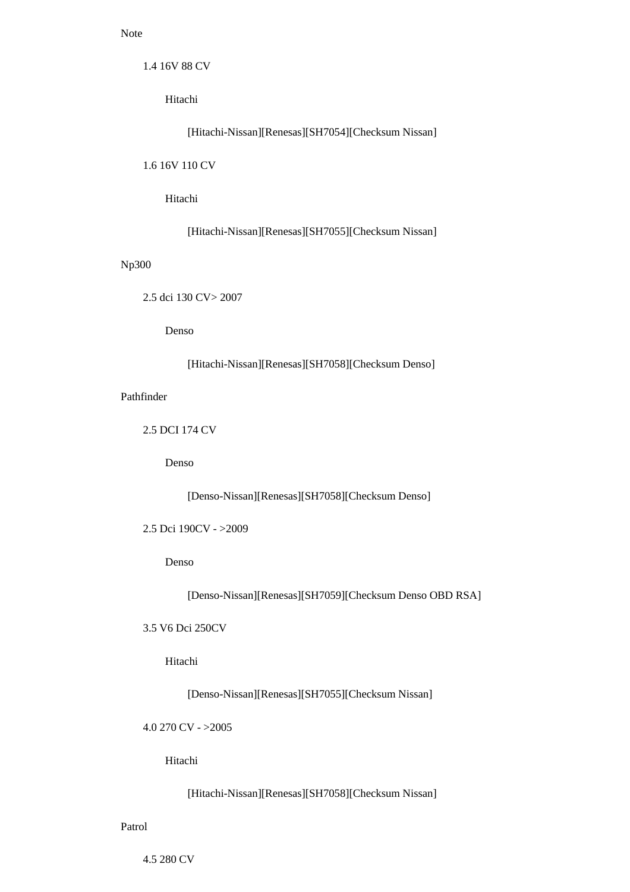# Note

1.4 16V 88 CV

Hitachi

[Hitachi-Nissan][Renesas][SH7054][Checksum Nissan]

1.6 16V 110 CV

Hitachi

[Hitachi-Nissan][Renesas][SH7055][Checksum Nissan]

# Np300

2.5 dci 130 CV> 2007

Denso

[Hitachi-Nissan][Renesas][SH7058][Checksum Denso]

Pathfinder

2.5 DCI 174 CV

Denso

[Denso-Nissan][Renesas][SH7058][Checksum Denso]

```
 2.5 Dci 190CV - >2009
```
Denso

[Denso-Nissan][Renesas][SH7059][Checksum Denso OBD RSA]

3.5 V6 Dci 250CV

Hitachi

[Denso-Nissan][Renesas][SH7055][Checksum Nissan]

4.0 270 CV - >2005

Hitachi

[Hitachi-Nissan][Renesas][SH7058][Checksum Nissan]

Patrol

4.5 280 CV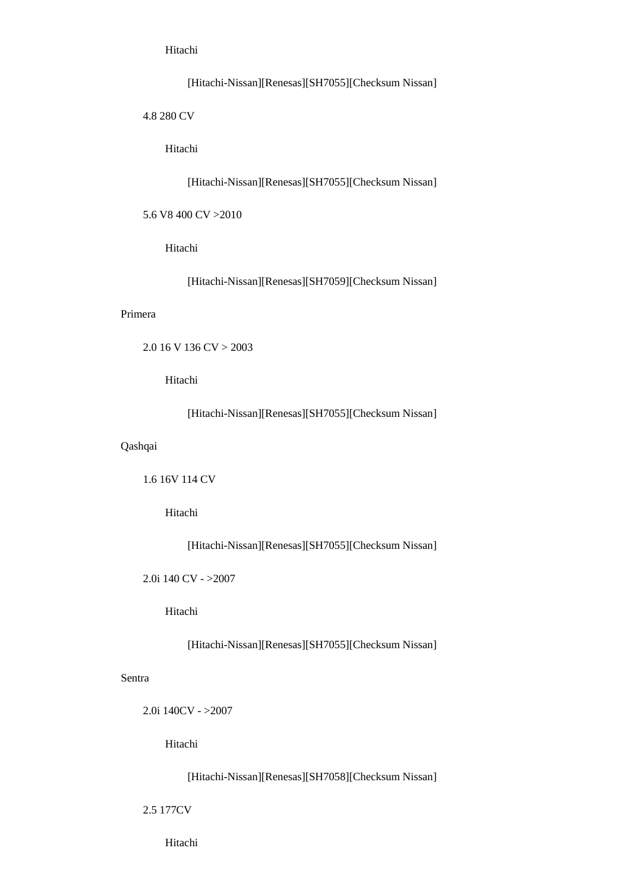Hitachi

[Hitachi-Nissan][Renesas][SH7055][Checksum Nissan]

4.8 280 CV

Hitachi

[Hitachi-Nissan][Renesas][SH7055][Checksum Nissan]

5.6 V8 400 CV >2010

Hitachi

[Hitachi-Nissan][Renesas][SH7059][Checksum Nissan]

#### Primera

```
 2.0 16 V 136 CV > 2003
```
Hitachi

[Hitachi-Nissan][Renesas][SH7055][Checksum Nissan]

# Qashqai

1.6 16V 114 CV

Hitachi

[Hitachi-Nissan][Renesas][SH7055][Checksum Nissan]

2.0i 140 CV - >2007

Hitachi

[Hitachi-Nissan][Renesas][SH7055][Checksum Nissan]

# Sentra

2.0i 140CV - >2007

Hitachi

[Hitachi-Nissan][Renesas][SH7058][Checksum Nissan]

2.5 177CV

Hitachi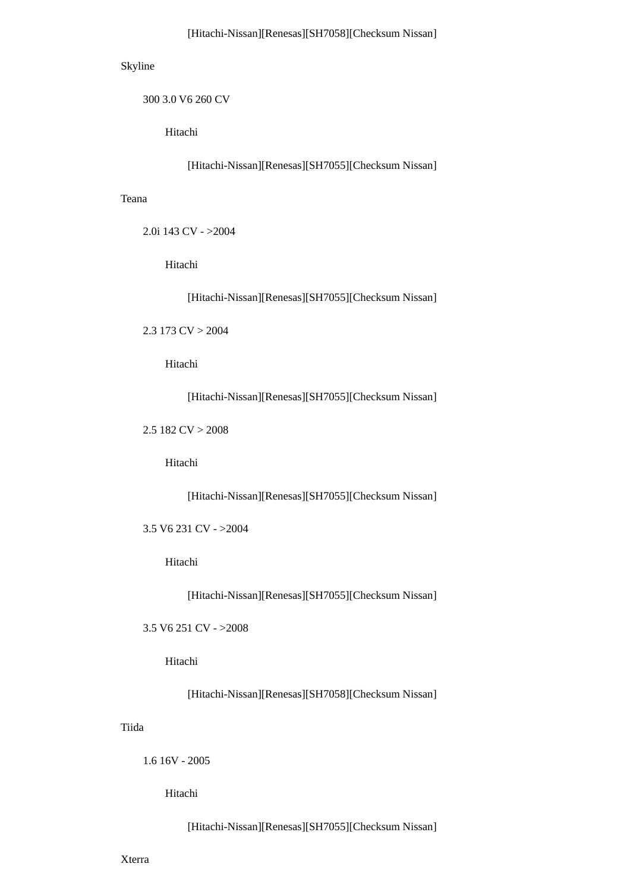# Skyline

300 3.0 V6 260 CV

Hitachi

[Hitachi-Nissan][Renesas][SH7055][Checksum Nissan]

#### Teana

```
 2.0i 143 CV - >2004
```
Hitachi

[Hitachi-Nissan][Renesas][SH7055][Checksum Nissan]

2.3 173  $CV > 2004$ 

Hitachi

[Hitachi-Nissan][Renesas][SH7055][Checksum Nissan]

2.5 182 CV > 2008

Hitachi

[Hitachi-Nissan][Renesas][SH7055][Checksum Nissan]

3.5 V6 231 CV - >2004

Hitachi

[Hitachi-Nissan][Renesas][SH7055][Checksum Nissan]

3.5 V6 251 CV - >2008

Hitachi

[Hitachi-Nissan][Renesas][SH7058][Checksum Nissan]

# Tiida

1.6 16V - 2005

Hitachi

[Hitachi-Nissan][Renesas][SH7055][Checksum Nissan]

Xterra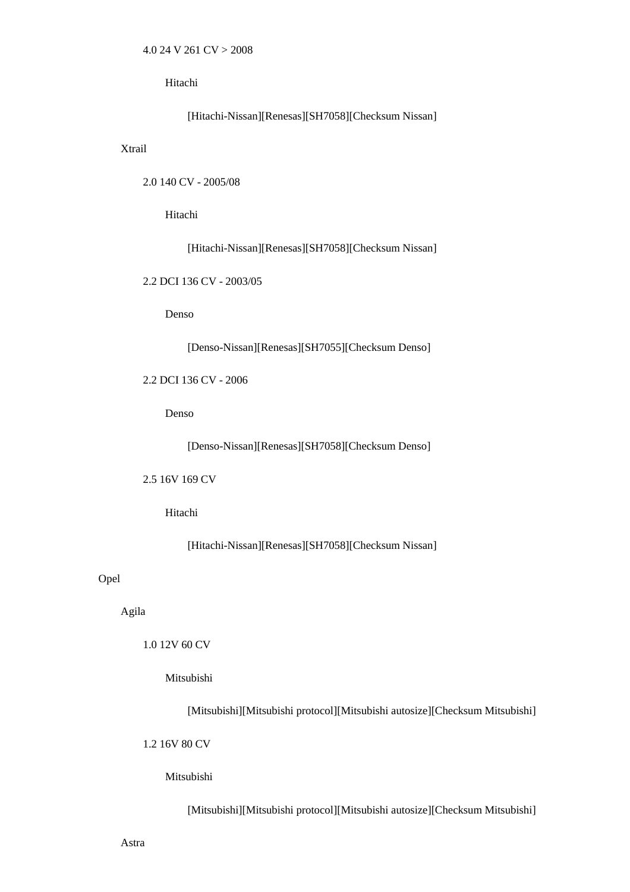Hitachi

[Hitachi-Nissan][Renesas][SH7058][Checksum Nissan]

Xtrail

2.0 140 CV - 2005/08

Hitachi

[Hitachi-Nissan][Renesas][SH7058][Checksum Nissan]

2.2 DCI 136 CV - 2003/05

Denso

[Denso-Nissan][Renesas][SH7055][Checksum Denso]

2.2 DCI 136 CV - 2006

Denso

[Denso-Nissan][Renesas][SH7058][Checksum Denso]

2.5 16V 169 CV

Hitachi

[Hitachi-Nissan][Renesas][SH7058][Checksum Nissan]

Opel

Agila

1.0 12V 60 CV

Mitsubishi

[Mitsubishi][Mitsubishi protocol][Mitsubishi autosize][Checksum Mitsubishi]

1.2 16V 80 CV

Mitsubishi

[Mitsubishi][Mitsubishi protocol][Mitsubishi autosize][Checksum Mitsubishi]

Astra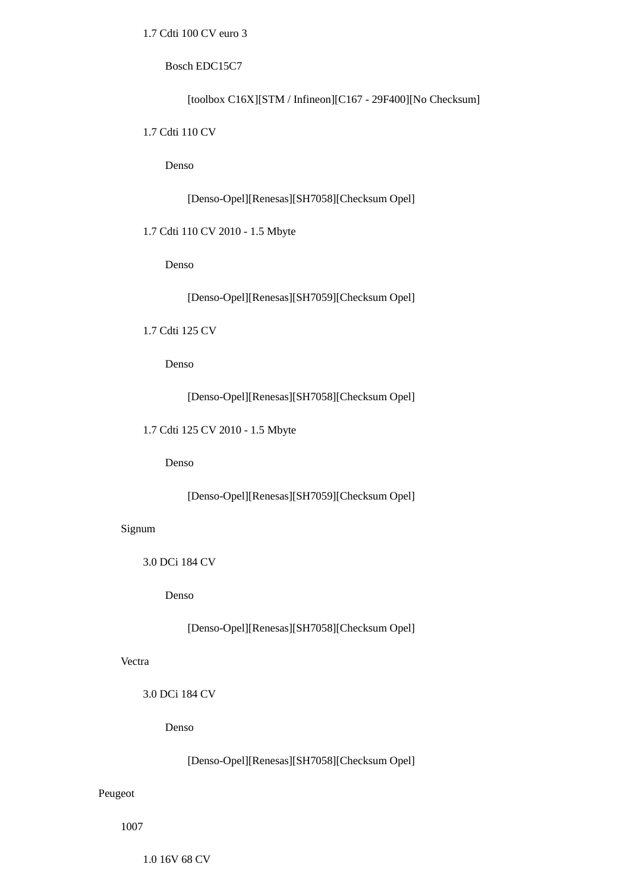# 1.7 Cdti 100 CV euro 3

### Bosch EDC15C7

[toolbox C16X][STM / Infineon][C167 - 29F400][No Checksum]

## 1.7 Cdti 110 CV

Denso

[Denso-Opel][Renesas][SH7058][Checksum Opel]

# 1.7 Cdti 110 CV 2010 - 1.5 Mbyte

Denso

[Denso-Opel][Renesas][SH7059][Checksum Opel]

# 1.7 Cdti 125 CV

Denso

[Denso-Opel][Renesas][SH7058][Checksum Opel]

1.7 Cdti 125 CV 2010 - 1.5 Mbyte

Denso

[Denso-Opel][Renesas][SH7059][Checksum Opel]

# Signum

3.0 DCi 184 CV

Denso

[Denso-Opel][Renesas][SH7058][Checksum Opel]

## Vectra

3.0 DCi 184 CV

Denso

[Denso-Opel][Renesas][SH7058][Checksum Opel]

# Peugeot

1007

1.0 16V 68 CV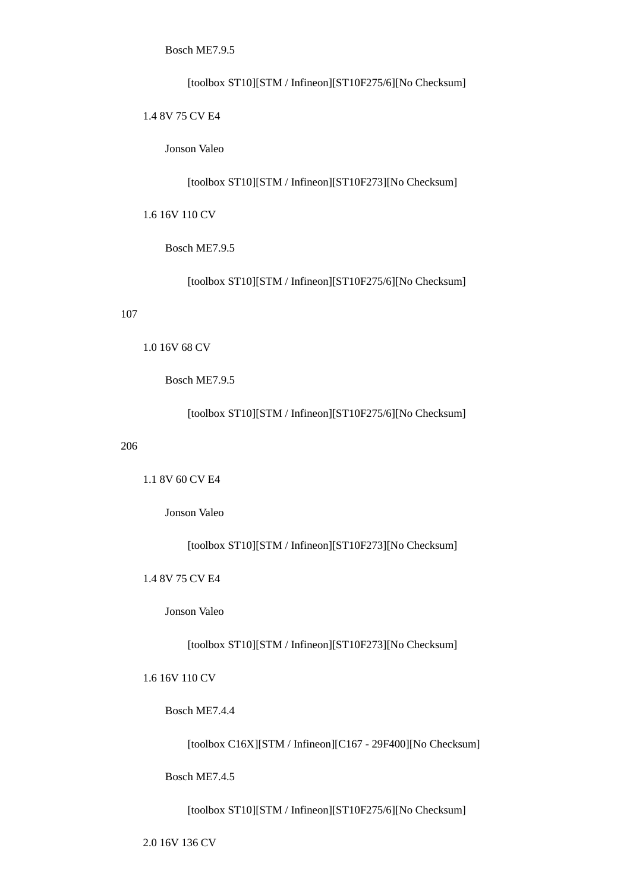Bosch ME7.9.5

[toolbox ST10][STM / Infineon][ST10F275/6][No Checksum]

1.4 8V 75 CV E4

Jonson Valeo

[toolbox ST10][STM / Infineon][ST10F273][No Checksum]

1.6 16V 110 CV

Bosch ME7.9.5

[toolbox ST10][STM / Infineon][ST10F275/6][No Checksum]

#### 107

1.0 16V 68 CV

Bosch ME7.9.5

[toolbox ST10][STM / Infineon][ST10F275/6][No Checksum]

# 206

1.1 8V 60 CV E4

Jonson Valeo

[toolbox ST10][STM / Infineon][ST10F273][No Checksum]

1.4 8V 75 CV E4

Jonson Valeo

[toolbox ST10][STM / Infineon][ST10F273][No Checksum]

1.6 16V 110 CV

Bosch ME7.4.4

[toolbox C16X][STM / Infineon][C167 - 29F400][No Checksum]

Bosch ME7.4.5

[toolbox ST10][STM / Infineon][ST10F275/6][No Checksum]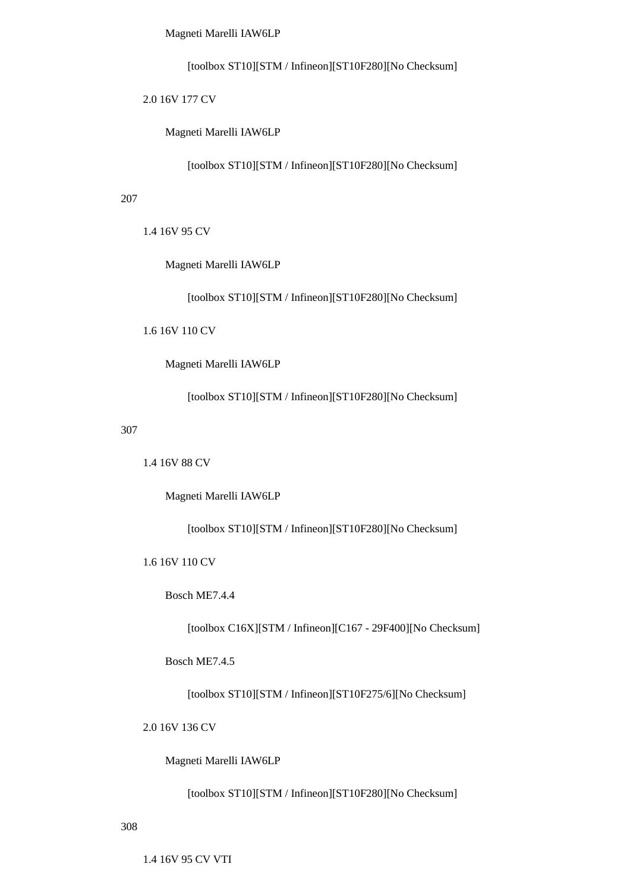Magneti Marelli IAW6LP

[toolbox ST10][STM / Infineon][ST10F280][No Checksum]

2.0 16V 177 CV

Magneti Marelli IAW6LP

[toolbox ST10][STM / Infineon][ST10F280][No Checksum]

207

1.4 16V 95 CV

Magneti Marelli IAW6LP

[toolbox ST10][STM / Infineon][ST10F280][No Checksum]

1.6 16V 110 CV

Magneti Marelli IAW6LP

[toolbox ST10][STM / Infineon][ST10F280][No Checksum]

307

1.4 16V 88 CV

Magneti Marelli IAW6LP

[toolbox ST10][STM / Infineon][ST10F280][No Checksum]

1.6 16V 110 CV

Bosch ME7.4.4

[toolbox C16X][STM / Infineon][C167 - 29F400][No Checksum]

Bosch ME7.4.5

[toolbox ST10][STM / Infineon][ST10F275/6][No Checksum]

2.0 16V 136 CV

Magneti Marelli IAW6LP

[toolbox ST10][STM / Infineon][ST10F280][No Checksum]

308

1.4 16V 95 CV VTI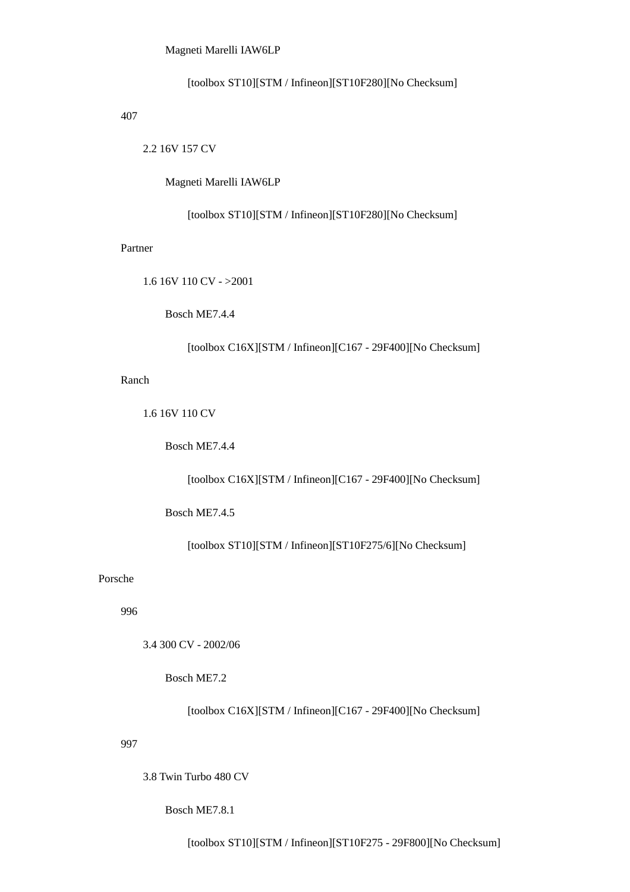## Magneti Marelli IAW6LP

[toolbox ST10][STM / Infineon][ST10F280][No Checksum]

## 407

2.2 16V 157 CV

Magneti Marelli IAW6LP

[toolbox ST10][STM / Infineon][ST10F280][No Checksum]

#### Partner

1.6 16V 110 CV - >2001

Bosch ME7.4.4

[toolbox C16X][STM / Infineon][C167 - 29F400][No Checksum]

# Ranch

1.6 16V 110 CV

Bosch ME7.4.4

[toolbox C16X][STM / Infineon][C167 - 29F400][No Checksum]

Bosch ME7.4.5

[toolbox ST10][STM / Infineon][ST10F275/6][No Checksum]

# Porsche

996

3.4 300 CV - 2002/06

Bosch ME7.2

[toolbox C16X][STM / Infineon][C167 - 29F400][No Checksum]

### 997

3.8 Twin Turbo 480 CV

Bosch ME7.8.1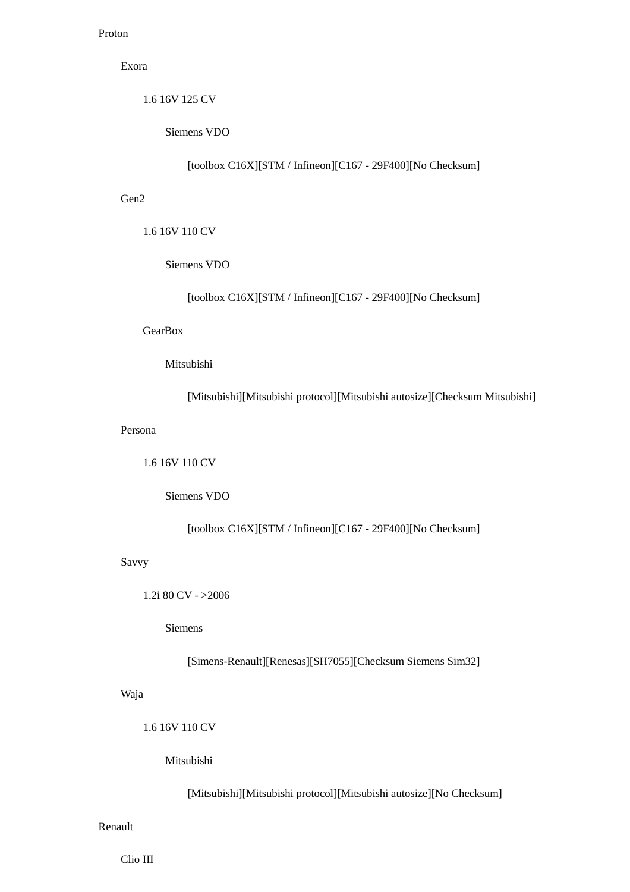# Proton

# Exora

1.6 16V 125 CV

Siemens VDO

[toolbox C16X][STM / Infineon][C167 - 29F400][No Checksum]

# Gen2

1.6 16V 110 CV

Siemens VDO

[toolbox C16X][STM / Infineon][C167 - 29F400][No Checksum]

# **GearBox**

# Mitsubishi

[Mitsubishi][Mitsubishi protocol][Mitsubishi autosize][Checksum Mitsubishi]

## Persona

1.6 16V 110 CV

Siemens VDO

[toolbox C16X][STM / Infineon][C167 - 29F400][No Checksum]

# Savvy

1.2i 80 CV - >2006

Siemens

[Simens-Renault][Renesas][SH7055][Checksum Siemens Sim32]

# Waja

1.6 16V 110 CV

# Mitsubishi

[Mitsubishi][Mitsubishi protocol][Mitsubishi autosize][No Checksum]

## Renault

Clio III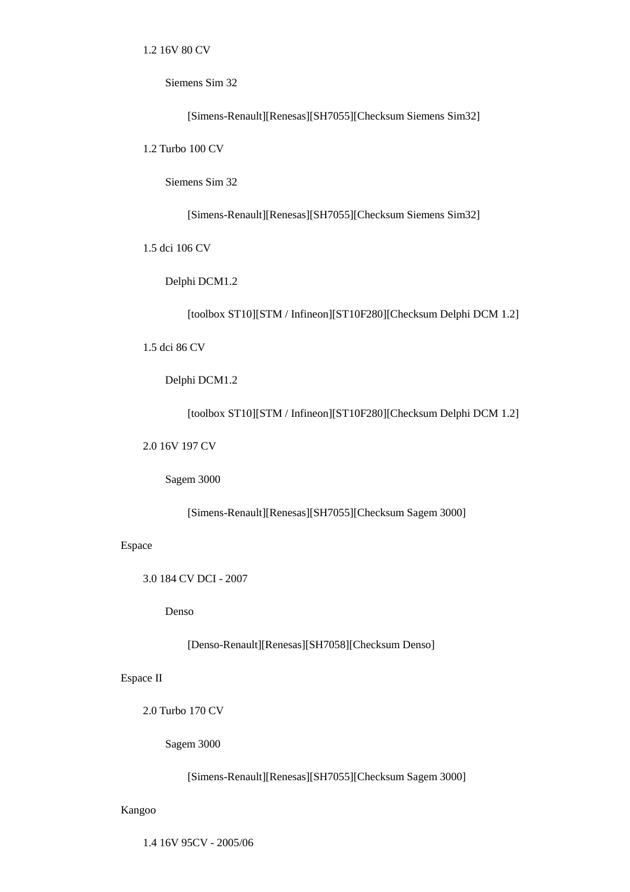1.2 16V 80 CV

Siemens Sim 32

[Simens-Renault][Renesas][SH7055][Checksum Siemens Sim32]

1.2 Turbo 100 CV

Siemens Sim 32

[Simens-Renault][Renesas][SH7055][Checksum Siemens Sim32]

1.5 dci 106 CV

Delphi DCM1.2

[toolbox ST10][STM / Infineon][ST10F280][Checksum Delphi DCM 1.2]

1.5 dci 86 CV

Delphi DCM1.2

[toolbox ST10][STM / Infineon][ST10F280][Checksum Delphi DCM 1.2]

2.0 16V 197 CV

Sagem 3000

[Simens-Renault][Renesas][SH7055][Checksum Sagem 3000]

Espace

3.0 184 CV DCI - 2007

Denso

[Denso-Renault][Renesas][SH7058][Checksum Denso]

Espace II

2.0 Turbo 170 CV

Sagem 3000

[Simens-Renault][Renesas][SH7055][Checksum Sagem 3000]

Kangoo

1.4 16V 95CV - 2005/06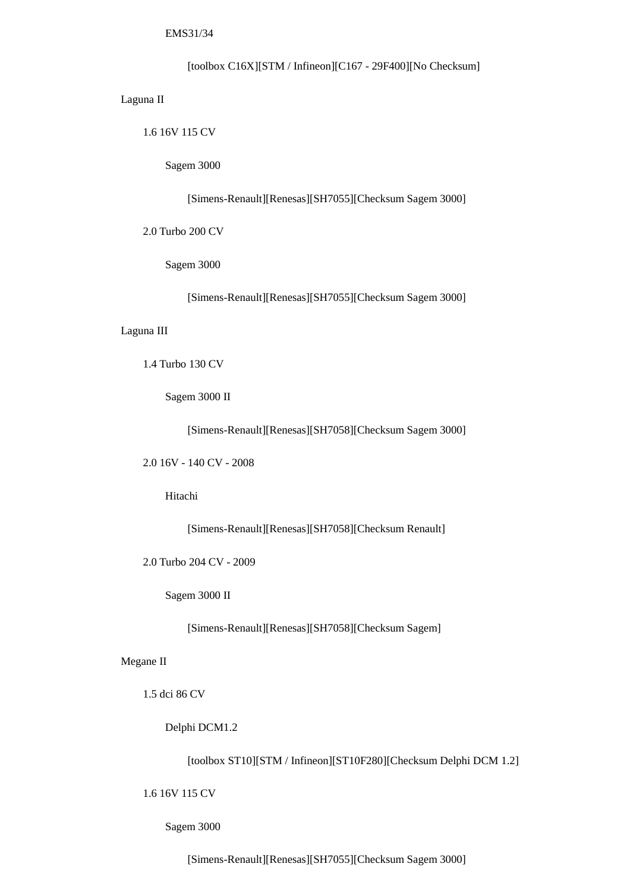EMS31/34

[toolbox C16X][STM / Infineon][C167 - 29F400][No Checksum]

Laguna II

1.6 16V 115 CV

Sagem 3000

[Simens-Renault][Renesas][SH7055][Checksum Sagem 3000]

2.0 Turbo 200 CV

Sagem 3000

[Simens-Renault][Renesas][SH7055][Checksum Sagem 3000]

Laguna III

1.4 Turbo 130 CV

Sagem 3000 II

[Simens-Renault][Renesas][SH7058][Checksum Sagem 3000]

2.0 16V - 140 CV - 2008

Hitachi

[Simens-Renault][Renesas][SH7058][Checksum Renault]

2.0 Turbo 204 CV - 2009

Sagem 3000 II

[Simens-Renault][Renesas][SH7058][Checksum Sagem]

Megane II

1.5 dci 86 CV

Delphi DCM1.2

[toolbox ST10][STM / Infineon][ST10F280][Checksum Delphi DCM 1.2]

1.6 16V 115 CV

Sagem 3000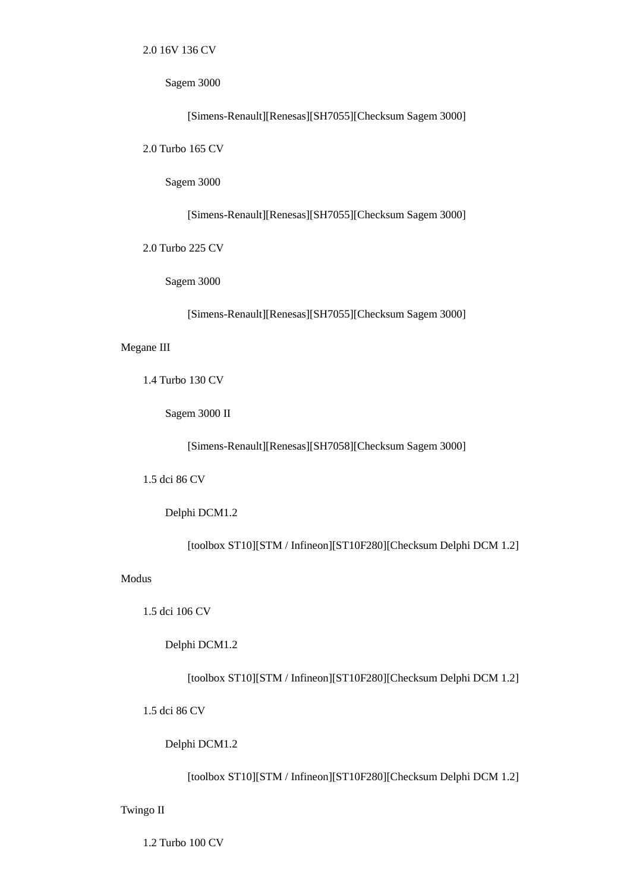2.0 16V 136 CV

Sagem 3000

[Simens-Renault][Renesas][SH7055][Checksum Sagem 3000]

2.0 Turbo 165 CV

Sagem 3000

[Simens-Renault][Renesas][SH7055][Checksum Sagem 3000]

2.0 Turbo 225 CV

Sagem 3000

[Simens-Renault][Renesas][SH7055][Checksum Sagem 3000]

# Megane III

1.4 Turbo 130 CV

Sagem 3000 II

[Simens-Renault][Renesas][SH7058][Checksum Sagem 3000]

1.5 dci 86 CV

Delphi DCM1.2

[toolbox ST10][STM / Infineon][ST10F280][Checksum Delphi DCM 1.2]

# Modus

1.5 dci 106 CV

Delphi DCM1.2

[toolbox ST10][STM / Infineon][ST10F280][Checksum Delphi DCM 1.2]

1.5 dci 86 CV

Delphi DCM1.2

[toolbox ST10][STM / Infineon][ST10F280][Checksum Delphi DCM 1.2]

Twingo II

1.2 Turbo 100 CV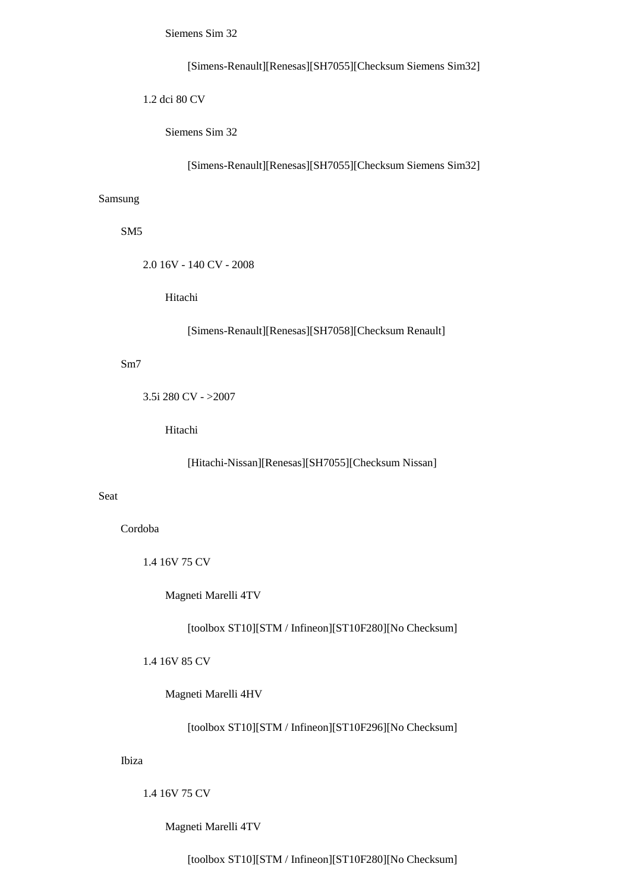Siemens Sim 32

[Simens-Renault][Renesas][SH7055][Checksum Siemens Sim32]

1.2 dci 80 CV

Siemens Sim 32

[Simens-Renault][Renesas][SH7055][Checksum Siemens Sim32]

### Samsung

SM5

2.0 16V - 140 CV - 2008

Hitachi

[Simens-Renault][Renesas][SH7058][Checksum Renault]

Sm7

3.5i 280 CV - >2007

Hitachi

[Hitachi-Nissan][Renesas][SH7055][Checksum Nissan]

## Seat

Cordoba

1.4 16V 75 CV

Magneti Marelli 4TV

[toolbox ST10][STM / Infineon][ST10F280][No Checksum]

1.4 16V 85 CV

Magneti Marelli 4HV

[toolbox ST10][STM / Infineon][ST10F296][No Checksum]

## Ibiza

1.4 16V 75 CV

Magneti Marelli 4TV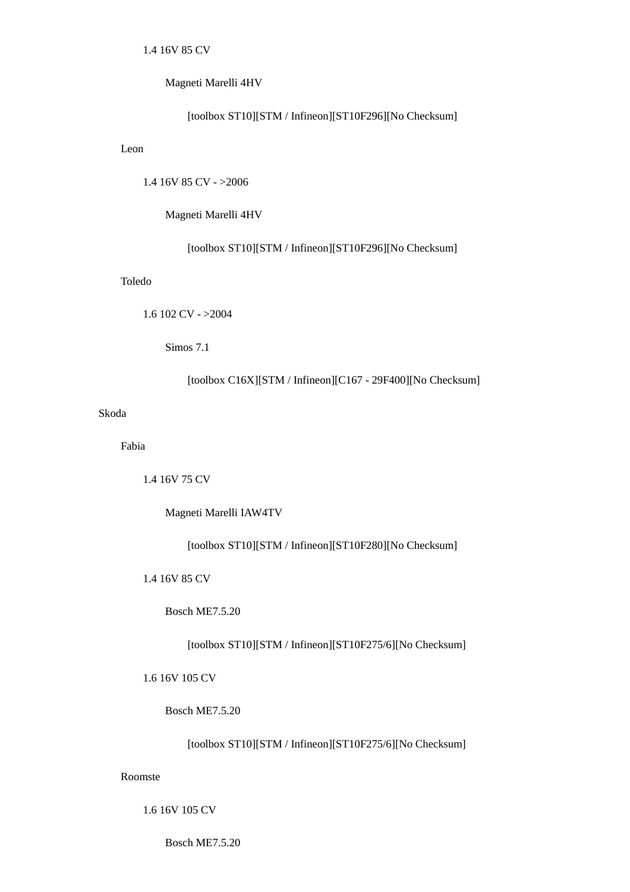## Magneti Marelli 4HV

#### [toolbox ST10][STM / Infineon][ST10F296][No Checksum]

## Leon

1.4 16V 85 CV - >2006

# Magneti Marelli 4HV

[toolbox ST10][STM / Infineon][ST10F296][No Checksum]

# Toledo

```
 1.6 102 CV - >2004
```
Simos 7.1

[toolbox C16X][STM / Infineon][C167 - 29F400][No Checksum]

# Skoda

Fabia

1.4 16V 75 CV

Magneti Marelli IAW4TV

[toolbox ST10][STM / Infineon][ST10F280][No Checksum]

1.4 16V 85 CV

Bosch ME7.5.20

[toolbox ST10][STM / Infineon][ST10F275/6][No Checksum]

1.6 16V 105 CV

Bosch ME7.5.20

[toolbox ST10][STM / Infineon][ST10F275/6][No Checksum]

#### Roomste

1.6 16V 105 CV

Bosch ME7.5.20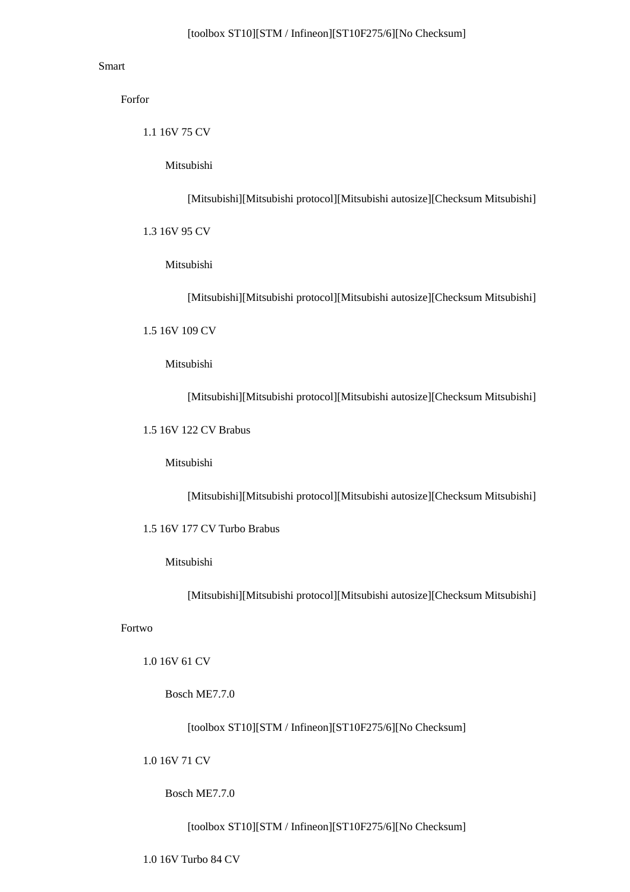# Smart

Forfor

1.1 16V 75 CV

Mitsubishi

[Mitsubishi][Mitsubishi protocol][Mitsubishi autosize][Checksum Mitsubishi]

1.3 16V 95 CV

Mitsubishi

[Mitsubishi][Mitsubishi protocol][Mitsubishi autosize][Checksum Mitsubishi]

1.5 16V 109 CV

Mitsubishi

[Mitsubishi][Mitsubishi protocol][Mitsubishi autosize][Checksum Mitsubishi]

1.5 16V 122 CV Brabus

Mitsubishi

[Mitsubishi][Mitsubishi protocol][Mitsubishi autosize][Checksum Mitsubishi]

1.5 16V 177 CV Turbo Brabus

#### Mitsubishi

[Mitsubishi][Mitsubishi protocol][Mitsubishi autosize][Checksum Mitsubishi]

Fortwo

1.0 16V 61 CV

Bosch ME7.7.0

[toolbox ST10][STM / Infineon][ST10F275/6][No Checksum]

1.0 16V 71 CV

Bosch ME7.7.0

[toolbox ST10][STM / Infineon][ST10F275/6][No Checksum]

1.0 16V Turbo 84 CV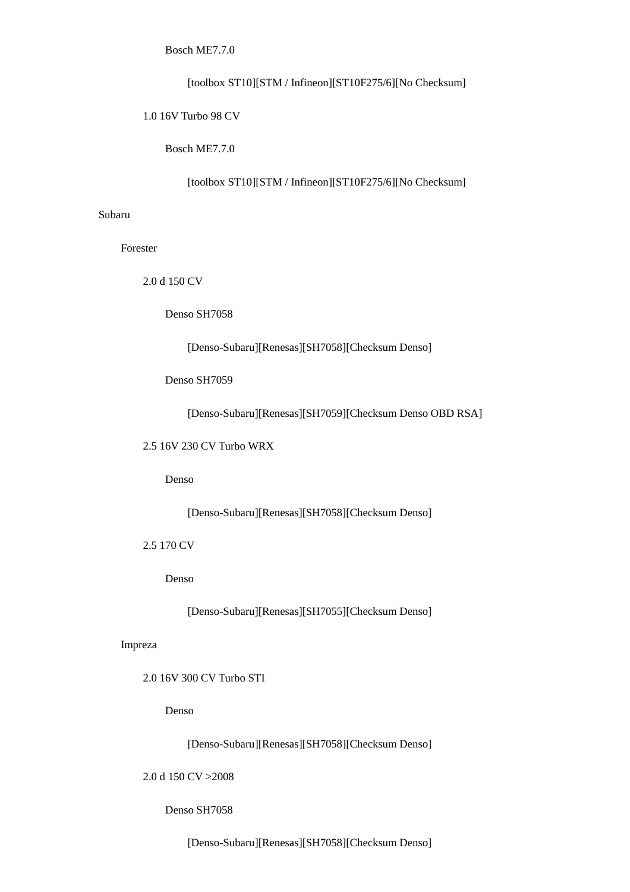Bosch ME7.7.0

[toolbox ST10][STM / Infineon][ST10F275/6][No Checksum]

1.0 16V Turbo 98 CV

Bosch ME7.7.0

[toolbox ST10][STM / Infineon][ST10F275/6][No Checksum]

# Subaru

Forester

2.0 d 150 CV

Denso SH7058

[Denso-Subaru][Renesas][SH7058][Checksum Denso]

Denso SH7059

[Denso-Subaru][Renesas][SH7059][Checksum Denso OBD RSA]

2.5 16V 230 CV Turbo WRX

Denso

[Denso-Subaru][Renesas][SH7058][Checksum Denso]

2.5 170 CV

Denso

[Denso-Subaru][Renesas][SH7055][Checksum Denso]

## Impreza

2.0 16V 300 CV Turbo STI

Denso

[Denso-Subaru][Renesas][SH7058][Checksum Denso]

2.0 d 150 CV >2008

## Denso SH7058

[Denso-Subaru][Renesas][SH7058][Checksum Denso]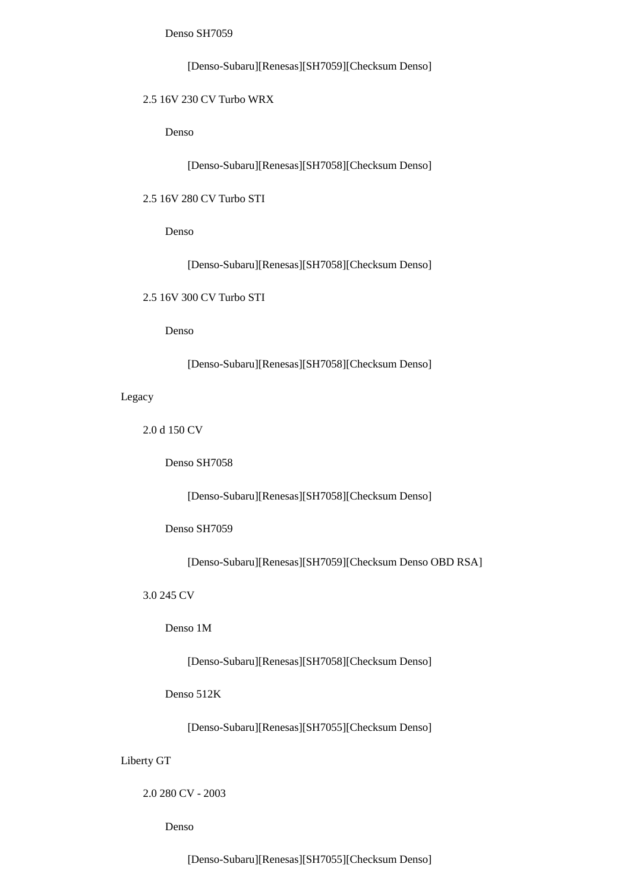Denso SH7059

[Denso-Subaru][Renesas][SH7059][Checksum Denso]

# 2.5 16V 230 CV Turbo WRX

Denso

[Denso-Subaru][Renesas][SH7058][Checksum Denso]

2.5 16V 280 CV Turbo STI

Denso

[Denso-Subaru][Renesas][SH7058][Checksum Denso]

2.5 16V 300 CV Turbo STI

Denso

[Denso-Subaru][Renesas][SH7058][Checksum Denso]

Legacy

2.0 d 150 CV

Denso SH7058

[Denso-Subaru][Renesas][SH7058][Checksum Denso]

Denso SH7059

[Denso-Subaru][Renesas][SH7059][Checksum Denso OBD RSA]

3.0 245 CV

Denso 1M

[Denso-Subaru][Renesas][SH7058][Checksum Denso]

Denso 512K

[Denso-Subaru][Renesas][SH7055][Checksum Denso]

Liberty GT

2.0 280 CV - 2003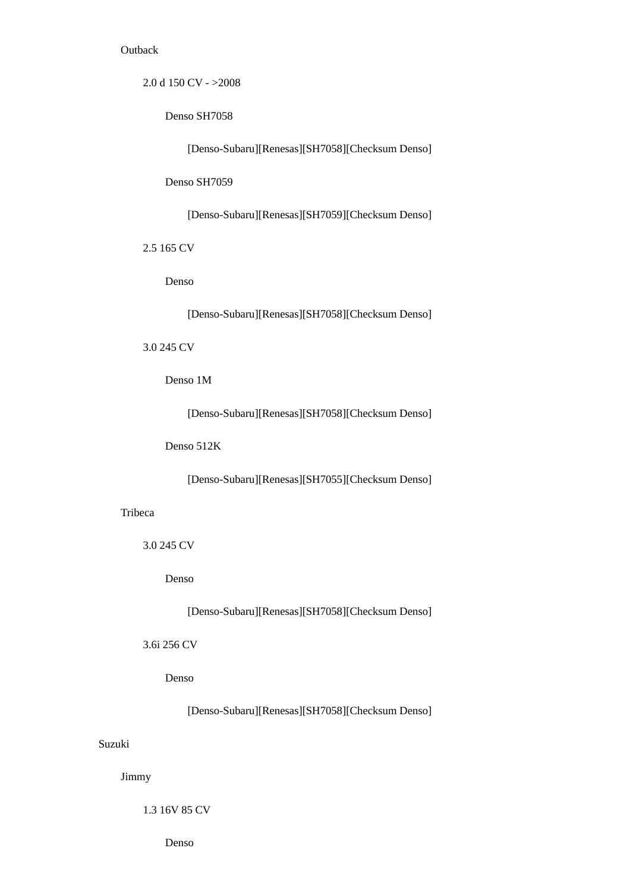## **Outback**

2.0 d 150 CV - >2008

Denso SH7058

[Denso-Subaru][Renesas][SH7058][Checksum Denso]

Denso SH7059

[Denso-Subaru][Renesas][SH7059][Checksum Denso]

2.5 165 CV

Denso

[Denso-Subaru][Renesas][SH7058][Checksum Denso]

3.0 245 CV

Denso 1M

[Denso-Subaru][Renesas][SH7058][Checksum Denso]

Denso 512K

[Denso-Subaru][Renesas][SH7055][Checksum Denso]

# Tribeca

3.0 245 CV

Denso

[Denso-Subaru][Renesas][SH7058][Checksum Denso]

3.6i 256 CV

Denso

[Denso-Subaru][Renesas][SH7058][Checksum Denso]

# Suzuki

Jimmy

1.3 16V 85 CV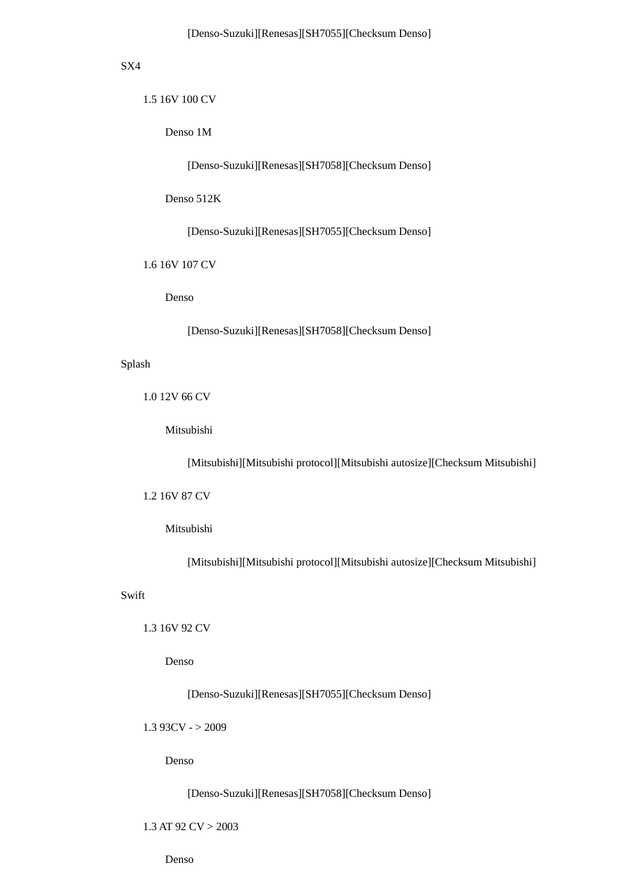## SX4

1.5 16V 100 CV

Denso 1M

[Denso-Suzuki][Renesas][SH7058][Checksum Denso]

Denso 512K

[Denso-Suzuki][Renesas][SH7055][Checksum Denso]

1.6 16V 107 CV

Denso

[Denso-Suzuki][Renesas][SH7058][Checksum Denso]

#### Splash

1.0 12V 66 CV

Mitsubishi

[Mitsubishi][Mitsubishi protocol][Mitsubishi autosize][Checksum Mitsubishi]

1.2 16V 87 CV

## Mitsubishi

[Mitsubishi][Mitsubishi protocol][Mitsubishi autosize][Checksum Mitsubishi]

## Swift

1.3 16V 92 CV

Denso

[Denso-Suzuki][Renesas][SH7055][Checksum Denso]

 $1.393CV - > 2009$ 

Denso

[Denso-Suzuki][Renesas][SH7058][Checksum Denso]

#### 1.3 AT 92 CV > 2003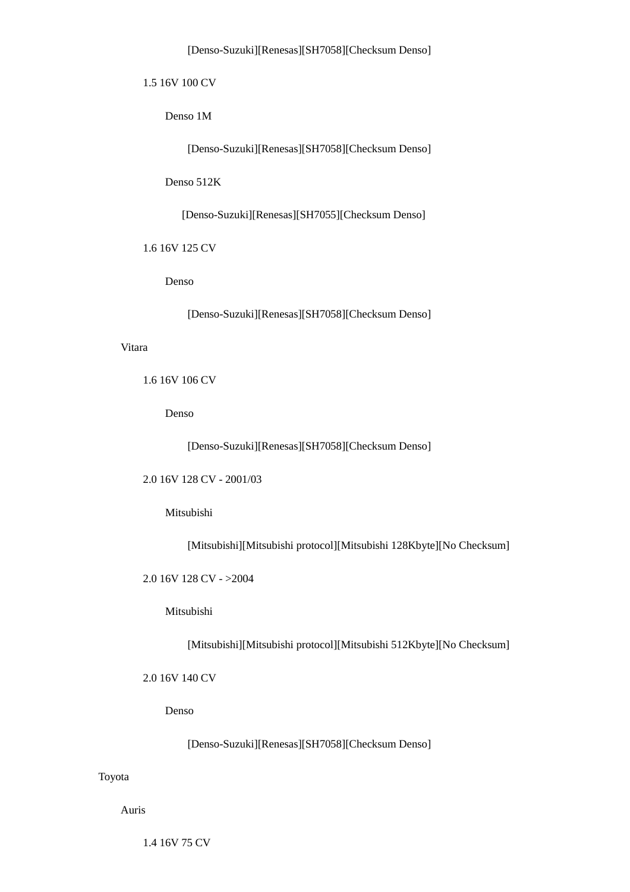1.5 16V 100 CV

Denso 1M

[Denso-Suzuki][Renesas][SH7058][Checksum Denso]

Denso 512K

[Denso-Suzuki][Renesas][SH7055][Checksum Denso]

1.6 16V 125 CV

Denso

[Denso-Suzuki][Renesas][SH7058][Checksum Denso]

## Vitara

1.6 16V 106 CV

Denso

[Denso-Suzuki][Renesas][SH7058][Checksum Denso]

2.0 16V 128 CV - 2001/03

Mitsubishi

[Mitsubishi][Mitsubishi protocol][Mitsubishi 128Kbyte][No Checksum]

2.0 16V 128 CV - >2004

Mitsubishi

[Mitsubishi][Mitsubishi protocol][Mitsubishi 512Kbyte][No Checksum]

2.0 16V 140 CV

Denso

[Denso-Suzuki][Renesas][SH7058][Checksum Denso]

Toyota

Auris

1.4 16V 75 CV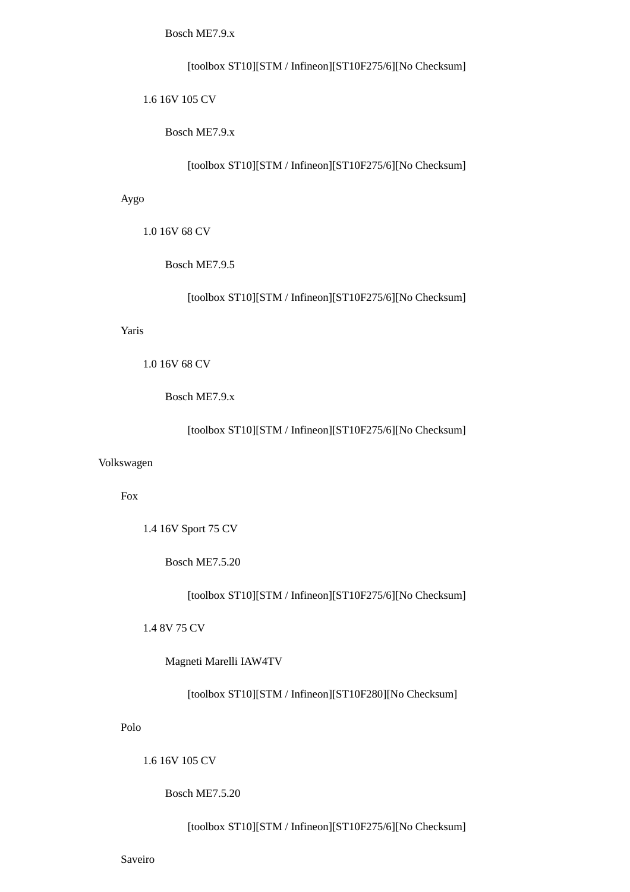Bosch ME7.9.x

[toolbox ST10][STM / Infineon][ST10F275/6][No Checksum]

1.6 16V 105 CV

Bosch ME7.9.x

[toolbox ST10][STM / Infineon][ST10F275/6][No Checksum]

Aygo

1.0 16V 68 CV

Bosch ME7.9.5

[toolbox ST10][STM / Infineon][ST10F275/6][No Checksum]

Yaris

1.0 16V 68 CV

Bosch ME7.9.x

[toolbox ST10][STM / Infineon][ST10F275/6][No Checksum]

## Volkswagen

Fox

1.4 16V Sport 75 CV

Bosch ME7.5.20

[toolbox ST10][STM / Infineon][ST10F275/6][No Checksum]

1.4 8V 75 CV

Magneti Marelli IAW4TV

[toolbox ST10][STM / Infineon][ST10F280][No Checksum]

Polo

1.6 16V 105 CV

Bosch ME7.5.20

[toolbox ST10][STM / Infineon][ST10F275/6][No Checksum]

Saveiro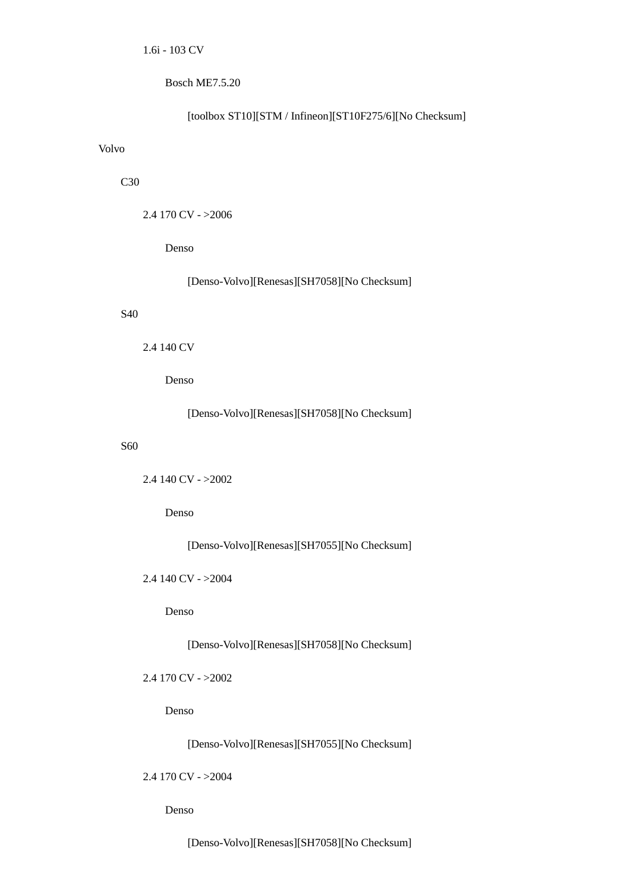Bosch ME7.5.20

# [toolbox ST10][STM / Infineon][ST10F275/6][No Checksum]

# Volvo

# C<sub>30</sub>

2.4 170 CV - >2006

Denso

[Denso-Volvo][Renesas][SH7058][No Checksum]

# S40

# 2.4 140 CV

Denso

[Denso-Volvo][Renesas][SH7058][No Checksum]

# S60

2.4 140 CV - >2002

Denso

[Denso-Volvo][Renesas][SH7055][No Checksum]

2.4 140 CV - >2004

Denso

[Denso-Volvo][Renesas][SH7058][No Checksum]

2.4 170 CV - >2002

Denso

[Denso-Volvo][Renesas][SH7055][No Checksum]

2.4 170 CV - >2004

Denso

[Denso-Volvo][Renesas][SH7058][No Checksum]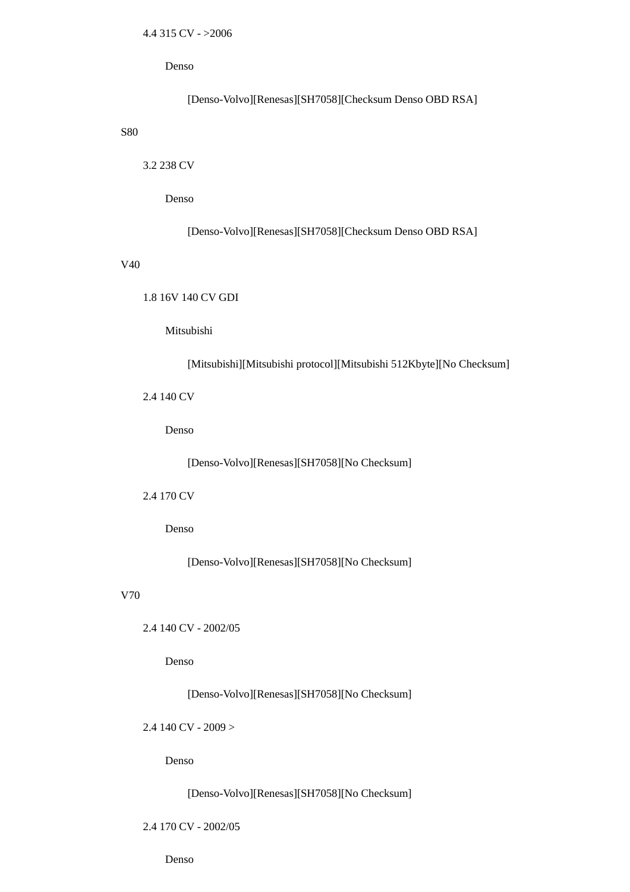Denso

[Denso-Volvo][Renesas][SH7058][Checksum Denso OBD RSA]

S80

3.2 238 CV

Denso

[Denso-Volvo][Renesas][SH7058][Checksum Denso OBD RSA]

V40

1.8 16V 140 CV GDI

Mitsubishi

[Mitsubishi][Mitsubishi protocol][Mitsubishi 512Kbyte][No Checksum]

2.4 140 CV

Denso

[Denso-Volvo][Renesas][SH7058][No Checksum]

2.4 170 CV

Denso

[Denso-Volvo][Renesas][SH7058][No Checksum]

### V70

2.4 140 CV - 2002/05

Denso

[Denso-Volvo][Renesas][SH7058][No Checksum]

 $2.4$  140 CV - 2009 >

Denso

[Denso-Volvo][Renesas][SH7058][No Checksum]

#### 2.4 170 CV - 2002/05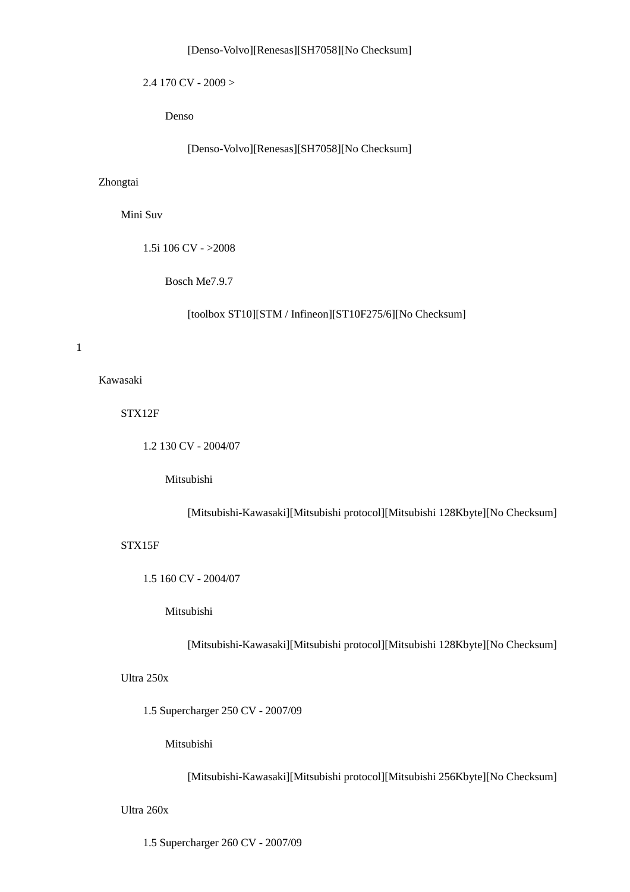## [Denso-Volvo][Renesas][SH7058][No Checksum]

2.4 170 CV - 2009 >

Denso

[Denso-Volvo][Renesas][SH7058][No Checksum]

# Zhongtai

Mini Suv

1.5i 106 CV - >2008

Bosch Me7.9.7

[toolbox ST10][STM / Infineon][ST10F275/6][No Checksum]

1

Kawasaki

STX12F

1.2 130 CV - 2004/07

Mitsubishi

[Mitsubishi-Kawasaki][Mitsubishi protocol][Mitsubishi 128Kbyte][No Checksum]

## STX15F

1.5 160 CV - 2004/07

Mitsubishi

[Mitsubishi-Kawasaki][Mitsubishi protocol][Mitsubishi 128Kbyte][No Checksum]

Ultra 250x

1.5 Supercharger 250 CV - 2007/09

Mitsubishi

[Mitsubishi-Kawasaki][Mitsubishi protocol][Mitsubishi 256Kbyte][No Checksum]

Ultra 260x

1.5 Supercharger 260 CV - 2007/09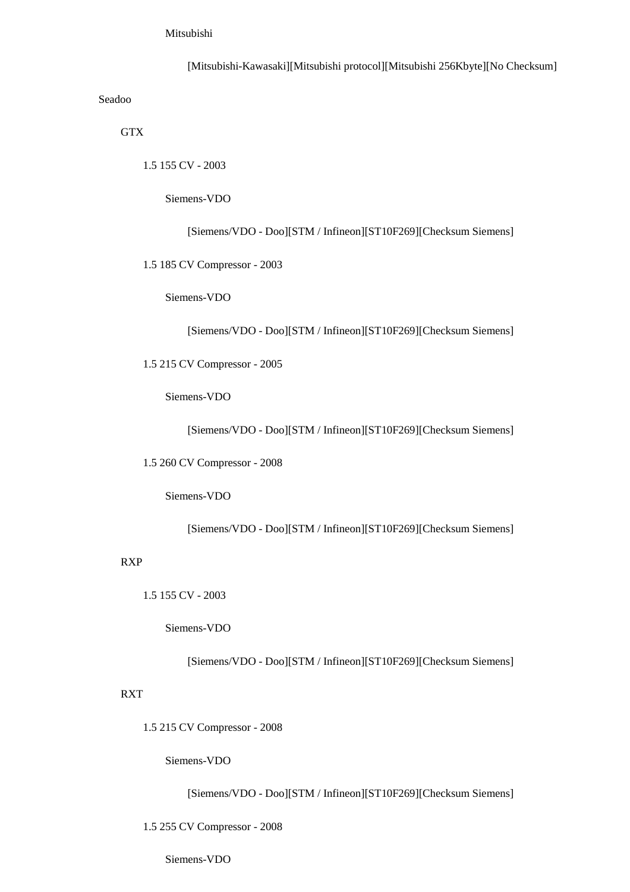# Mitsubishi

 [Mitsubishi-Kawasaki][Mitsubishi protocol][Mitsubishi 256Kbyte][No Checksum] Seadoo

**GTX** 

1.5 155 CV - 2003

Siemens-VDO

[Siemens/VDO - Doo][STM / Infineon][ST10F269][Checksum Siemens]

1.5 185 CV Compressor - 2003

Siemens-VDO

[Siemens/VDO - Doo][STM / Infineon][ST10F269][Checksum Siemens]

1.5 215 CV Compressor - 2005

Siemens-VDO

[Siemens/VDO - Doo][STM / Infineon][ST10F269][Checksum Siemens]

1.5 260 CV Compressor - 2008

Siemens-VDO

[Siemens/VDO - Doo][STM / Infineon][ST10F269][Checksum Siemens]

RXP

1.5 155 CV - 2003

Siemens-VDO

[Siemens/VDO - Doo][STM / Infineon][ST10F269][Checksum Siemens]

# RXT

1.5 215 CV Compressor - 2008

Siemens-VDO

[Siemens/VDO - Doo][STM / Infineon][ST10F269][Checksum Siemens]

1.5 255 CV Compressor - 2008

Siemens-VDO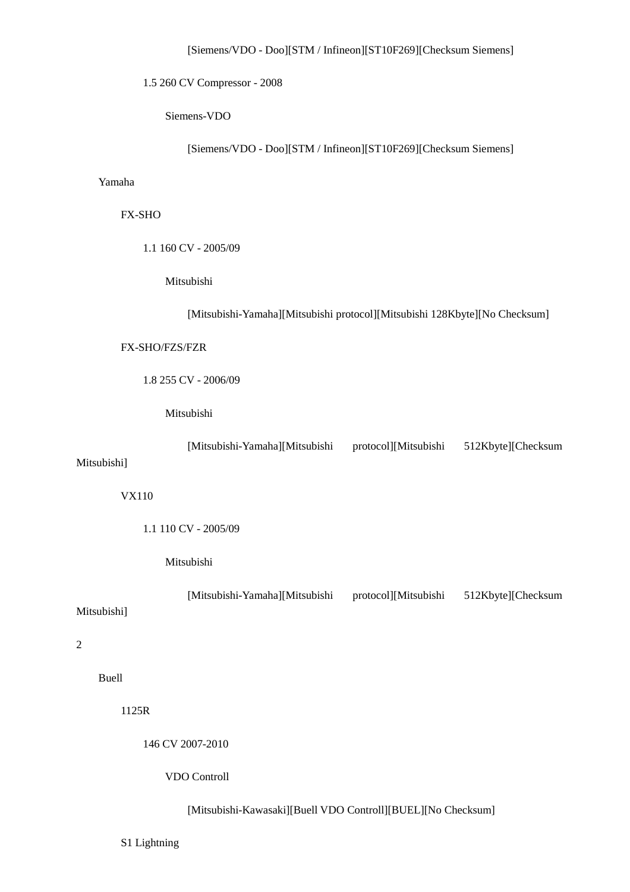1.5 260 CV Compressor - 2008

Siemens-VDO

[Siemens/VDO - Doo][STM / Infineon][ST10F269][Checksum Siemens]

# Yamaha

# FX-SHO

1.1 160 CV - 2005/09

Mitsubishi

[Mitsubishi-Yamaha][Mitsubishi protocol][Mitsubishi 128Kbyte][No Checksum]

#### FX-SHO/FZS/FZR

1.8 255 CV - 2006/09

# Mitsubishi

 [Mitsubishi-Yamaha][Mitsubishi protocol][Mitsubishi 512Kbyte][Checksum Mitsubishi]

VX110

1.1 110 CV - 2005/09

#### Mitsubishi

 [Mitsubishi-Yamaha][Mitsubishi protocol][Mitsubishi 512Kbyte][Checksum Mitsubishi]

2

# Buell

1125R

146 CV 2007-2010

VDO Controll

# [Mitsubishi-Kawasaki][Buell VDO Controll][BUEL][No Checksum]

S1 Lightning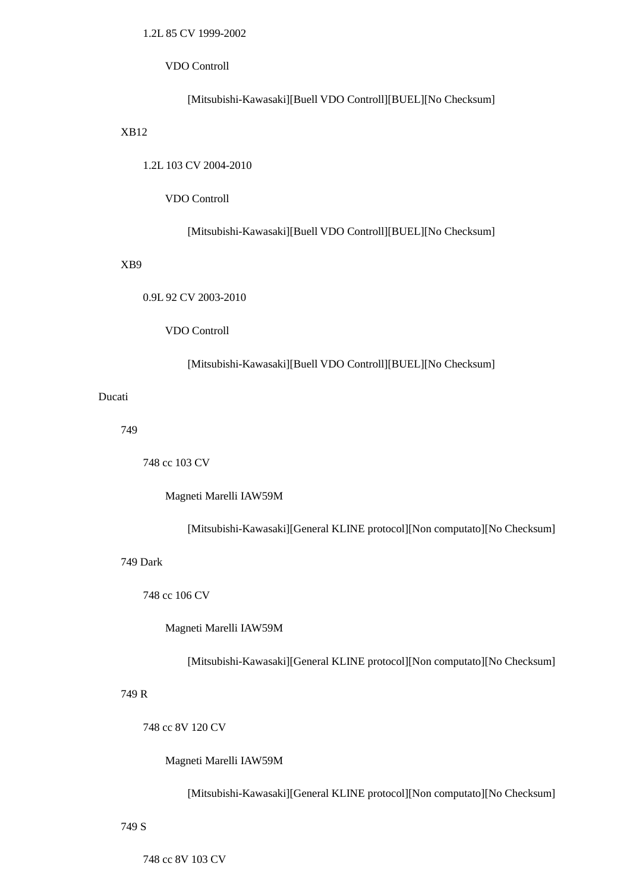# 1.2L 85 CV 1999-2002

## VDO Controll

# [Mitsubishi-Kawasaki][Buell VDO Controll][BUEL][No Checksum]

# XB12

1.2L 103 CV 2004-2010

### VDO Controll

## [Mitsubishi-Kawasaki][Buell VDO Controll][BUEL][No Checksum]

## XB9

0.9L 92 CV 2003-2010

# VDO Controll

# [Mitsubishi-Kawasaki][Buell VDO Controll][BUEL][No Checksum]

# Ducati

749

748 cc 103 CV

Magneti Marelli IAW59M

[Mitsubishi-Kawasaki][General KLINE protocol][Non computato][No Checksum]

## 749 Dark

748 cc 106 CV

Magneti Marelli IAW59M

[Mitsubishi-Kawasaki][General KLINE protocol][Non computato][No Checksum]

## 749 R

748 cc 8V 120 CV

Magneti Marelli IAW59M

[Mitsubishi-Kawasaki][General KLINE protocol][Non computato][No Checksum]

#### 749 S

748 cc 8V 103 CV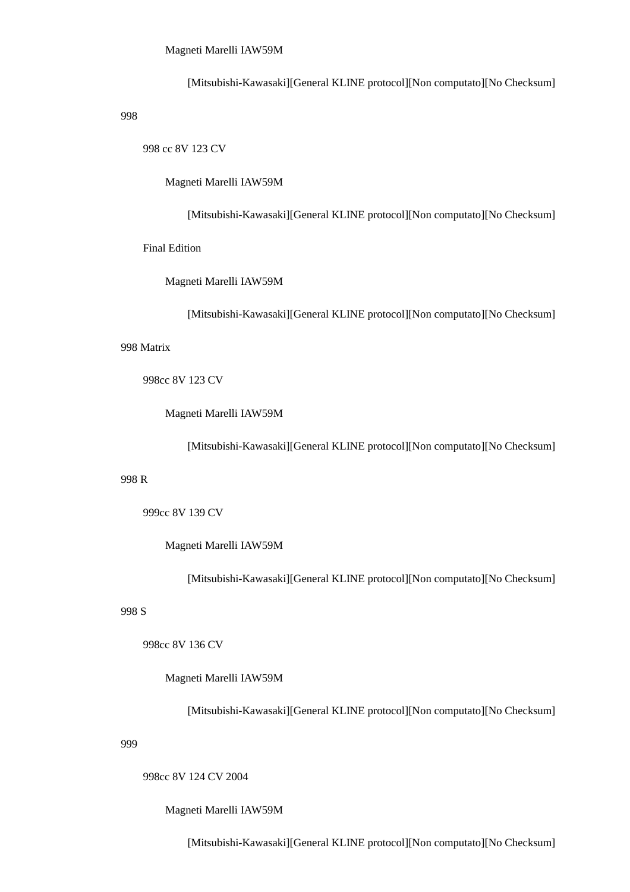[Mitsubishi-Kawasaki][General KLINE protocol][Non computato][No Checksum]

998

998 cc 8V 123 CV

Magneti Marelli IAW59M

[Mitsubishi-Kawasaki][General KLINE protocol][Non computato][No Checksum]

Final Edition

Magneti Marelli IAW59M

[Mitsubishi-Kawasaki][General KLINE protocol][Non computato][No Checksum]

998 Matrix

998cc 8V 123 CV

Magneti Marelli IAW59M

[Mitsubishi-Kawasaki][General KLINE protocol][Non computato][No Checksum]

#### 998 R

999cc 8V 139 CV

Magneti Marelli IAW59M

[Mitsubishi-Kawasaki][General KLINE protocol][Non computato][No Checksum]

## 998 S

998cc 8V 136 CV

Magneti Marelli IAW59M

[Mitsubishi-Kawasaki][General KLINE protocol][Non computato][No Checksum]

#### 999

998cc 8V 124 CV 2004

Magneti Marelli IAW59M

[Mitsubishi-Kawasaki][General KLINE protocol][Non computato][No Checksum]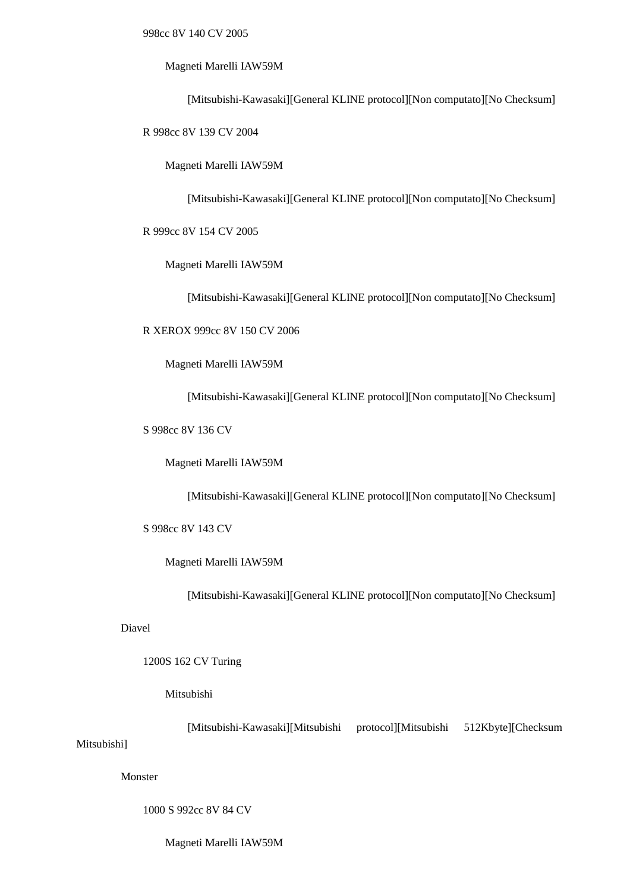### Magneti Marelli IAW59M

[Mitsubishi-Kawasaki][General KLINE protocol][Non computato][No Checksum]

R 998cc 8V 139 CV 2004

Magneti Marelli IAW59M

[Mitsubishi-Kawasaki][General KLINE protocol][Non computato][No Checksum]

R 999cc 8V 154 CV 2005

Magneti Marelli IAW59M

[Mitsubishi-Kawasaki][General KLINE protocol][Non computato][No Checksum]

R XEROX 999cc 8V 150 CV 2006

Magneti Marelli IAW59M

[Mitsubishi-Kawasaki][General KLINE protocol][Non computato][No Checksum]

S 998cc 8V 136 CV

Magneti Marelli IAW59M

[Mitsubishi-Kawasaki][General KLINE protocol][Non computato][No Checksum]

S 998cc 8V 143 CV

Magneti Marelli IAW59M

[Mitsubishi-Kawasaki][General KLINE protocol][Non computato][No Checksum]

Diavel

1200S 162 CV Turing

## Mitsubishi

[Mitsubishi-Kawasaki][Mitsubishi protocol][Mitsubishi 512Kbyte][Checksum

# Mitsubishi]

Monster

1000 S 992cc 8V 84 CV

Magneti Marelli IAW59M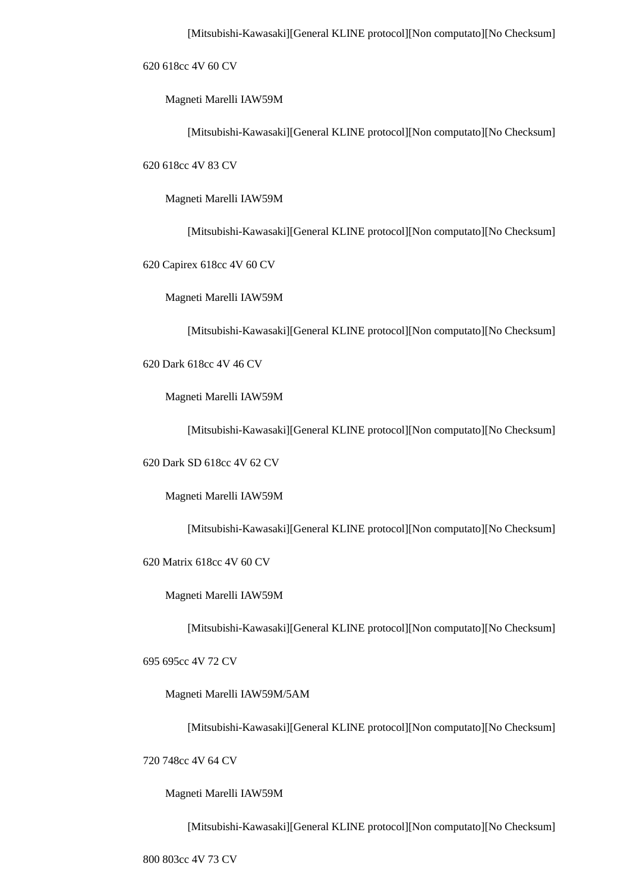620 618cc 4V 60 CV

Magneti Marelli IAW59M

[Mitsubishi-Kawasaki][General KLINE protocol][Non computato][No Checksum]

620 618cc 4V 83 CV

Magneti Marelli IAW59M

[Mitsubishi-Kawasaki][General KLINE protocol][Non computato][No Checksum]

620 Capirex 618cc 4V 60 CV

Magneti Marelli IAW59M

[Mitsubishi-Kawasaki][General KLINE protocol][Non computato][No Checksum]

620 Dark 618cc 4V 46 CV

Magneti Marelli IAW59M

[Mitsubishi-Kawasaki][General KLINE protocol][Non computato][No Checksum]

620 Dark SD 618cc 4V 62 CV

Magneti Marelli IAW59M

[Mitsubishi-Kawasaki][General KLINE protocol][Non computato][No Checksum]

620 Matrix 618cc 4V 60 CV

Magneti Marelli IAW59M

[Mitsubishi-Kawasaki][General KLINE protocol][Non computato][No Checksum]

695 695cc 4V 72 CV

Magneti Marelli IAW59M/5AM

[Mitsubishi-Kawasaki][General KLINE protocol][Non computato][No Checksum]

720 748cc 4V 64 CV

Magneti Marelli IAW59M

[Mitsubishi-Kawasaki][General KLINE protocol][Non computato][No Checksum]

800 803cc 4V 73 CV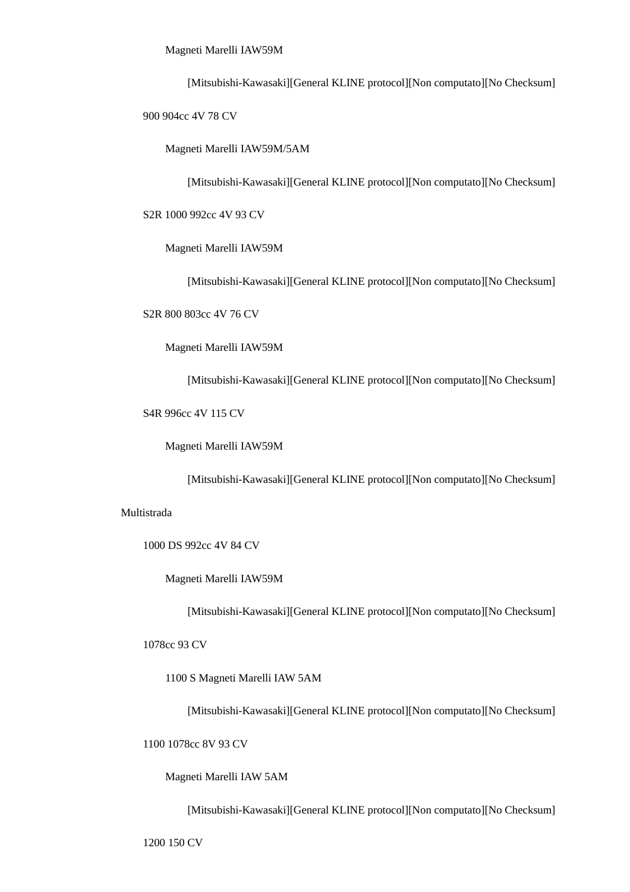Magneti Marelli IAW59M

[Mitsubishi-Kawasaki][General KLINE protocol][Non computato][No Checksum]

900 904cc 4V 78 CV

Magneti Marelli IAW59M/5AM

[Mitsubishi-Kawasaki][General KLINE protocol][Non computato][No Checksum]

S2R 1000 992cc 4V 93 CV

Magneti Marelli IAW59M

[Mitsubishi-Kawasaki][General KLINE protocol][Non computato][No Checksum]

S2R 800 803cc 4V 76 CV

Magneti Marelli IAW59M

[Mitsubishi-Kawasaki][General KLINE protocol][Non computato][No Checksum]

S4R 996cc 4V 115 CV

Magneti Marelli IAW59M

[Mitsubishi-Kawasaki][General KLINE protocol][Non computato][No Checksum]

#### Multistrada

1000 DS 992cc 4V 84 CV

Magneti Marelli IAW59M

[Mitsubishi-Kawasaki][General KLINE protocol][Non computato][No Checksum]

1078cc 93 CV

1100 S Magneti Marelli IAW 5AM

[Mitsubishi-Kawasaki][General KLINE protocol][Non computato][No Checksum]

1100 1078cc 8V 93 CV

Magneti Marelli IAW 5AM

[Mitsubishi-Kawasaki][General KLINE protocol][Non computato][No Checksum]

1200 150 CV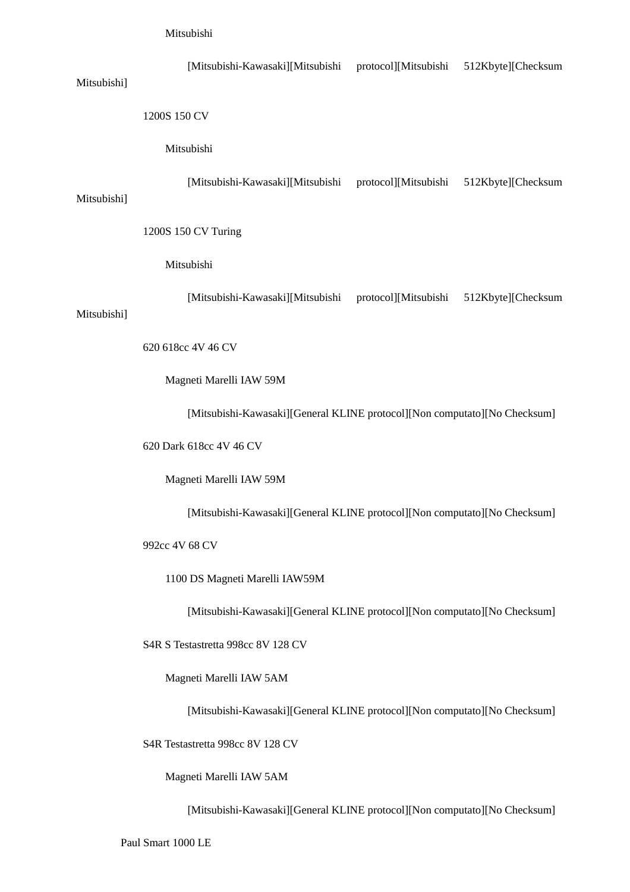| Mitsubishi] | [Mitsubishi-Kawasaki][Mitsubishi                                          | protocol][Mitsubishi                    | 512Kbyte][Checksum |  |  |
|-------------|---------------------------------------------------------------------------|-----------------------------------------|--------------------|--|--|
|             | 1200S 150 CV                                                              |                                         |                    |  |  |
|             | Mitsubishi                                                                |                                         |                    |  |  |
| Mitsubishi] | [Mitsubishi-Kawasaki][Mitsubishi                                          | protocol][Mitsubishi                    | 512Kbyte][Checksum |  |  |
|             | 1200S 150 CV Turing                                                       |                                         |                    |  |  |
|             | Mitsubishi                                                                |                                         |                    |  |  |
| Mitsubishi] | [Mitsubishi-Kawasaki][Mitsubishi                                          | protocol][Mitsubishi 512Kbyte][Checksum |                    |  |  |
|             | 620 618cc 4V 46 CV                                                        |                                         |                    |  |  |
|             | Magneti Marelli IAW 59M                                                   |                                         |                    |  |  |
|             | [Mitsubishi-Kawasaki][General KLINE protocol][Non computato][No Checksum] |                                         |                    |  |  |
|             | 620 Dark 618cc 4V 46 CV                                                   |                                         |                    |  |  |

Magneti Marelli IAW 59M

[Mitsubishi-Kawasaki][General KLINE protocol][Non computato][No Checksum]

992cc 4V 68 CV

1100 DS Magneti Marelli IAW59M

[Mitsubishi-Kawasaki][General KLINE protocol][Non computato][No Checksum]

S4R S Testastretta 998cc 8V 128 CV

Magneti Marelli IAW 5AM

[Mitsubishi-Kawasaki][General KLINE protocol][Non computato][No Checksum]

S4R Testastretta 998cc 8V 128 CV

Magneti Marelli IAW 5AM

[Mitsubishi-Kawasaki][General KLINE protocol][Non computato][No Checksum]

Paul Smart 1000 LE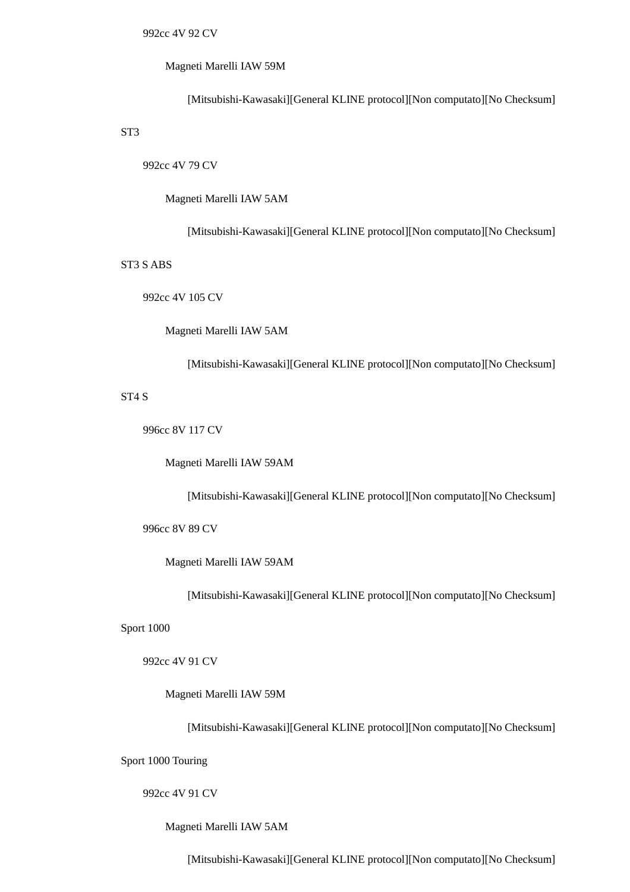### Magneti Marelli IAW 59M

[Mitsubishi-Kawasaki][General KLINE protocol][Non computato][No Checksum]

# ST3

992cc 4V 79 CV

Magneti Marelli IAW 5AM

[Mitsubishi-Kawasaki][General KLINE protocol][Non computato][No Checksum]

### ST3 S ABS

992cc 4V 105 CV

Magneti Marelli IAW 5AM

[Mitsubishi-Kawasaki][General KLINE protocol][Non computato][No Checksum]

### ST4 S

996cc 8V 117 CV

Magneti Marelli IAW 59AM

[Mitsubishi-Kawasaki][General KLINE protocol][Non computato][No Checksum]

996cc 8V 89 CV

Magneti Marelli IAW 59AM

[Mitsubishi-Kawasaki][General KLINE protocol][Non computato][No Checksum]

Sport 1000

992cc 4V 91 CV

Magneti Marelli IAW 59M

[Mitsubishi-Kawasaki][General KLINE protocol][Non computato][No Checksum]

Sport 1000 Touring

### 992cc 4V 91 CV

Magneti Marelli IAW 5AM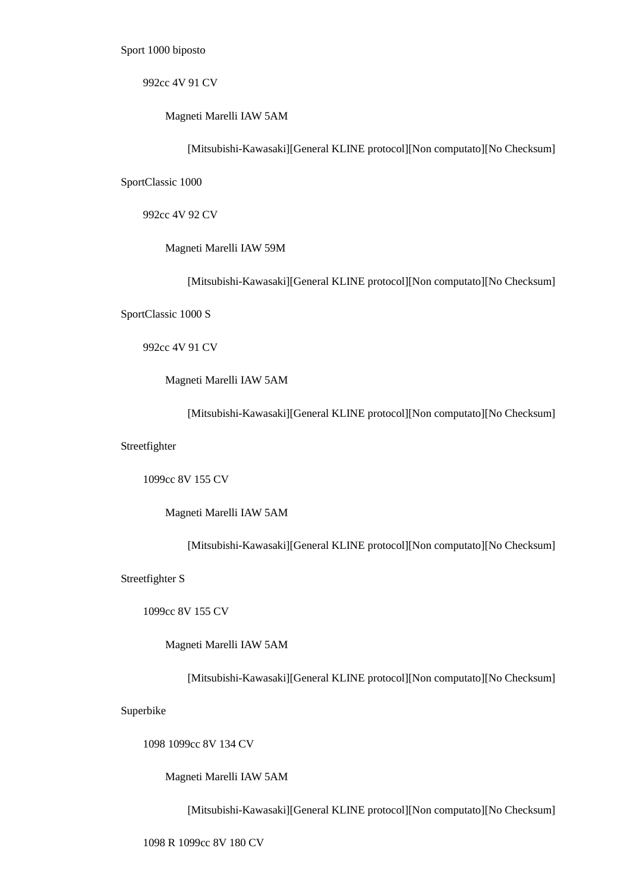Sport 1000 biposto

992cc 4V 91 CV

Magneti Marelli IAW 5AM

[Mitsubishi-Kawasaki][General KLINE protocol][Non computato][No Checksum]

SportClassic 1000

992cc 4V 92 CV

Magneti Marelli IAW 59M

[Mitsubishi-Kawasaki][General KLINE protocol][Non computato][No Checksum]

SportClassic 1000 S

992cc 4V 91 CV

Magneti Marelli IAW 5AM

[Mitsubishi-Kawasaki][General KLINE protocol][Non computato][No Checksum]

Streetfighter

1099cc 8V 155 CV

Magneti Marelli IAW 5AM

[Mitsubishi-Kawasaki][General KLINE protocol][Non computato][No Checksum]

Streetfighter S

1099cc 8V 155 CV

Magneti Marelli IAW 5AM

[Mitsubishi-Kawasaki][General KLINE protocol][Non computato][No Checksum]

Superbike

1098 1099cc 8V 134 CV

Magneti Marelli IAW 5AM

[Mitsubishi-Kawasaki][General KLINE protocol][Non computato][No Checksum]

1098 R 1099cc 8V 180 CV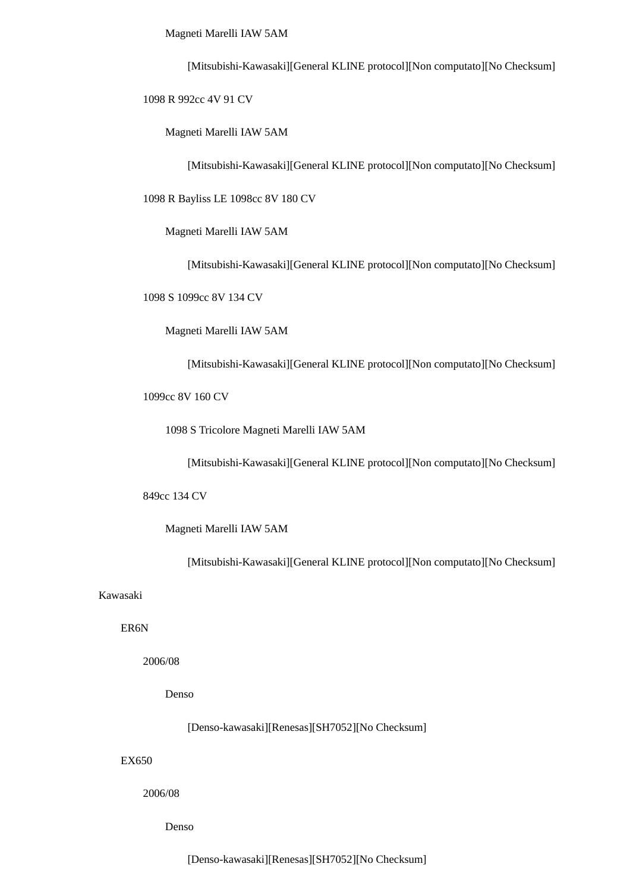Magneti Marelli IAW 5AM

[Mitsubishi-Kawasaki][General KLINE protocol][Non computato][No Checksum]

1098 R 992cc 4V 91 CV

Magneti Marelli IAW 5AM

[Mitsubishi-Kawasaki][General KLINE protocol][Non computato][No Checksum]

1098 R Bayliss LE 1098cc 8V 180 CV

Magneti Marelli IAW 5AM

[Mitsubishi-Kawasaki][General KLINE protocol][Non computato][No Checksum]

1098 S 1099cc 8V 134 CV

Magneti Marelli IAW 5AM

[Mitsubishi-Kawasaki][General KLINE protocol][Non computato][No Checksum]

1099cc 8V 160 CV

1098 S Tricolore Magneti Marelli IAW 5AM

[Mitsubishi-Kawasaki][General KLINE protocol][Non computato][No Checksum]

849cc 134 CV

Magneti Marelli IAW 5AM

[Mitsubishi-Kawasaki][General KLINE protocol][Non computato][No Checksum]

#### Kawasaki

ER6N

2006/08

Denso

[Denso-kawasaki][Renesas][SH7052][No Checksum]

#### EX650

2006/08

Denso

[Denso-kawasaki][Renesas][SH7052][No Checksum]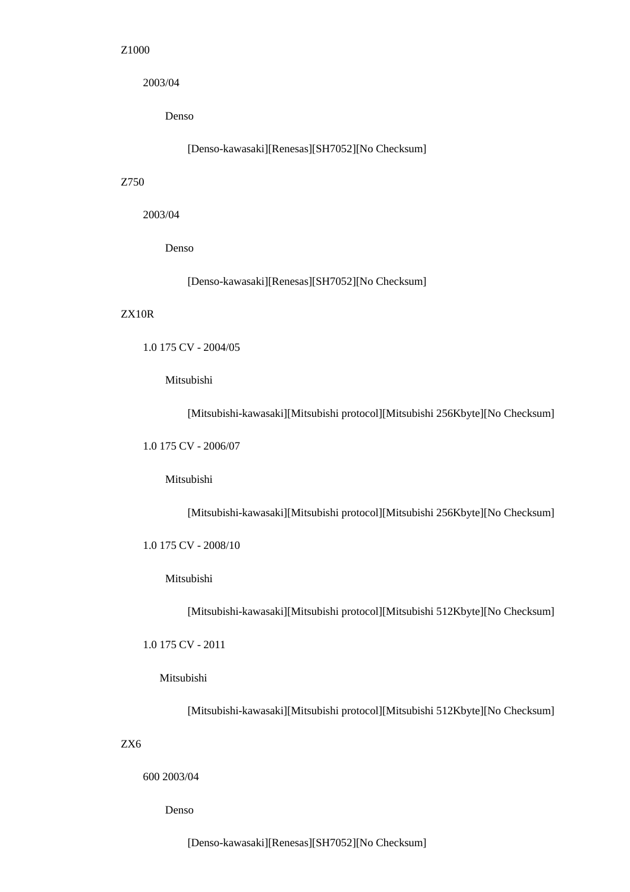### Z1000

2003/04

Denso

[Denso-kawasaki][Renesas][SH7052][No Checksum]

### Z750

2003/04

Denso

[Denso-kawasaki][Renesas][SH7052][No Checksum]

### ZX10R

```
 1.0 175 CV - 2004/05
```
Mitsubishi

[Mitsubishi-kawasaki][Mitsubishi protocol][Mitsubishi 256Kbyte][No Checksum]

1.0 175 CV - 2006/07

Mitsubishi

[Mitsubishi-kawasaki][Mitsubishi protocol][Mitsubishi 256Kbyte][No Checksum]

1.0 175 CV - 2008/10

Mitsubishi

[Mitsubishi-kawasaki][Mitsubishi protocol][Mitsubishi 512Kbyte][No Checksum]

1.0 175 CV - 2011

Mitsubishi

[Mitsubishi-kawasaki][Mitsubishi protocol][Mitsubishi 512Kbyte][No Checksum]

ZX6

600 2003/04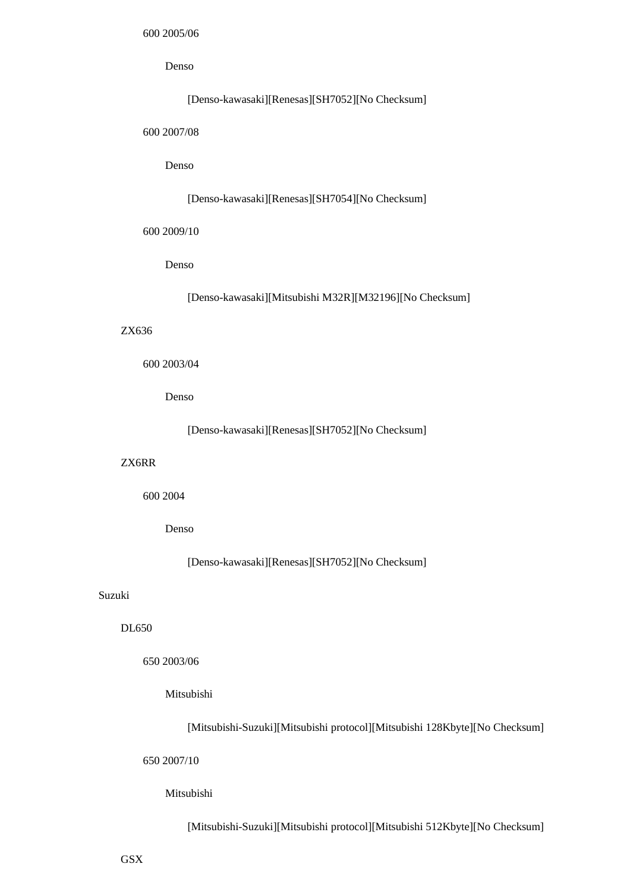### Denso

# [Denso-kawasaki][Renesas][SH7052][No Checksum]

600 2007/08

### Denso

#### [Denso-kawasaki][Renesas][SH7054][No Checksum]

600 2009/10

Denso

[Denso-kawasaki][Mitsubishi M32R][M32196][No Checksum]

### ZX636

#### 600 2003/04

Denso

[Denso-kawasaki][Renesas][SH7052][No Checksum]

#### ZX6RR

600 2004

#### Denso

[Denso-kawasaki][Renesas][SH7052][No Checksum]

#### Suzuki

### DL650

650 2003/06

### Mitsubishi

[Mitsubishi-Suzuki][Mitsubishi protocol][Mitsubishi 128Kbyte][No Checksum]

650 2007/10

### Mitsubishi

[Mitsubishi-Suzuki][Mitsubishi protocol][Mitsubishi 512Kbyte][No Checksum]

**GSX**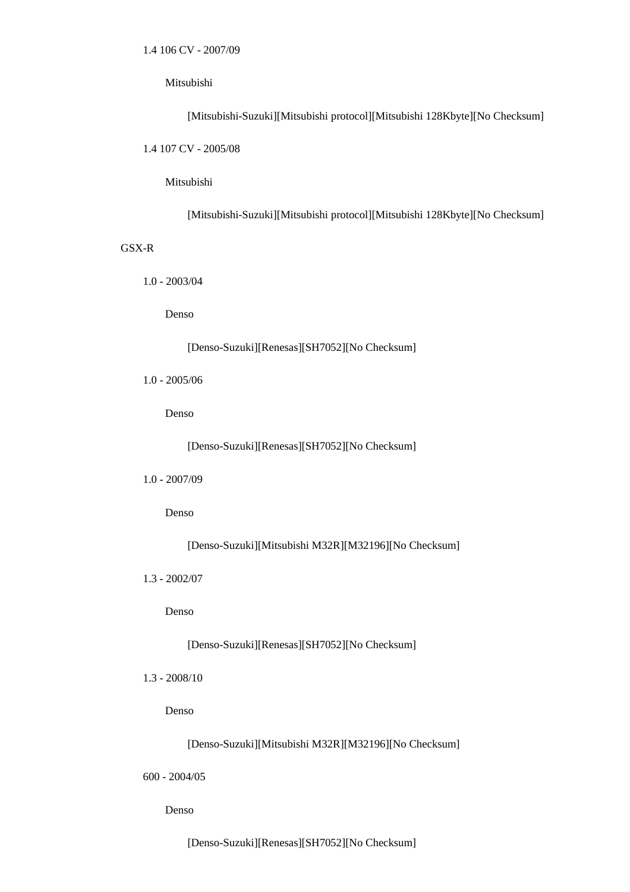[Mitsubishi-Suzuki][Mitsubishi protocol][Mitsubishi 128Kbyte][No Checksum] 1.4 107 CV - 2005/08

Mitsubishi

[Mitsubishi-Suzuki][Mitsubishi protocol][Mitsubishi 128Kbyte][No Checksum]

### GSX-R

1.0 - 2003/04

Denso

[Denso-Suzuki][Renesas][SH7052][No Checksum]

1.0 - 2005/06

Denso

[Denso-Suzuki][Renesas][SH7052][No Checksum]

1.0 - 2007/09

Denso

[Denso-Suzuki][Mitsubishi M32R][M32196][No Checksum]

1.3 - 2002/07

Denso

[Denso-Suzuki][Renesas][SH7052][No Checksum]

1.3 - 2008/10

Denso

[Denso-Suzuki][Mitsubishi M32R][M32196][No Checksum]

600 - 2004/05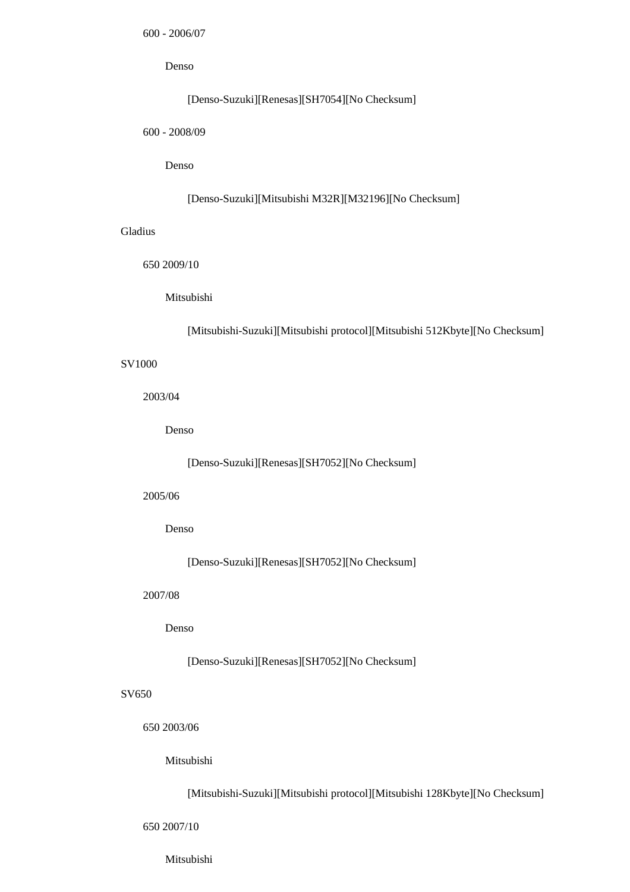600 - 2006/07

Denso

### [Denso-Suzuki][Renesas][SH7054][No Checksum]

600 - 2008/09

Denso

### [Denso-Suzuki][Mitsubishi M32R][M32196][No Checksum]

### Gladius

650 2009/10

Mitsubishi

[Mitsubishi-Suzuki][Mitsubishi protocol][Mitsubishi 512Kbyte][No Checksum]

### SV1000

2003/04

Denso

[Denso-Suzuki][Renesas][SH7052][No Checksum]

#### 2005/06

Denso

[Denso-Suzuki][Renesas][SH7052][No Checksum]

#### 2007/08

Denso

[Denso-Suzuki][Renesas][SH7052][No Checksum]

### SV650

650 2003/06

### Mitsubishi

[Mitsubishi-Suzuki][Mitsubishi protocol][Mitsubishi 128Kbyte][No Checksum]

650 2007/10

Mitsubishi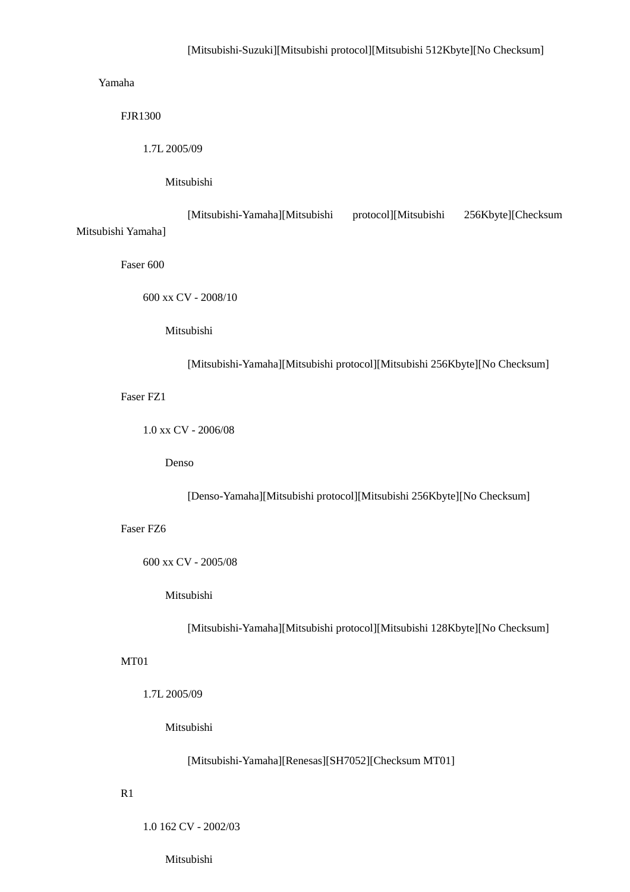### Yamaha

FJR1300

1.7L 2005/09

Mitsubishi

 [Mitsubishi-Yamaha][Mitsubishi protocol][Mitsubishi 256Kbyte][Checksum Mitsubishi Yamaha]

Faser 600

600 xx CV - 2008/10

Mitsubishi

[Mitsubishi-Yamaha][Mitsubishi protocol][Mitsubishi 256Kbyte][No Checksum]

Faser FZ1

1.0 xx CV - 2006/08

Denso

[Denso-Yamaha][Mitsubishi protocol][Mitsubishi 256Kbyte][No Checksum]

Faser FZ6

600 xx CV - 2005/08

Mitsubishi

[Mitsubishi-Yamaha][Mitsubishi protocol][Mitsubishi 128Kbyte][No Checksum]

### MT01

1.7L 2005/09

Mitsubishi

[Mitsubishi-Yamaha][Renesas][SH7052][Checksum MT01]

### R1

1.0 162 CV - 2002/03

Mitsubishi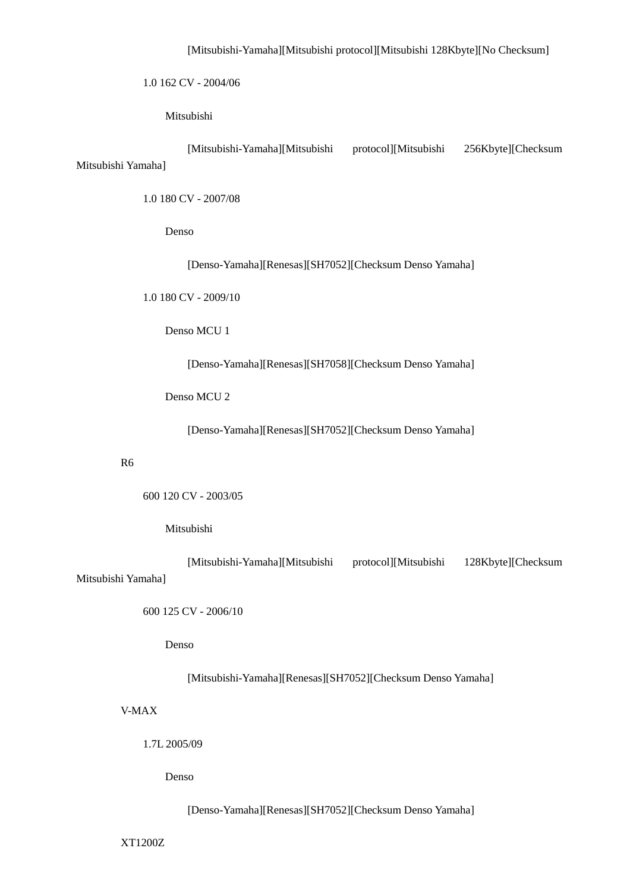1.0 162 CV - 2004/06

Mitsubishi

 [Mitsubishi-Yamaha][Mitsubishi protocol][Mitsubishi 256Kbyte][Checksum Mitsubishi Yamaha]

1.0 180 CV - 2007/08

Denso

[Denso-Yamaha][Renesas][SH7052][Checksum Denso Yamaha]

1.0 180 CV - 2009/10

Denso MCU 1

[Denso-Yamaha][Renesas][SH7058][Checksum Denso Yamaha]

Denso MCU 2

[Denso-Yamaha][Renesas][SH7052][Checksum Denso Yamaha]

#### R6

600 120 CV - 2003/05

### Mitsubishi

 [Mitsubishi-Yamaha][Mitsubishi protocol][Mitsubishi 128Kbyte][Checksum Mitsubishi Yamaha]

600 125 CV - 2006/10

Denso

[Mitsubishi-Yamaha][Renesas][SH7052][Checksum Denso Yamaha]

V-MAX

1.7L 2005/09

Denso

[Denso-Yamaha][Renesas][SH7052][Checksum Denso Yamaha]

XT1200Z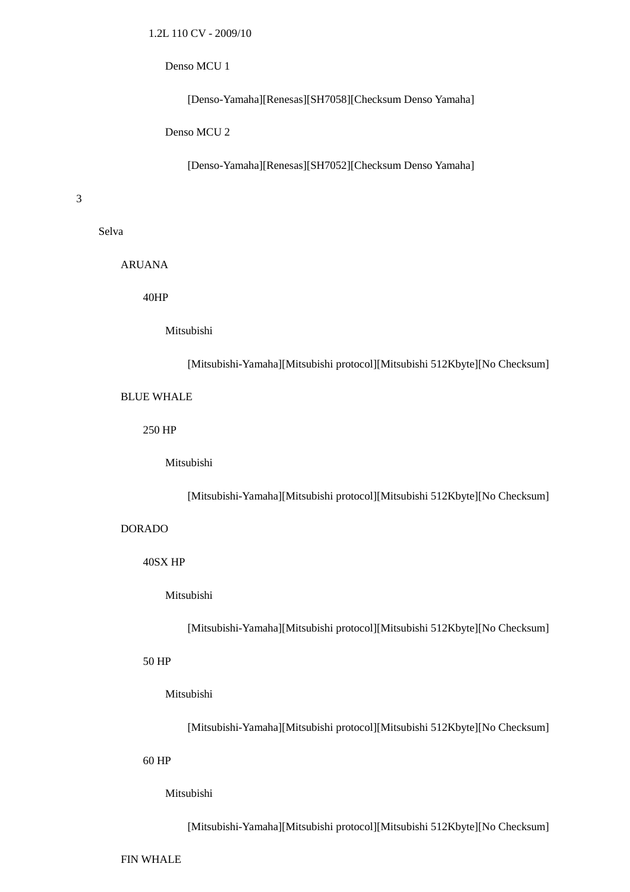#### Denso MCU 1

[Denso-Yamaha][Renesas][SH7058][Checksum Denso Yamaha]

Denso MCU 2

[Denso-Yamaha][Renesas][SH7052][Checksum Denso Yamaha]

3

Selva

ARUANA

40HP

Mitsubishi

[Mitsubishi-Yamaha][Mitsubishi protocol][Mitsubishi 512Kbyte][No Checksum]

BLUE WHALE

250 HP

Mitsubishi

[Mitsubishi-Yamaha][Mitsubishi protocol][Mitsubishi 512Kbyte][No Checksum]

DORADO

40SX HP

Mitsubishi

[Mitsubishi-Yamaha][Mitsubishi protocol][Mitsubishi 512Kbyte][No Checksum]

50 HP

Mitsubishi

[Mitsubishi-Yamaha][Mitsubishi protocol][Mitsubishi 512Kbyte][No Checksum]

60 HP

Mitsubishi

[Mitsubishi-Yamaha][Mitsubishi protocol][Mitsubishi 512Kbyte][No Checksum]

FIN WHALE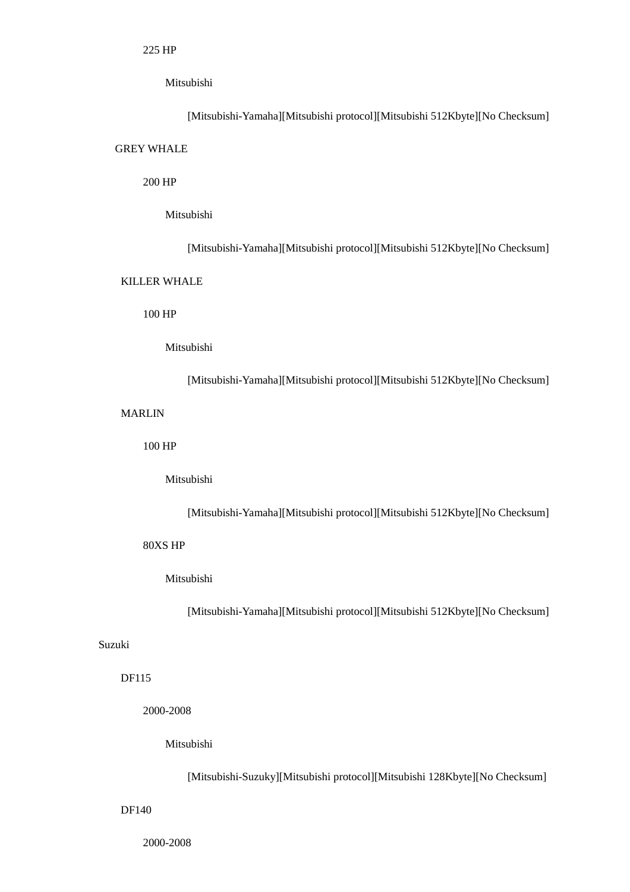[Mitsubishi-Yamaha][Mitsubishi protocol][Mitsubishi 512Kbyte][No Checksum] GREY WHALE

### 200 HP

#### Mitsubishi

[Mitsubishi-Yamaha][Mitsubishi protocol][Mitsubishi 512Kbyte][No Checksum]

### KILLER WHALE

100 HP

### Mitsubishi

[Mitsubishi-Yamaha][Mitsubishi protocol][Mitsubishi 512Kbyte][No Checksum]

### MARLIN

100 HP

#### Mitsubishi

[Mitsubishi-Yamaha][Mitsubishi protocol][Mitsubishi 512Kbyte][No Checksum]

### 80XS HP

### Mitsubishi

[Mitsubishi-Yamaha][Mitsubishi protocol][Mitsubishi 512Kbyte][No Checksum]

### Suzuki

### DF115

2000-2008

Mitsubishi

[Mitsubishi-Suzuky][Mitsubishi protocol][Mitsubishi 128Kbyte][No Checksum]

### DF140

2000-2008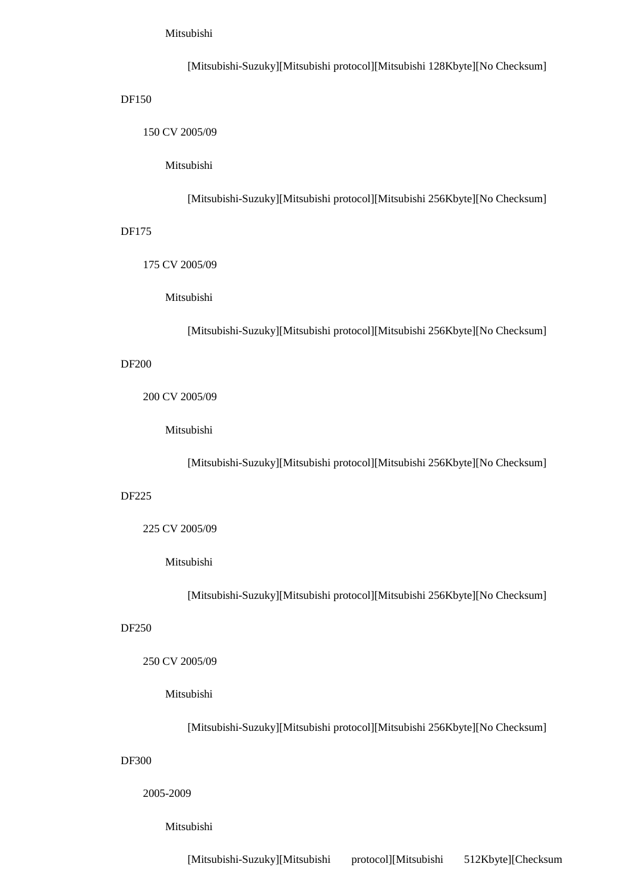[Mitsubishi-Suzuky][Mitsubishi protocol][Mitsubishi 128Kbyte][No Checksum] DF150 150 CV 2005/09 Mitsubishi [Mitsubishi-Suzuky][Mitsubishi protocol][Mitsubishi 256Kbyte][No Checksum] DF175

175 CV 2005/09

Mitsubishi

[Mitsubishi-Suzuky][Mitsubishi protocol][Mitsubishi 256Kbyte][No Checksum]

DF200

200 CV 2005/09

Mitsubishi

[Mitsubishi-Suzuky][Mitsubishi protocol][Mitsubishi 256Kbyte][No Checksum]

DF225

225 CV 2005/09

Mitsubishi

[Mitsubishi-Suzuky][Mitsubishi protocol][Mitsubishi 256Kbyte][No Checksum]

DF250

250 CV 2005/09

Mitsubishi

[Mitsubishi-Suzuky][Mitsubishi protocol][Mitsubishi 256Kbyte][No Checksum]

DF300

2005-2009

Mitsubishi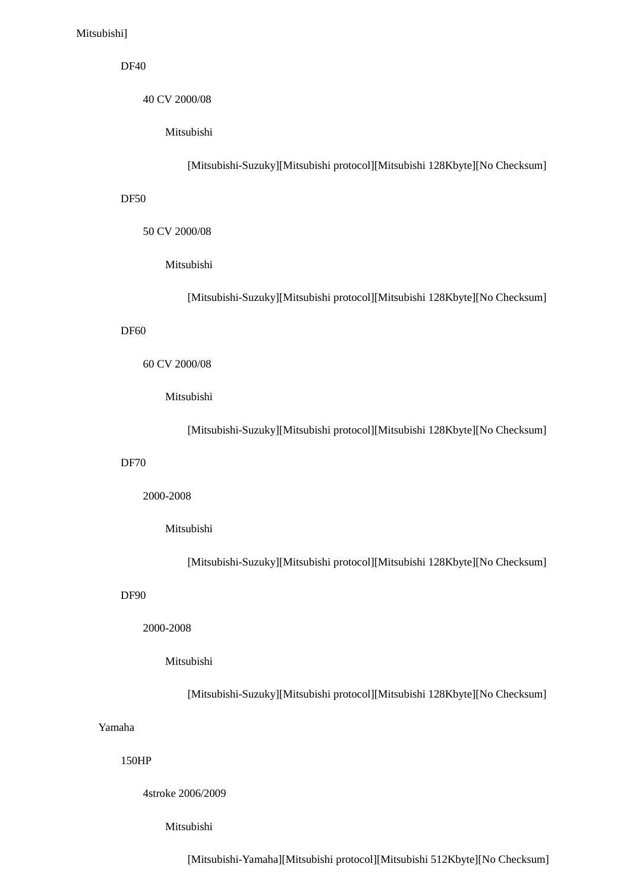### DF40

40 CV 2000/08

Mitsubishi

[Mitsubishi-Suzuky][Mitsubishi protocol][Mitsubishi 128Kbyte][No Checksum]

#### DF50

50 CV 2000/08

#### Mitsubishi

[Mitsubishi-Suzuky][Mitsubishi protocol][Mitsubishi 128Kbyte][No Checksum]

### DF60

#### 60 CV 2000/08

Mitsubishi

[Mitsubishi-Suzuky][Mitsubishi protocol][Mitsubishi 128Kbyte][No Checksum]

#### DF70

2000-2008

### Mitsubishi

[Mitsubishi-Suzuky][Mitsubishi protocol][Mitsubishi 128Kbyte][No Checksum]

#### DF90

### 2000-2008

### Mitsubishi

[Mitsubishi-Suzuky][Mitsubishi protocol][Mitsubishi 128Kbyte][No Checksum]

### Yamaha

### 150HP

4stroke 2006/2009

#### Mitsubishi

[Mitsubishi-Yamaha][Mitsubishi protocol][Mitsubishi 512Kbyte][No Checksum]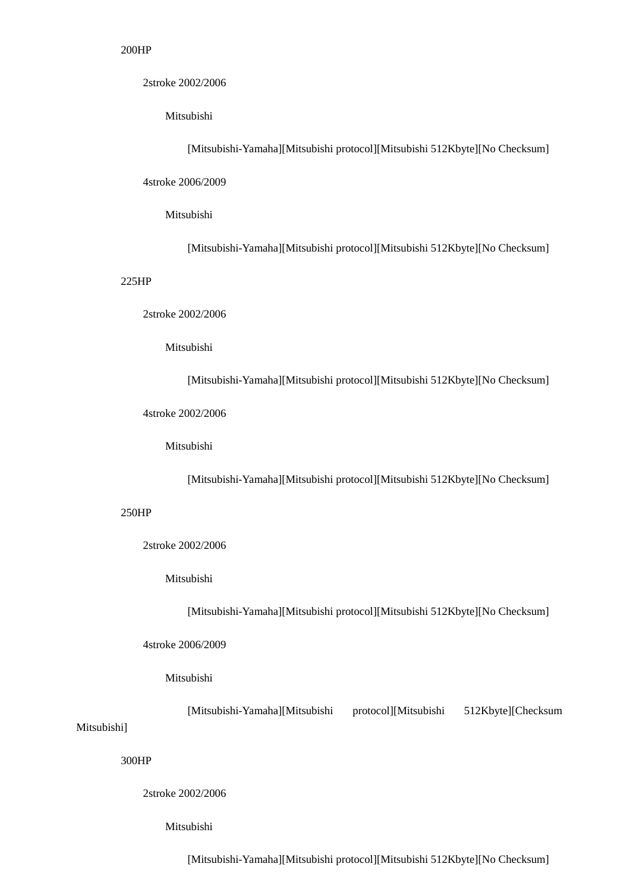#### 200HP

2stroke 2002/2006

Mitsubishi

[Mitsubishi-Yamaha][Mitsubishi protocol][Mitsubishi 512Kbyte][No Checksum]

4stroke 2006/2009

Mitsubishi

[Mitsubishi-Yamaha][Mitsubishi protocol][Mitsubishi 512Kbyte][No Checksum]

### 225HP

2stroke 2002/2006

#### Mitsubishi

[Mitsubishi-Yamaha][Mitsubishi protocol][Mitsubishi 512Kbyte][No Checksum]

4stroke 2002/2006

Mitsubishi

[Mitsubishi-Yamaha][Mitsubishi protocol][Mitsubishi 512Kbyte][No Checksum]

### 250HP

2stroke 2002/2006

Mitsubishi

[Mitsubishi-Yamaha][Mitsubishi protocol][Mitsubishi 512Kbyte][No Checksum]

### 4stroke 2006/2009

#### Mitsubishi

[Mitsubishi-Yamaha][Mitsubishi protocol][Mitsubishi 512Kbyte][Checksum

### Mitsubishi]

### 300HP

2stroke 2002/2006

#### Mitsubishi

[Mitsubishi-Yamaha][Mitsubishi protocol][Mitsubishi 512Kbyte][No Checksum]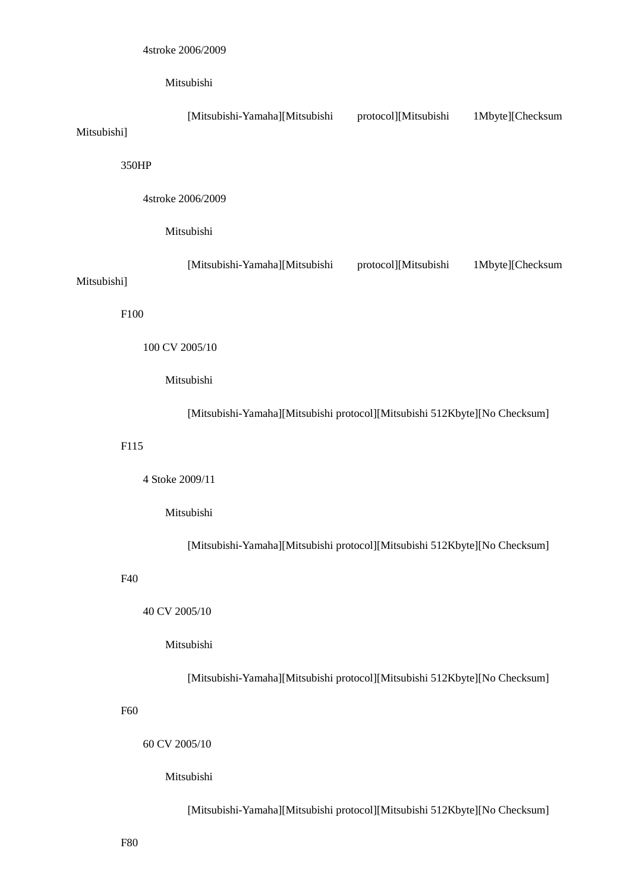| Mitsubishi] |                                                                            | [Mitsubishi-Yamaha][Mitsubishi                                             | protocol][Mitsubishi | 1Mbyte][Checksum |  |
|-------------|----------------------------------------------------------------------------|----------------------------------------------------------------------------|----------------------|------------------|--|
|             | 350HP                                                                      |                                                                            |                      |                  |  |
|             |                                                                            | 4stroke 2006/2009                                                          |                      |                  |  |
|             |                                                                            | Mitsubishi                                                                 |                      |                  |  |
| Mitsubishi] |                                                                            | [Mitsubishi-Yamaha][Mitsubishi                                             | protocol][Mitsubishi | 1Mbyte][Checksum |  |
|             | F100                                                                       |                                                                            |                      |                  |  |
|             |                                                                            | 100 CV 2005/10                                                             |                      |                  |  |
|             |                                                                            | Mitsubishi                                                                 |                      |                  |  |
|             |                                                                            | [Mitsubishi-Yamaha][Mitsubishi protocol][Mitsubishi 512Kbyte][No Checksum] |                      |                  |  |
|             | F115                                                                       |                                                                            |                      |                  |  |
|             |                                                                            | 4 Stoke 2009/11                                                            |                      |                  |  |
|             |                                                                            | Mitsubishi                                                                 |                      |                  |  |
|             | [Mitsubishi-Yamaha][Mitsubishi protocol][Mitsubishi 512Kbyte][No Checksum] |                                                                            |                      |                  |  |
|             | F40                                                                        |                                                                            |                      |                  |  |
|             |                                                                            | 40 CV 2005/10                                                              |                      |                  |  |
|             |                                                                            | Mitsubishi                                                                 |                      |                  |  |
|             |                                                                            | [Mitsubishi-Yamaha][Mitsubishi protocol][Mitsubishi 512Kbyte][No Checksum] |                      |                  |  |
|             | F60                                                                        |                                                                            |                      |                  |  |
|             |                                                                            | 60 CV 2005/10                                                              |                      |                  |  |
|             |                                                                            | Mitsubishi                                                                 |                      |                  |  |
|             |                                                                            | [Mitsubishi-Yamaha][Mitsubishi protocol][Mitsubishi 512Kbyte][No Checksum] |                      |                  |  |

F80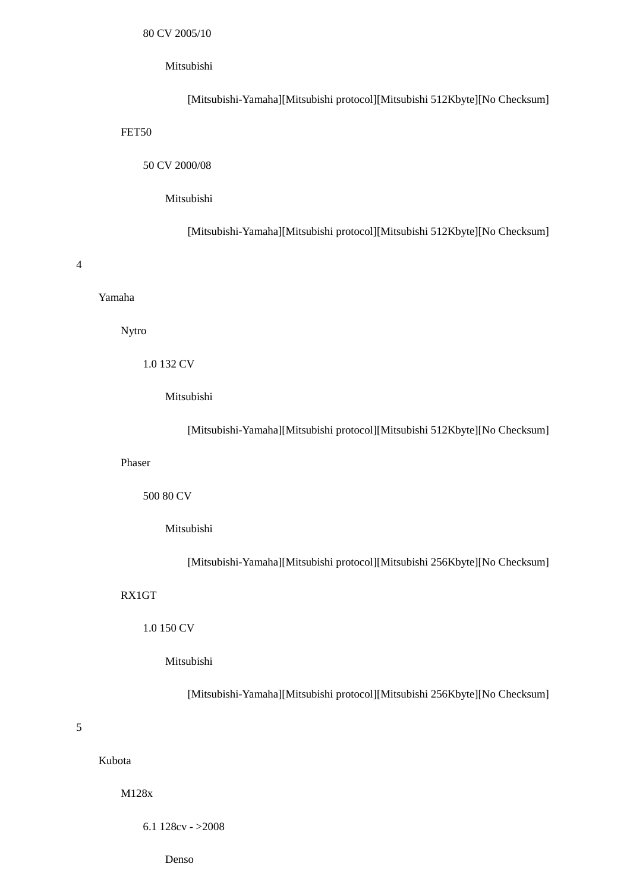[Mitsubishi-Yamaha][Mitsubishi protocol][Mitsubishi 512Kbyte][No Checksum] FET50 50 CV 2000/08

#### Mitsubishi

[Mitsubishi-Yamaha][Mitsubishi protocol][Mitsubishi 512Kbyte][No Checksum]

#### 4

#### Yamaha

Nytro

### 1.0 132 CV

Mitsubishi

[Mitsubishi-Yamaha][Mitsubishi protocol][Mitsubishi 512Kbyte][No Checksum]

#### Phaser

500 80 CV

### Mitsubishi

[Mitsubishi-Yamaha][Mitsubishi protocol][Mitsubishi 256Kbyte][No Checksum]

### RX1GT

### 1.0 150 CV

#### Mitsubishi

[Mitsubishi-Yamaha][Mitsubishi protocol][Mitsubishi 256Kbyte][No Checksum]

### 5

### Kubota

M128x

6.1 128cv - >2008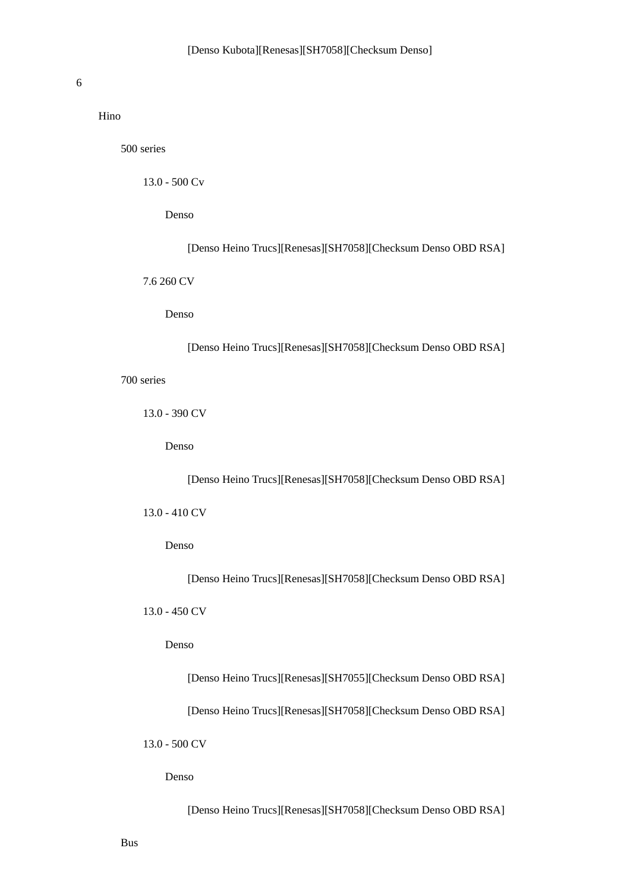#### 6

Hino

500 series

13.0 - 500 Cv

Denso

[Denso Heino Trucs][Renesas][SH7058][Checksum Denso OBD RSA]

7.6 260 CV

Denso

[Denso Heino Trucs][Renesas][SH7058][Checksum Denso OBD RSA]

700 series

13.0 - 390 CV

Denso

[Denso Heino Trucs][Renesas][SH7058][Checksum Denso OBD RSA]

13.0 - 410 CV

Denso

[Denso Heino Trucs][Renesas][SH7058][Checksum Denso OBD RSA]

13.0 - 450 CV

Denso

[Denso Heino Trucs][Renesas][SH7055][Checksum Denso OBD RSA]

[Denso Heino Trucs][Renesas][SH7058][Checksum Denso OBD RSA]

13.0 - 500 CV

Denso

[Denso Heino Trucs][Renesas][SH7058][Checksum Denso OBD RSA]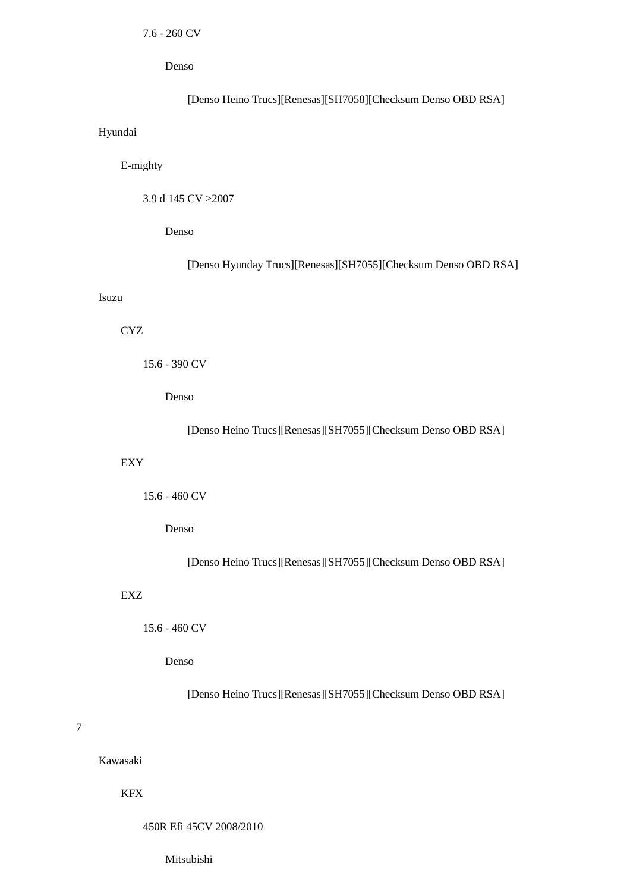### Denso

# [Denso Heino Trucs][Renesas][SH7058][Checksum Denso OBD RSA]

### Hyundai

# E-mighty

3.9 d 145 CV >2007

Denso

[Denso Hyunday Trucs][Renesas][SH7055][Checksum Denso OBD RSA]

#### Isuzu

### CYZ

```
 15.6 - 390 CV
```
Denso

### [Denso Heino Trucs][Renesas][SH7055][Checksum Denso OBD RSA]

#### EXY

### Denso

[Denso Heino Trucs][Renesas][SH7055][Checksum Denso OBD RSA]

### EXZ

### 15.6 - 460 CV

### Denso

[Denso Heino Trucs][Renesas][SH7055][Checksum Denso OBD RSA]

### 7

# Kawasaki

### KFX

#### 450R Efi 45CV 2008/2010

Mitsubishi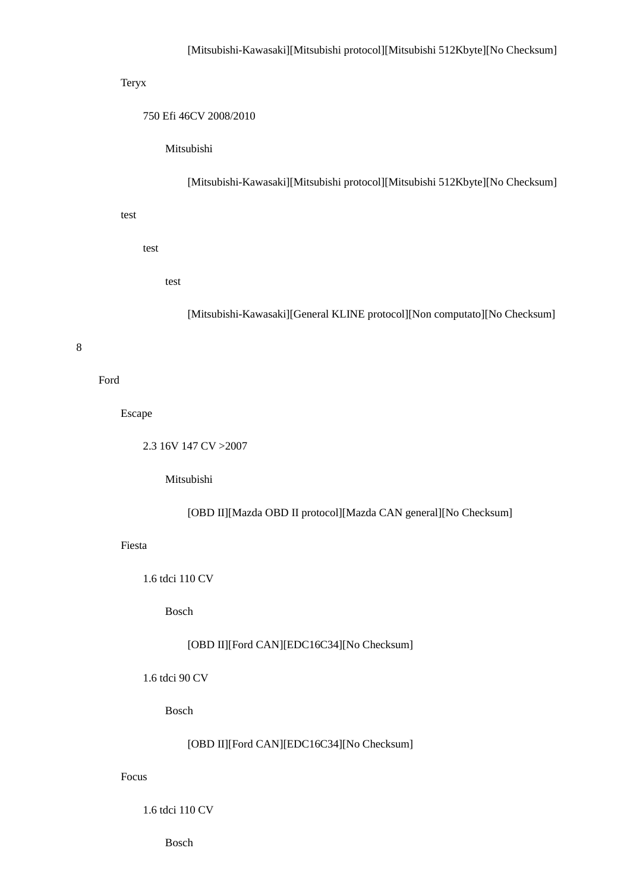### Teryx

750 Efi 46CV 2008/2010

Mitsubishi

[Mitsubishi-Kawasaki][Mitsubishi protocol][Mitsubishi 512Kbyte][No Checksum]

test

test

test

[Mitsubishi-Kawasaki][General KLINE protocol][Non computato][No Checksum]

#### 8

Ford

Escape

2.3 16V 147 CV >2007

Mitsubishi

[OBD II][Mazda OBD II protocol][Mazda CAN general][No Checksum]

Fiesta

1.6 tdci 110 CV

Bosch

## [OBD II][Ford CAN][EDC16C34][No Checksum]

1.6 tdci 90 CV

Bosch

[OBD II][Ford CAN][EDC16C34][No Checksum]

### Focus

1.6 tdci 110 CV

Bosch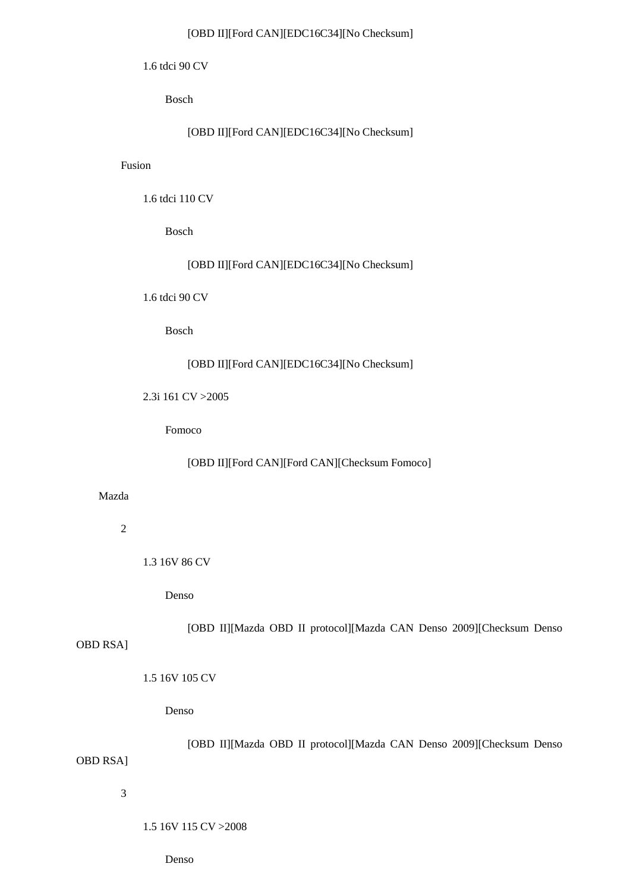### [OBD II][Ford CAN][EDC16C34][No Checksum]

1.6 tdci 90 CV

Bosch

```
 [OBD II][Ford CAN][EDC16C34][No Checksum]
```
### Fusion

1.6 tdci 110 CV

Bosch

[OBD II][Ford CAN][EDC16C34][No Checksum]

1.6 tdci 90 CV

Bosch

### [OBD II][Ford CAN][EDC16C34][No Checksum]

2.3i 161 CV >2005

Fomoco

[OBD II][Ford CAN][Ford CAN][Checksum Fomoco]

## Mazda

2

1.3 16V 86 CV

Denso

[OBD II][Mazda OBD II protocol][Mazda CAN Denso 2009][Checksum Denso

# OBD RSA]

1.5 16V 105 CV

Denso

 [OBD II][Mazda OBD II protocol][Mazda CAN Denso 2009][Checksum Denso OBD RSA]

3

#### 1.5 16V 115 CV >2008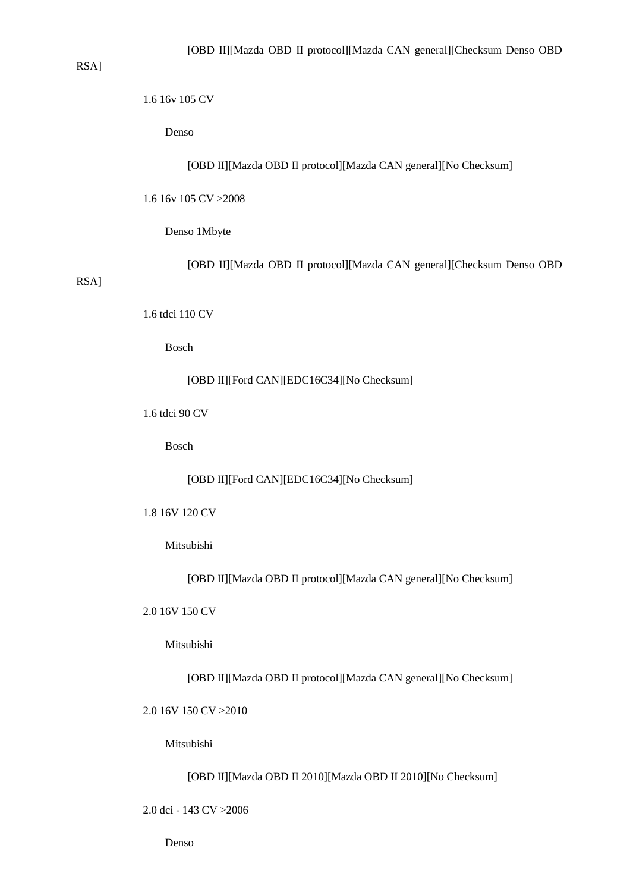### RSA]

# 1.6 16v 105 CV

Denso

[OBD II][Mazda OBD II protocol][Mazda CAN general][No Checksum]

1.6 16v 105 CV >2008

Denso 1Mbyte

[OBD II][Mazda OBD II protocol][Mazda CAN general][Checksum Denso OBD

# RSA]

1.6 tdci 110 CV

Bosch

[OBD II][Ford CAN][EDC16C34][No Checksum]

1.6 tdci 90 CV

Bosch

[OBD II][Ford CAN][EDC16C34][No Checksum]

1.8 16V 120 CV

Mitsubishi

[OBD II][Mazda OBD II protocol][Mazda CAN general][No Checksum]

2.0 16V 150 CV

Mitsubishi

[OBD II][Mazda OBD II protocol][Mazda CAN general][No Checksum]

2.0 16V 150 CV >2010

Mitsubishi

[OBD II][Mazda OBD II 2010][Mazda OBD II 2010][No Checksum]

2.0 dci - 143 CV >2006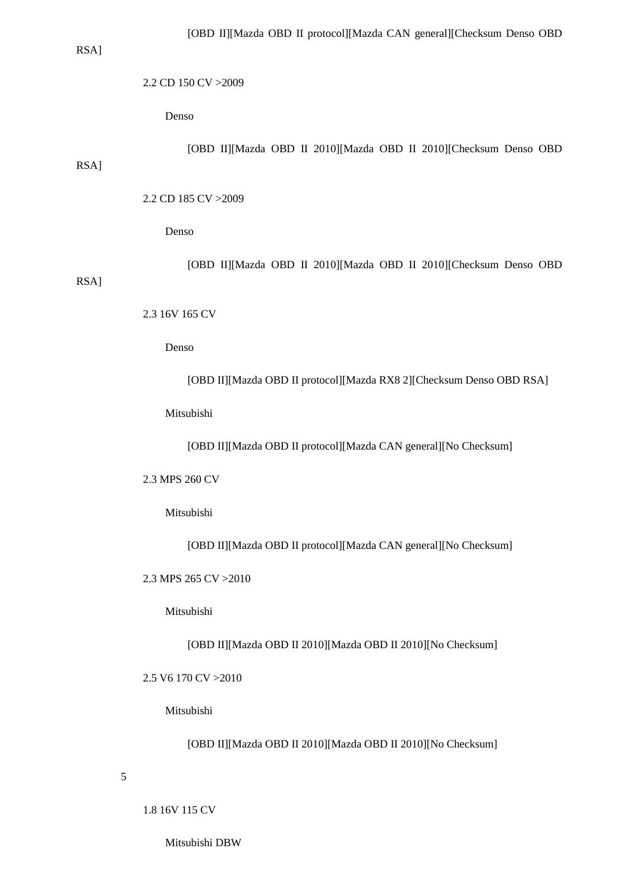RSA]

RSA]

#### 2.2 CD 150 CV >2009

Denso

[OBD II][Mazda OBD II 2010][Mazda OBD II 2010][Checksum Denso OBD

2.2 CD 185 CV >2009

Denso

 [OBD II][Mazda OBD II 2010][Mazda OBD II 2010][Checksum Denso OBD RSA]

2.3 16V 165 CV

Denso

[OBD II][Mazda OBD II protocol][Mazda RX8 2][Checksum Denso OBD RSA]

Mitsubishi

[OBD II][Mazda OBD II protocol][Mazda CAN general][No Checksum]

2.3 MPS 260 CV

Mitsubishi

[OBD II][Mazda OBD II protocol][Mazda CAN general][No Checksum]

2.3 MPS 265 CV >2010

Mitsubishi

[OBD II][Mazda OBD II 2010][Mazda OBD II 2010][No Checksum]

2.5 V6 170 CV >2010

Mitsubishi

[OBD II][Mazda OBD II 2010][Mazda OBD II 2010][No Checksum]

5

1.8 16V 115 CV

Mitsubishi DBW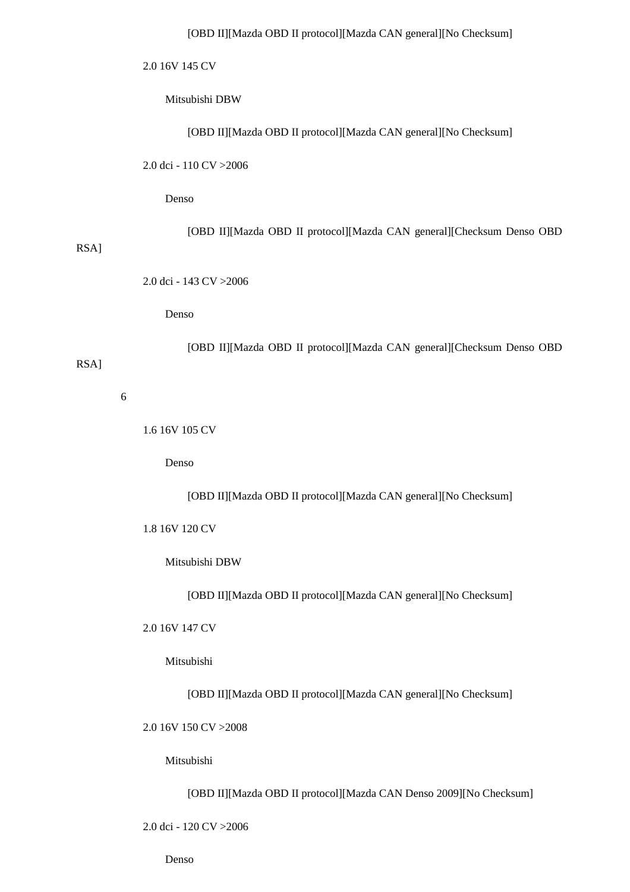2.0 16V 145 CV

Mitsubishi DBW

[OBD II][Mazda OBD II protocol][Mazda CAN general][No Checksum]

2.0 dci - 110 CV >2006

Denso

[OBD II][Mazda OBD II protocol][Mazda CAN general][Checksum Denso OBD

RSA]

2.0 dci - 143 CV >2006

Denso

[OBD II][Mazda OBD II protocol][Mazda CAN general][Checksum Denso OBD

RSA]

6

1.6 16V 105 CV

Denso

[OBD II][Mazda OBD II protocol][Mazda CAN general][No Checksum]

1.8 16V 120 CV

Mitsubishi DBW

[OBD II][Mazda OBD II protocol][Mazda CAN general][No Checksum]

2.0 16V 147 CV

Mitsubishi

[OBD II][Mazda OBD II protocol][Mazda CAN general][No Checksum]

2.0 16V 150 CV >2008

Mitsubishi

[OBD II][Mazda OBD II protocol][Mazda CAN Denso 2009][No Checksum]

2.0 dci - 120 CV >2006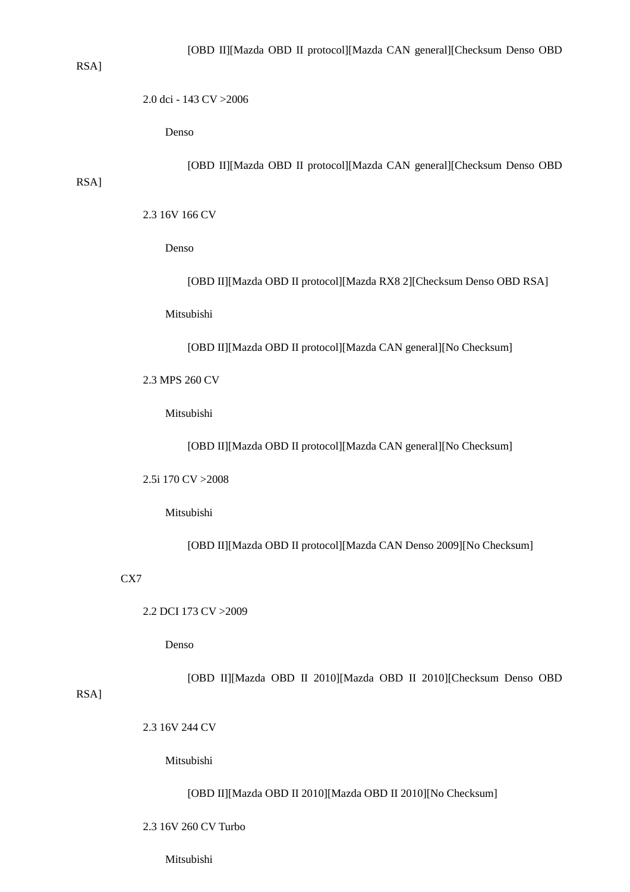### RSA]

2.0 dci - 143 CV >2006

Denso

[OBD II][Mazda OBD II protocol][Mazda CAN general][Checksum Denso OBD

# RSA]

2.3 16V 166 CV

Denso

[OBD II][Mazda OBD II protocol][Mazda RX8 2][Checksum Denso OBD RSA]

Mitsubishi

[OBD II][Mazda OBD II protocol][Mazda CAN general][No Checksum]

2.3 MPS 260 CV

Mitsubishi

[OBD II][Mazda OBD II protocol][Mazda CAN general][No Checksum]

2.5i 170 CV >2008

Mitsubishi

[OBD II][Mazda OBD II protocol][Mazda CAN Denso 2009][No Checksum]

CX7

2.2 DCI 173 CV >2009

Denso

[OBD II][Mazda OBD II 2010][Mazda OBD II 2010][Checksum Denso OBD

RSA]

2.3 16V 244 CV

Mitsubishi

[OBD II][Mazda OBD II 2010][Mazda OBD II 2010][No Checksum]

2.3 16V 260 CV Turbo

Mitsubishi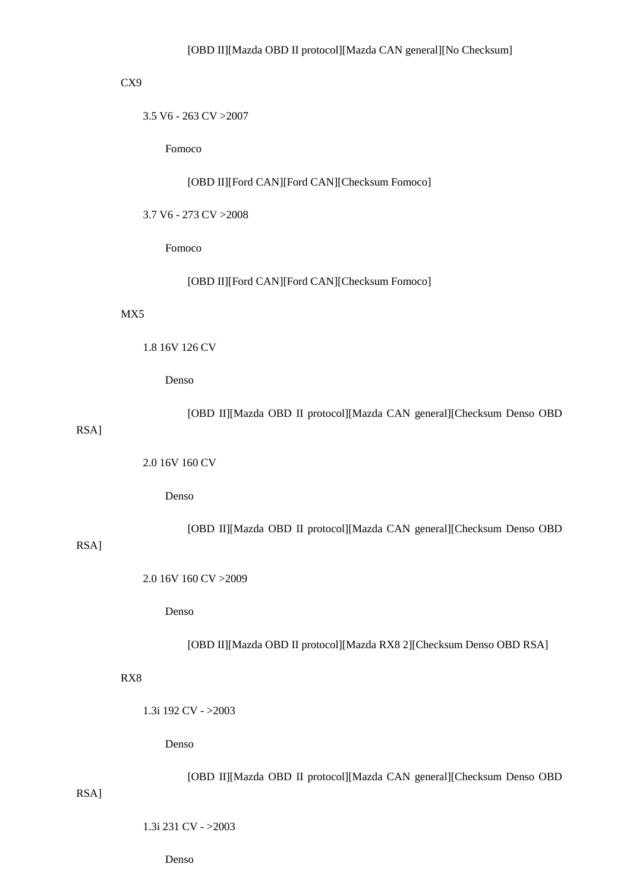### CX9

3.5 V6 - 263 CV >2007

Fomoco

[OBD II][Ford CAN][Ford CAN][Checksum Fomoco]

3.7 V6 - 273 CV >2008

Fomoco

[OBD II][Ford CAN][Ford CAN][Checksum Fomoco]

### MX5

1.8 16V 126 CV

Denso

[OBD II][Mazda OBD II protocol][Mazda CAN general][Checksum Denso OBD

# RSA]

2.0 16V 160 CV

Denso

[OBD II][Mazda OBD II protocol][Mazda CAN general][Checksum Denso OBD

# RSA]

RSA]

2.0 16V 160 CV >2009

Denso

[OBD II][Mazda OBD II protocol][Mazda RX8 2][Checksum Denso OBD RSA]

### RX8

1.3i 192 CV - >2003

Denso

[OBD II][Mazda OBD II protocol][Mazda CAN general][Checksum Denso OBD

1.3i 231 CV - >2003